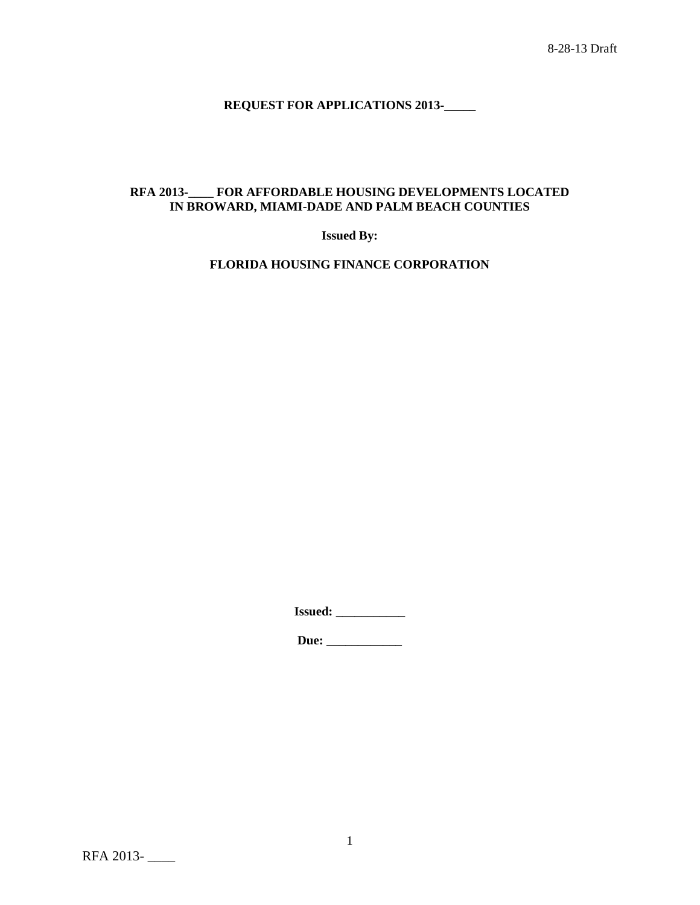# **REQUEST FOR APPLICATIONS 2013-\_\_\_\_\_**

## **RFA 2013-\_\_\_\_ FOR AFFORDABLE HOUSING DEVELOPMENTS LOCATED IN BROWARD, MIAMI-DADE AND PALM BEACH COUNTIES**

**Issued By:**

**FLORIDA HOUSING FINANCE CORPORATION**

**Issued: \_\_\_\_\_\_\_\_\_\_\_**

**Due: \_\_\_\_\_\_\_\_\_\_\_\_**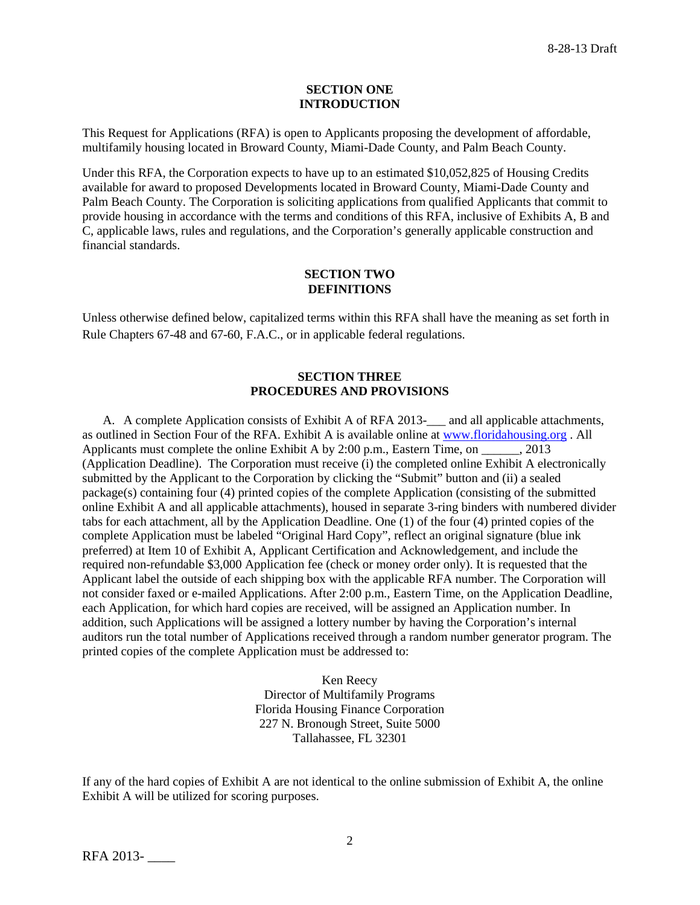#### **SECTION ONE INTRODUCTION**

This Request for Applications (RFA) is open to Applicants proposing the development of affordable, multifamily housing located in Broward County, Miami-Dade County, and Palm Beach County.

Under this RFA, the Corporation expects to have up to an estimated \$10,052,825 of Housing Credits available for award to proposed Developments located in Broward County, Miami-Dade County and Palm Beach County. The Corporation is soliciting applications from qualified Applicants that commit to provide housing in accordance with the terms and conditions of this RFA, inclusive of Exhibits A, B and C, applicable laws, rules and regulations, and the Corporation's generally applicable construction and financial standards.

#### **SECTION TWO DEFINITIONS**

Unless otherwise defined below, capitalized terms within this RFA shall have the meaning as set forth in Rule Chapters 67-48 and 67-60, F.A.C., or in applicable federal regulations.

## **SECTION THREE PROCEDURES AND PROVISIONS**

A. A complete Application consists of Exhibit A of RFA 2013-\_\_\_ and all applicable attachments, as outlined in Section Four of the RFA. Exhibit A is available online at [www.floridahousing.org](http://www.floridahousing.org/) . All Applicants must complete the online Exhibit A by 2:00 p.m., Eastern Time, on  $\qquad \qquad$  2013 (Application Deadline). The Corporation must receive (i) the completed online Exhibit A electronically submitted by the Applicant to the Corporation by clicking the "Submit" button and (ii) a sealed package(s) containing four (4) printed copies of the complete Application (consisting of the submitted online Exhibit A and all applicable attachments), housed in separate 3-ring binders with numbered divider tabs for each attachment, all by the Application Deadline. One (1) of the four (4) printed copies of the complete Application must be labeled "Original Hard Copy", reflect an original signature (blue ink preferred) at Item 10 of Exhibit A, Applicant Certification and Acknowledgement, and include the required non-refundable \$3,000 Application fee (check or money order only). It is requested that the Applicant label the outside of each shipping box with the applicable RFA number. The Corporation will not consider faxed or e-mailed Applications. After 2:00 p.m., Eastern Time, on the Application Deadline, each Application, for which hard copies are received, will be assigned an Application number. In addition, such Applications will be assigned a lottery number by having the Corporation's internal auditors run the total number of Applications received through a random number generator program. The printed copies of the complete Application must be addressed to:

> Ken Reecy Director of Multifamily Programs Florida Housing Finance Corporation 227 N. Bronough Street, Suite 5000 Tallahassee, FL 32301

If any of the hard copies of Exhibit A are not identical to the online submission of Exhibit A, the online Exhibit A will be utilized for scoring purposes.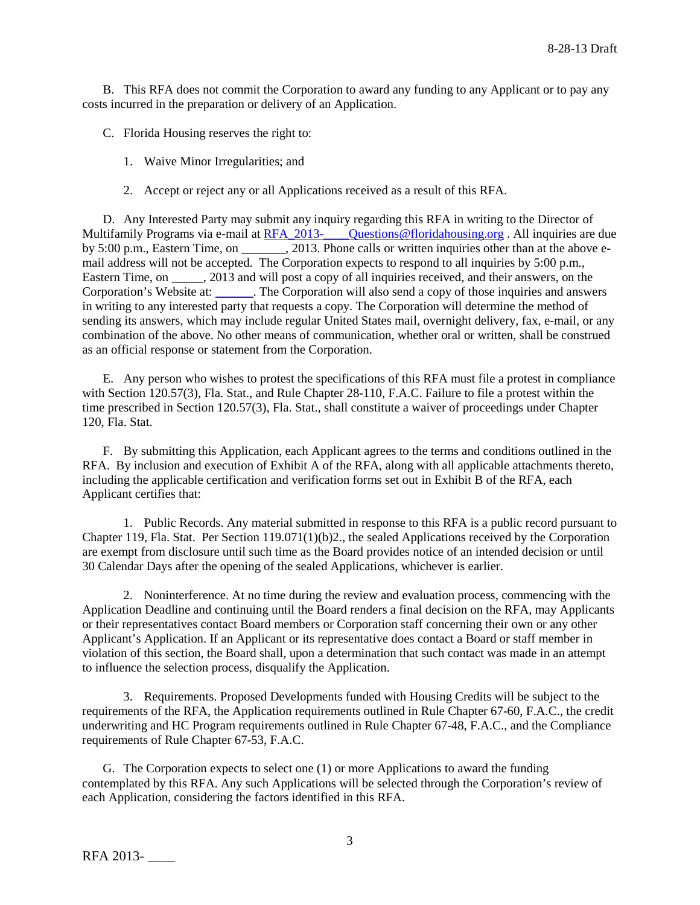B. This RFA does not commit the Corporation to award any funding to any Applicant or to pay any costs incurred in the preparation or delivery of an Application.

C. Florida Housing reserves the right to:

- 1. Waive Minor Irregularities; and
- 2. Accept or reject any or all Applications received as a result of this RFA.

D. Any Interested Party may submit any inquiry regarding this RFA in writing to the Director of Multifamily Programs via e-mail at RFA\_2013-\_\_\_\_\_Questions@floridahousing.org . All inquiries are due by 5:00 p.m., Eastern Time, on \_\_\_\_\_\_, 2013. Phone calls or written inquiries other than at the above email address will not be accepted. The Corporation expects to respond to all inquiries by 5:00 p.m., Eastern Time, on \_\_\_\_\_, 2013 and will post a copy of all inquiries received, and their answers, on the Corporation's Website at: [\\_\\_\\_\\_\\_\\_.](http://apps.floridahousing.org/StandAlone/FHFC_ECM/ContentPage.aspx?PAGE=0394) The Corporation will also send a copy of those inquiries and answers in writing to any interested party that requests a copy. The Corporation will determine the method of sending its answers, which may include regular United States mail, overnight delivery, fax, e-mail, or any combination of the above. No other means of communication, whether oral or written, shall be construed as an official response or statement from the Corporation.

E. Any person who wishes to protest the specifications of this RFA must file a protest in compliance with Section 120.57(3), Fla. Stat., and Rule Chapter 28-110, F.A.C. Failure to file a protest within the time prescribed in Section 120.57(3), Fla. Stat., shall constitute a waiver of proceedings under Chapter 120, Fla. Stat.

F. By submitting this Application, each Applicant agrees to the terms and conditions outlined in the RFA. By inclusion and execution of Exhibit A of the RFA, along with all applicable attachments thereto, including the applicable certification and verification forms set out in Exhibit B of the RFA, each Applicant certifies that:

1. Public Records. Any material submitted in response to this RFA is a public record pursuant to Chapter 119, Fla. Stat. Per Section 119.071(1)(b)2., the sealed Applications received by the Corporation are exempt from disclosure until such time as the Board provides notice of an intended decision or until 30 Calendar Days after the opening of the sealed Applications, whichever is earlier.

2. Noninterference. At no time during the review and evaluation process, commencing with the Application Deadline and continuing until the Board renders a final decision on the RFA, may Applicants or their representatives contact Board members or Corporation staff concerning their own or any other Applicant's Application. If an Applicant or its representative does contact a Board or staff member in violation of this section, the Board shall, upon a determination that such contact was made in an attempt to influence the selection process, disqualify the Application.

3. Requirements. Proposed Developments funded with Housing Credits will be subject to the requirements of the RFA, the Application requirements outlined in Rule Chapter 67-60, F.A.C., the credit underwriting and HC Program requirements outlined in Rule Chapter 67-48, F.A.C., and the Compliance requirements of Rule Chapter 67-53, F.A.C.

G. The Corporation expects to select one (1) or more Applications to award the funding contemplated by this RFA. Any such Applications will be selected through the Corporation's review of each Application, considering the factors identified in this RFA.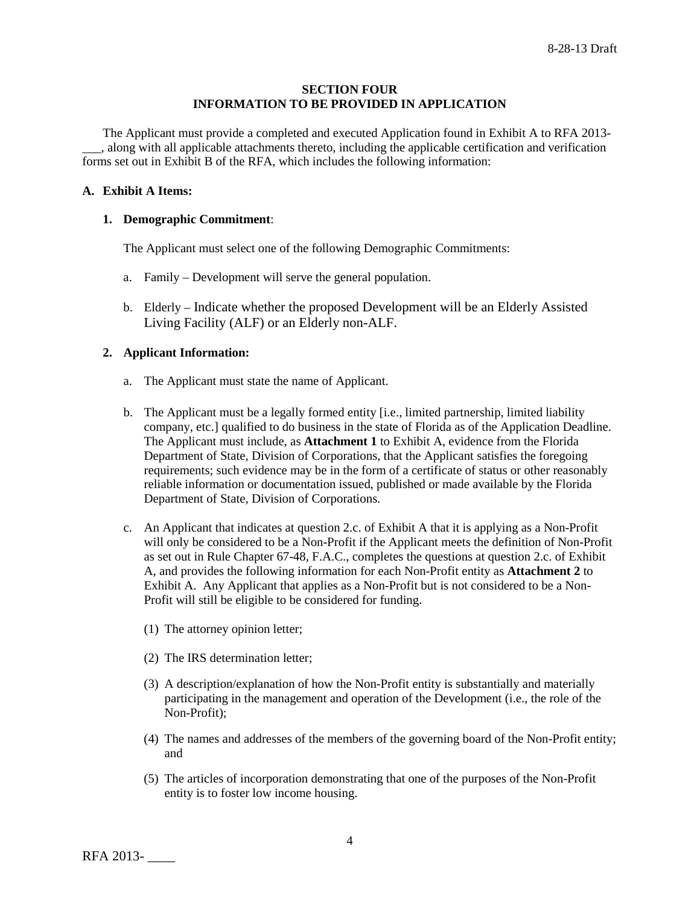#### **SECTION FOUR INFORMATION TO BE PROVIDED IN APPLICATION**

The Applicant must provide a completed and executed Application found in Exhibit A to RFA 2013- \_\_\_, along with all applicable attachments thereto, including the applicable certification and verification forms set out in Exhibit B of the RFA, which includes the following information:

#### **A. Exhibit A Items:**

### **1. Demographic Commitment**:

The Applicant must select one of the following Demographic Commitments:

- a. Family Development will serve the general population.
- b. Elderly Indicate whether the proposed Development will be an Elderly Assisted Living Facility (ALF) or an Elderly non-ALF.

### **2. Applicant Information:**

- a. The Applicant must state the name of Applicant.
- b. The Applicant must be a legally formed entity [i.e., limited partnership, limited liability company, etc.] qualified to do business in the state of Florida as of the Application Deadline. The Applicant must include, as **Attachment 1** to Exhibit A, evidence from the Florida Department of State, Division of Corporations, that the Applicant satisfies the foregoing requirements; such evidence may be in the form of a certificate of status or other reasonably reliable information or documentation issued, published or made available by the Florida Department of State, Division of Corporations.
- c. An Applicant that indicates at question 2.c. of Exhibit A that it is applying as a Non-Profit will only be considered to be a Non-Profit if the Applicant meets the definition of Non-Profit as set out in Rule Chapter 67-48, F.A.C., completes the questions at question 2.c. of Exhibit A, and provides the following information for each Non-Profit entity as **Attachment 2** to Exhibit A. Any Applicant that applies as a Non-Profit but is not considered to be a Non-Profit will still be eligible to be considered for funding.
	- (1) The attorney opinion letter;
	- (2) The IRS determination letter;
	- (3) A description/explanation of how the Non-Profit entity is substantially and materially participating in the management and operation of the Development (i.e., the role of the Non-Profit);
	- (4) The names and addresses of the members of the governing board of the Non-Profit entity; and
	- (5) The articles of incorporation demonstrating that one of the purposes of the Non-Profit entity is to foster low income housing.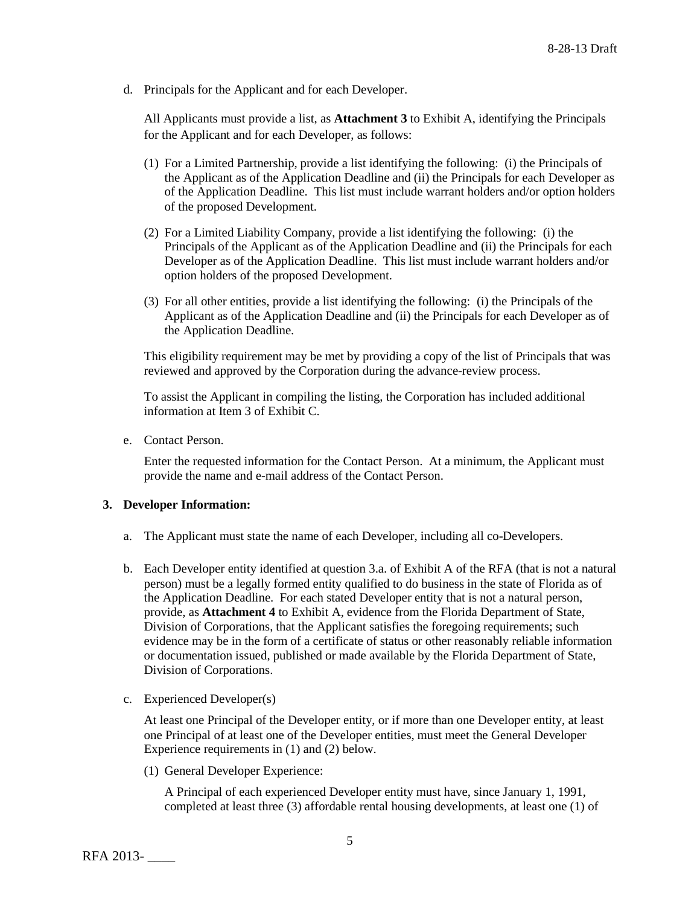d. Principals for the Applicant and for each Developer.

All Applicants must provide a list, as **Attachment 3** to Exhibit A, identifying the Principals for the Applicant and for each Developer, as follows:

- (1) For a Limited Partnership, provide a list identifying the following: (i) the Principals of the Applicant as of the Application Deadline and (ii) the Principals for each Developer as of the Application Deadline. This list must include warrant holders and/or option holders of the proposed Development.
- (2) For a Limited Liability Company, provide a list identifying the following: (i) the Principals of the Applicant as of the Application Deadline and (ii) the Principals for each Developer as of the Application Deadline. This list must include warrant holders and/or option holders of the proposed Development.
- (3) For all other entities, provide a list identifying the following: (i) the Principals of the Applicant as of the Application Deadline and (ii) the Principals for each Developer as of the Application Deadline.

This eligibility requirement may be met by providing a copy of the list of Principals that was reviewed and approved by the Corporation during the advance-review process.

To assist the Applicant in compiling the listing, the Corporation has included additional information at Item 3 of Exhibit C.

e. Contact Person.

Enter the requested information for the Contact Person. At a minimum, the Applicant must provide the name and e-mail address of the Contact Person.

#### **3. Developer Information:**

- a. The Applicant must state the name of each Developer, including all co-Developers.
- b. Each Developer entity identified at question 3.a. of Exhibit A of the RFA (that is not a natural person) must be a legally formed entity qualified to do business in the state of Florida as of the Application Deadline. For each stated Developer entity that is not a natural person, provide, as **Attachment 4** to Exhibit A, evidence from the Florida Department of State, Division of Corporations, that the Applicant satisfies the foregoing requirements; such evidence may be in the form of a certificate of status or other reasonably reliable information or documentation issued, published or made available by the Florida Department of State, Division of Corporations.
- c. Experienced Developer(s)

At least one Principal of the Developer entity, or if more than one Developer entity, at least one Principal of at least one of the Developer entities, must meet the General Developer Experience requirements in (1) and (2) below.

(1) General Developer Experience:

A Principal of each experienced Developer entity must have, since January 1, 1991, completed at least three (3) affordable rental housing developments, at least one (1) of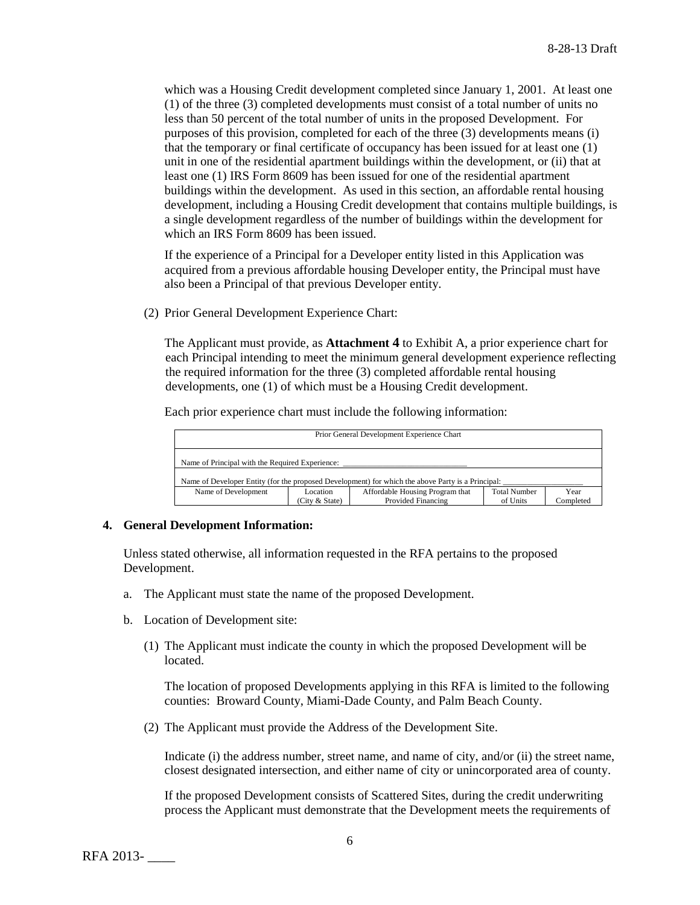which was a Housing Credit development completed since January 1, 2001. At least one (1) of the three (3) completed developments must consist of a total number of units no less than 50 percent of the total number of units in the proposed Development. For purposes of this provision, completed for each of the three (3) developments means (i) that the temporary or final certificate of occupancy has been issued for at least one (1) unit in one of the residential apartment buildings within the development, or (ii) that at least one (1) IRS Form 8609 has been issued for one of the residential apartment buildings within the development. As used in this section, an affordable rental housing development, including a Housing Credit development that contains multiple buildings, is a single development regardless of the number of buildings within the development for which an IRS Form 8609 has been issued.

If the experience of a Principal for a Developer entity listed in this Application was acquired from a previous affordable housing Developer entity, the Principal must have also been a Principal of that previous Developer entity.

(2) Prior General Development Experience Chart:

The Applicant must provide, as **Attachment 4** to Exhibit A, a prior experience chart for each Principal intending to meet the minimum general development experience reflecting the required information for the three (3) completed affordable rental housing developments, one (1) of which must be a Housing Credit development.

Each prior experience chart must include the following information:

| Prior General Development Experience Chart                                                        |                |                                 |                     |           |
|---------------------------------------------------------------------------------------------------|----------------|---------------------------------|---------------------|-----------|
| Name of Principal with the Required Experience:                                                   |                |                                 |                     |           |
| Name of Developer Entity (for the proposed Development) for which the above Party is a Principal: |                |                                 |                     |           |
| Name of Development                                                                               | Location       | Affordable Housing Program that | <b>Total Number</b> | Year      |
|                                                                                                   | (City & State) | Provided Financing              | of Units            | Completed |

#### **4. General Development Information:**

Unless stated otherwise, all information requested in the RFA pertains to the proposed Development.

- a. The Applicant must state the name of the proposed Development.
- b. Location of Development site:
	- (1) The Applicant must indicate the county in which the proposed Development will be located.

The location of proposed Developments applying in this RFA is limited to the following counties: Broward County, Miami-Dade County, and Palm Beach County.

(2) The Applicant must provide the Address of the Development Site.

Indicate (i) the address number, street name, and name of city, and/or (ii) the street name, closest designated intersection, and either name of city or unincorporated area of county.

If the proposed Development consists of Scattered Sites, during the credit underwriting process the Applicant must demonstrate that the Development meets the requirements of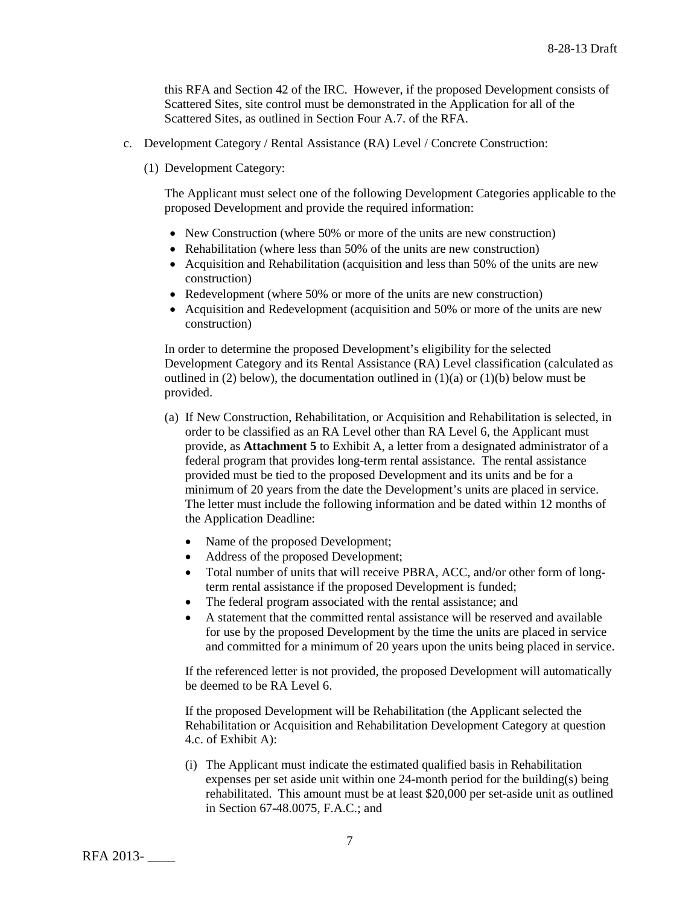this RFA and Section 42 of the IRC. However, if the proposed Development consists of Scattered Sites, site control must be demonstrated in the Application for all of the Scattered Sites, as outlined in Section Four A.7. of the RFA.

- c. Development Category / Rental Assistance (RA) Level / Concrete Construction:
	- (1) Development Category:

The Applicant must select one of the following Development Categories applicable to the proposed Development and provide the required information:

- New Construction (where 50% or more of the units are new construction)
- Rehabilitation (where less than 50% of the units are new construction)
- Acquisition and Rehabilitation (acquisition and less than 50% of the units are new construction)
- Redevelopment (where 50% or more of the units are new construction)
- Acquisition and Redevelopment (acquisition and 50% or more of the units are new construction)

In order to determine the proposed Development's eligibility for the selected Development Category and its Rental Assistance (RA) Level classification (calculated as outlined in (2) below), the documentation outlined in  $(1)(a)$  or  $(1)(b)$  below must be provided.

- (a) If New Construction, Rehabilitation, or Acquisition and Rehabilitation is selected, in order to be classified as an RA Level other than RA Level 6, the Applicant must provide, as **Attachment 5** to Exhibit A, a letter from a designated administrator of a federal program that provides long-term rental assistance. The rental assistance provided must be tied to the proposed Development and its units and be for a minimum of 20 years from the date the Development's units are placed in service. The letter must include the following information and be dated within 12 months of the Application Deadline:
	- Name of the proposed Development;
	- Address of the proposed Development;
	- Total number of units that will receive PBRA, ACC, and/or other form of longterm rental assistance if the proposed Development is funded;
	- The federal program associated with the rental assistance; and
	- A statement that the committed rental assistance will be reserved and available for use by the proposed Development by the time the units are placed in service and committed for a minimum of 20 years upon the units being placed in service.

If the referenced letter is not provided, the proposed Development will automatically be deemed to be RA Level 6.

If the proposed Development will be Rehabilitation (the Applicant selected the Rehabilitation or Acquisition and Rehabilitation Development Category at question 4.c. of Exhibit A):

(i) The Applicant must indicate the estimated qualified basis in Rehabilitation expenses per set aside unit within one 24-month period for the building(s) being rehabilitated. This amount must be at least \$20,000 per set-aside unit as outlined in Section 67-48.0075, F.A.C.; and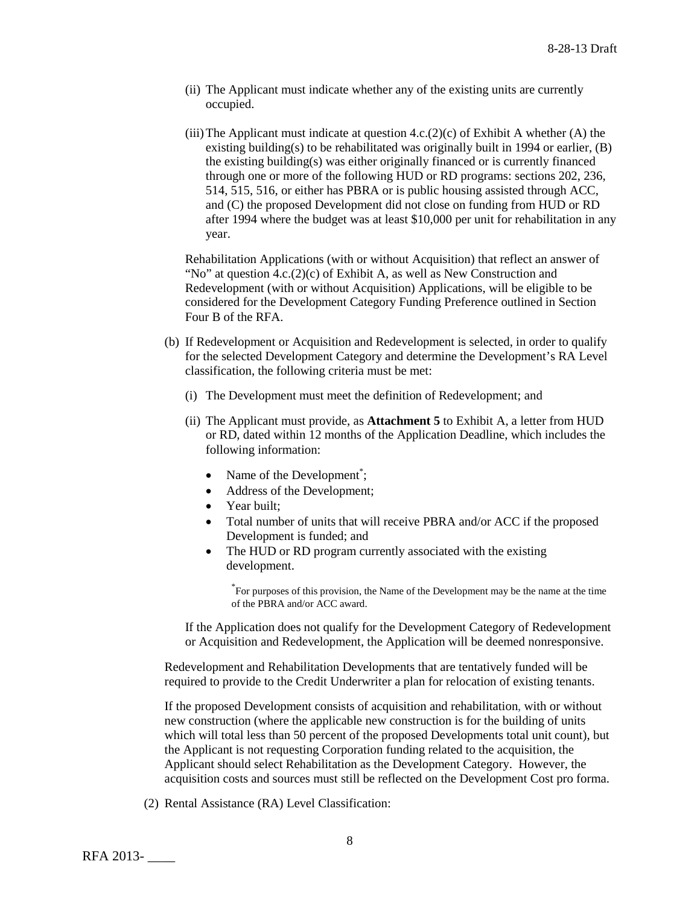- (ii) The Applicant must indicate whether any of the existing units are currently occupied.
- (iii) The Applicant must indicate at question  $4.c.(2)(c)$  of Exhibit A whether (A) the existing building(s) to be rehabilitated was originally built in 1994 or earlier, (B) the existing building(s) was either originally financed or is currently financed through one or more of the following HUD or RD programs: sections 202, 236, 514, 515, 516, or either has PBRA or is public housing assisted through ACC, and (C) the proposed Development did not close on funding from HUD or RD after 1994 where the budget was at least \$10,000 per unit for rehabilitation in any year.

Rehabilitation Applications (with or without Acquisition) that reflect an answer of "No" at question  $4.c.(2)(c)$  of Exhibit A, as well as New Construction and Redevelopment (with or without Acquisition) Applications, will be eligible to be considered for the Development Category Funding Preference outlined in Section Four B of the RFA.

- (b) If Redevelopment or Acquisition and Redevelopment is selected, in order to qualify for the selected Development Category and determine the Development's RA Level classification, the following criteria must be met:
	- (i) The Development must meet the definition of Redevelopment; and
	- (ii) The Applicant must provide, as **Attachment 5** to Exhibit A, a letter from HUD or RD, dated within 12 months of the Application Deadline, which includes the following information:
		- Name of the Development<sup>\*</sup>;
		- Address of the Development;
		- Year built;
		- Total number of units that will receive PBRA and/or ACC if the proposed Development is funded; and
		- The HUD or RD program currently associated with the existing development.

\* For purposes of this provision, the Name of the Development may be the name at the time of the PBRA and/or ACC award.

If the Application does not qualify for the Development Category of Redevelopment or Acquisition and Redevelopment, the Application will be deemed nonresponsive.

Redevelopment and Rehabilitation Developments that are tentatively funded will be required to provide to the Credit Underwriter a plan for relocation of existing tenants.

If the proposed Development consists of acquisition and rehabilitation, with or without new construction (where the applicable new construction is for the building of units which will total less than 50 percent of the proposed Developments total unit count), but the Applicant is not requesting Corporation funding related to the acquisition, the Applicant should select Rehabilitation as the Development Category. However, the acquisition costs and sources must still be reflected on the Development Cost pro forma.

(2) Rental Assistance (RA) Level Classification: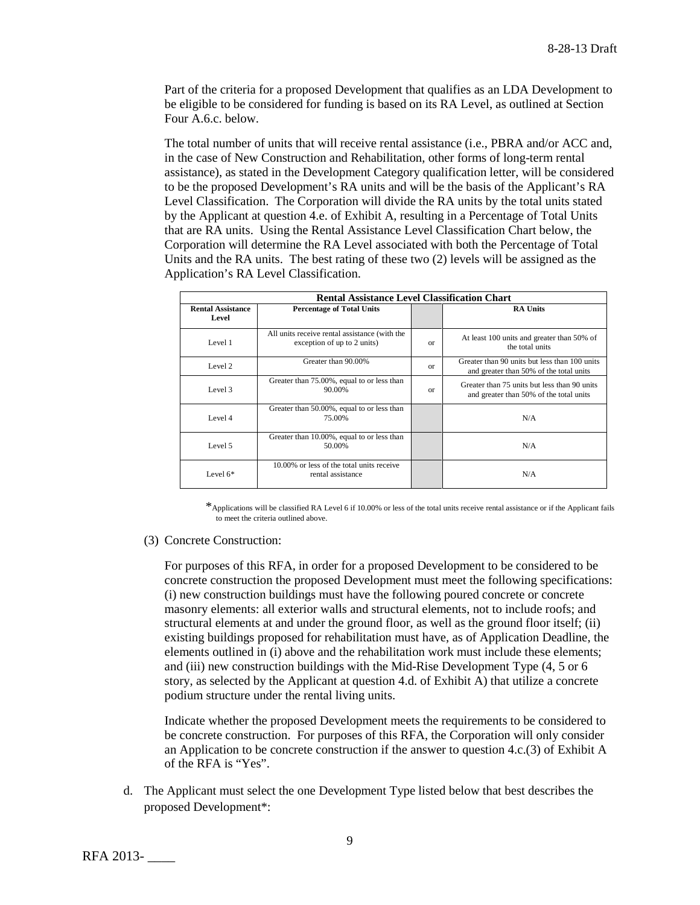Part of the criteria for a proposed Development that qualifies as an LDA Development to be eligible to be considered for funding is based on its RA Level, as outlined at Section Four A.6.c. below.

The total number of units that will receive rental assistance (i.e., PBRA and/or ACC and, in the case of New Construction and Rehabilitation, other forms of long-term rental assistance), as stated in the Development Category qualification letter, will be considered to be the proposed Development's RA units and will be the basis of the Applicant's RA Level Classification. The Corporation will divide the RA units by the total units stated by the Applicant at question 4.e. of Exhibit A, resulting in a Percentage of Total Units that are RA units. Using the Rental Assistance Level Classification Chart below, the Corporation will determine the RA Level associated with both the Percentage of Total Units and the RA units. The best rating of these two (2) levels will be assigned as the Application's RA Level Classification.

| <b>Rental Assistance Level Classification Chart</b> |                                                                              |          |                                                                                          |  |
|-----------------------------------------------------|------------------------------------------------------------------------------|----------|------------------------------------------------------------------------------------------|--|
| <b>Rental Assistance</b><br>Level                   | <b>Percentage of Total Units</b>                                             |          | <b>RA Units</b>                                                                          |  |
| Level 1                                             | All units receive rental assistance (with the<br>exception of up to 2 units) | $\alpha$ | At least 100 units and greater than 50% of<br>the total units                            |  |
| Level 2                                             | Greater than 90.00%                                                          | $\alpha$ | Greater than 90 units but less than 100 units<br>and greater than 50% of the total units |  |
| Level 3                                             | Greater than 75.00%, equal to or less than<br>90.00%                         | $\alpha$ | Greater than 75 units but less than 90 units<br>and greater than 50% of the total units  |  |
| Level 4                                             | Greater than 50.00%, equal to or less than<br>75.00%                         |          | N/A                                                                                      |  |
| Level 5                                             | Greater than 10.00%, equal to or less than<br>50.00%                         |          | N/A                                                                                      |  |
| Level $6*$                                          | 10,00% or less of the total units receive<br>rental assistance               |          | N/A                                                                                      |  |

\*Applications will be classified RA Level 6 if 10.00% or less of the total units receive rental assistance or if the Applicant fails to meet the criteria outlined above.

(3) Concrete Construction:

For purposes of this RFA, in order for a proposed Development to be considered to be concrete construction the proposed Development must meet the following specifications: (i) new construction buildings must have the following poured concrete or concrete masonry elements: all exterior walls and structural elements, not to include roofs; and structural elements at and under the ground floor, as well as the ground floor itself; (ii) existing buildings proposed for rehabilitation must have, as of Application Deadline, the elements outlined in (i) above and the rehabilitation work must include these elements; and (iii) new construction buildings with the Mid-Rise Development Type (4, 5 or 6 story, as selected by the Applicant at question 4.d. of Exhibit A) that utilize a concrete podium structure under the rental living units.

Indicate whether the proposed Development meets the requirements to be considered to be concrete construction. For purposes of this RFA, the Corporation will only consider an Application to be concrete construction if the answer to question 4.c.(3) of Exhibit A of the RFA is "Yes".

d. The Applicant must select the one Development Type listed below that best describes the proposed Development\*: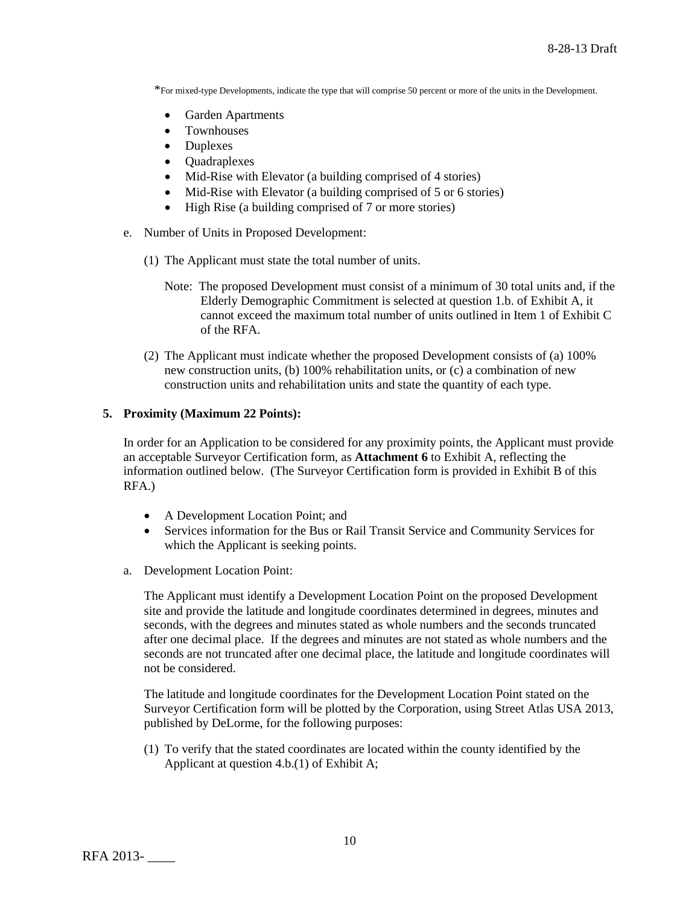\*For mixed-type Developments, indicate the type that will comprise 50 percent or more of the units in the Development.

- Garden Apartments
- Townhouses
- Duplexes
- Quadraplexes
- Mid-Rise with Elevator (a building comprised of 4 stories)
- Mid-Rise with Elevator (a building comprised of 5 or 6 stories)
- High Rise (a building comprised of 7 or more stories)
- e. Number of Units in Proposed Development:
	- (1) The Applicant must state the total number of units.
		- Note: The proposed Development must consist of a minimum of 30 total units and, if the Elderly Demographic Commitment is selected at question 1.b. of Exhibit A, it cannot exceed the maximum total number of units outlined in Item 1 of Exhibit C of the RFA.
	- (2) The Applicant must indicate whether the proposed Development consists of (a) 100% new construction units, (b) 100% rehabilitation units, or (c) a combination of new construction units and rehabilitation units and state the quantity of each type.

### **5. Proximity (Maximum 22 Points):**

In order for an Application to be considered for any proximity points, the Applicant must provide an acceptable Surveyor Certification form, as **Attachment 6** to Exhibit A, reflecting the information outlined below. (The Surveyor Certification form is provided in Exhibit B of this RFA.)

- A Development Location Point; and
- Services information for the Bus or Rail Transit Service and Community Services for which the Applicant is seeking points.
- a. Development Location Point:

The Applicant must identify a Development Location Point on the proposed Development site and provide the latitude and longitude coordinates determined in degrees, minutes and seconds, with the degrees and minutes stated as whole numbers and the seconds truncated after one decimal place. If the degrees and minutes are not stated as whole numbers and the seconds are not truncated after one decimal place, the latitude and longitude coordinates will not be considered.

The latitude and longitude coordinates for the Development Location Point stated on the Surveyor Certification form will be plotted by the Corporation, using Street Atlas USA 2013, published by DeLorme, for the following purposes:

(1) To verify that the stated coordinates are located within the county identified by the Applicant at question 4.b.(1) of Exhibit A;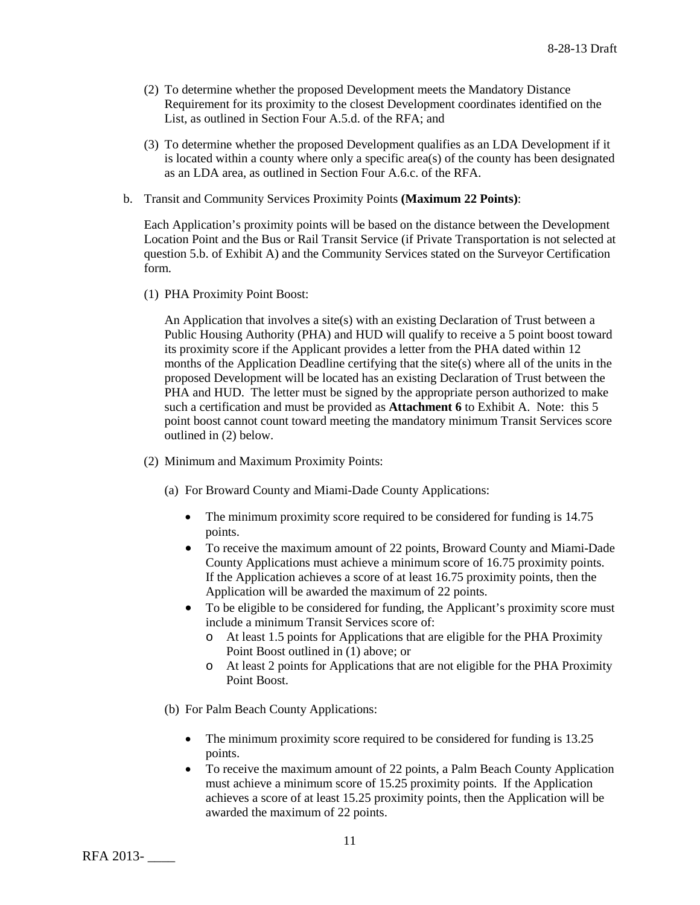- (2) To determine whether the proposed Development meets the Mandatory Distance Requirement for its proximity to the closest Development coordinates identified on the List, as outlined in Section Four A.5.d. of the RFA; and
- (3) To determine whether the proposed Development qualifies as an LDA Development if it is located within a county where only a specific area(s) of the county has been designated as an LDA area, as outlined in Section Four A.6.c. of the RFA.
- b. Transit and Community Services Proximity Points **(Maximum 22 Points)**:

Each Application's proximity points will be based on the distance between the Development Location Point and the Bus or Rail Transit Service (if Private Transportation is not selected at question 5.b. of Exhibit A) and the Community Services stated on the Surveyor Certification form.

(1) PHA Proximity Point Boost:

An Application that involves a site(s) with an existing Declaration of Trust between a Public Housing Authority (PHA) and HUD will qualify to receive a 5 point boost toward its proximity score if the Applicant provides a letter from the PHA dated within 12 months of the Application Deadline certifying that the site(s) where all of the units in the proposed Development will be located has an existing Declaration of Trust between the PHA and HUD. The letter must be signed by the appropriate person authorized to make such a certification and must be provided as **Attachment 6** to Exhibit A. Note: this 5 point boost cannot count toward meeting the mandatory minimum Transit Services score outlined in (2) below.

- (2) Minimum and Maximum Proximity Points:
	- (a) For Broward County and Miami-Dade County Applications:
		- The minimum proximity score required to be considered for funding is 14.75 points.
		- To receive the maximum amount of 22 points, Broward County and Miami-Dade County Applications must achieve a minimum score of 16.75 proximity points. If the Application achieves a score of at least 16.75 proximity points, then the Application will be awarded the maximum of 22 points.
		- To be eligible to be considered for funding, the Applicant's proximity score must include a minimum Transit Services score of:
			- o At least 1.5 points for Applications that are eligible for the PHA Proximity Point Boost outlined in (1) above; or
			- o At least 2 points for Applications that are not eligible for the PHA Proximity Point Boost.
	- (b) For Palm Beach County Applications:
		- The minimum proximity score required to be considered for funding is 13.25 points.
		- To receive the maximum amount of 22 points, a Palm Beach County Application must achieve a minimum score of 15.25 proximity points. If the Application achieves a score of at least 15.25 proximity points, then the Application will be awarded the maximum of 22 points.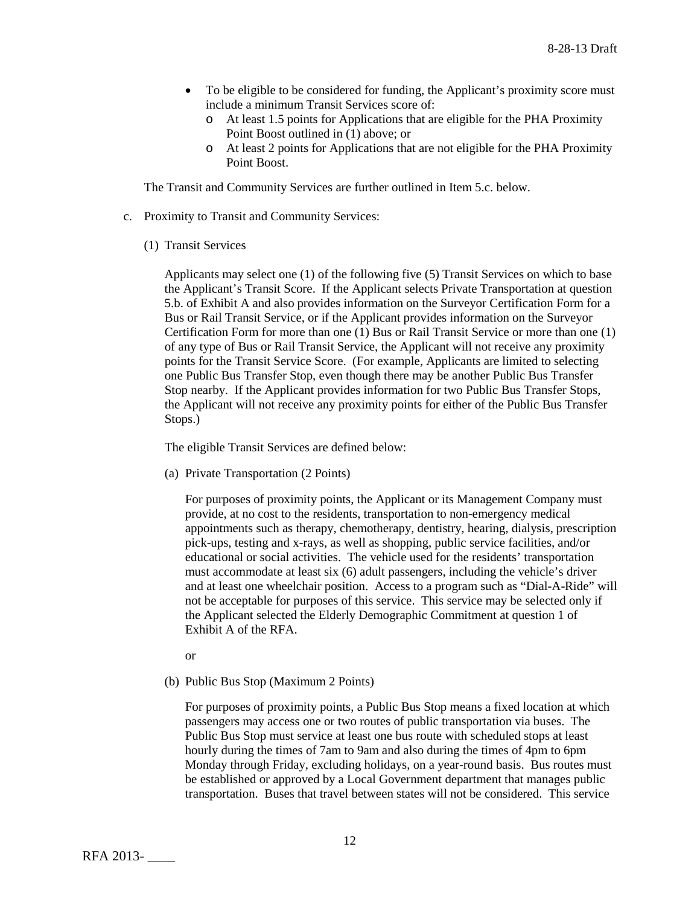- To be eligible to be considered for funding, the Applicant's proximity score must include a minimum Transit Services score of:
	- o At least 1.5 points for Applications that are eligible for the PHA Proximity Point Boost outlined in (1) above; or
	- o At least 2 points for Applications that are not eligible for the PHA Proximity Point Boost.

The Transit and Community Services are further outlined in Item 5.c. below.

- c. Proximity to Transit and Community Services:
	- (1) Transit Services

Applicants may select one (1) of the following five (5) Transit Services on which to base the Applicant's Transit Score. If the Applicant selects Private Transportation at question 5.b. of Exhibit A and also provides information on the Surveyor Certification Form for a Bus or Rail Transit Service, or if the Applicant provides information on the Surveyor Certification Form for more than one (1) Bus or Rail Transit Service or more than one (1) of any type of Bus or Rail Transit Service, the Applicant will not receive any proximity points for the Transit Service Score. (For example, Applicants are limited to selecting one Public Bus Transfer Stop, even though there may be another Public Bus Transfer Stop nearby. If the Applicant provides information for two Public Bus Transfer Stops, the Applicant will not receive any proximity points for either of the Public Bus Transfer Stops.)

The eligible Transit Services are defined below:

(a) Private Transportation (2 Points)

For purposes of proximity points, the Applicant or its Management Company must provide, at no cost to the residents, transportation to non-emergency medical appointments such as therapy, chemotherapy, dentistry, hearing, dialysis, prescription pick-ups, testing and x-rays, as well as shopping, public service facilities, and/or educational or social activities. The vehicle used for the residents' transportation must accommodate at least six (6) adult passengers, including the vehicle's driver and at least one wheelchair position. Access to a program such as "Dial-A-Ride" will not be acceptable for purposes of this service. This service may be selected only if the Applicant selected the Elderly Demographic Commitment at question 1 of Exhibit A of the RFA.

- or
- (b) Public Bus Stop (Maximum 2 Points)

For purposes of proximity points, a Public Bus Stop means a fixed location at which passengers may access one or two routes of public transportation via buses. The Public Bus Stop must service at least one bus route with scheduled stops at least hourly during the times of 7am to 9am and also during the times of 4pm to 6pm Monday through Friday, excluding holidays, on a year-round basis. Bus routes must be established or approved by a Local Government department that manages public transportation. Buses that travel between states will not be considered. This service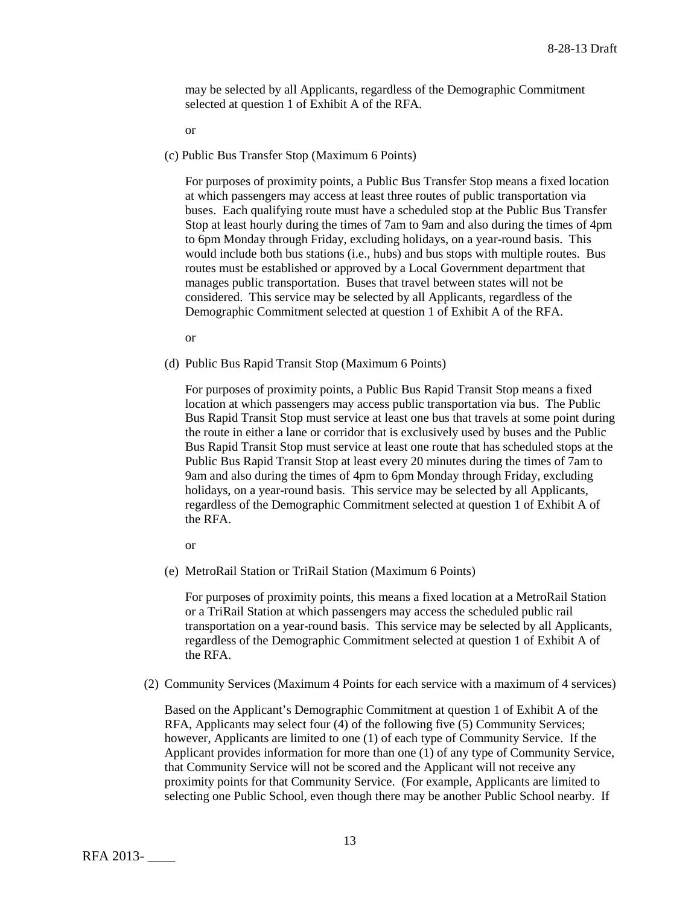may be selected by all Applicants, regardless of the Demographic Commitment selected at question 1 of Exhibit A of the RFA.

or

(c) Public Bus Transfer Stop (Maximum 6 Points)

For purposes of proximity points, a Public Bus Transfer Stop means a fixed location at which passengers may access at least three routes of public transportation via buses. Each qualifying route must have a scheduled stop at the Public Bus Transfer Stop at least hourly during the times of 7am to 9am and also during the times of 4pm to 6pm Monday through Friday, excluding holidays, on a year-round basis. This would include both bus stations (i.e., hubs) and bus stops with multiple routes. Bus routes must be established or approved by a Local Government department that manages public transportation. Buses that travel between states will not be considered. This service may be selected by all Applicants, regardless of the Demographic Commitment selected at question 1 of Exhibit A of the RFA.

or

(d) Public Bus Rapid Transit Stop (Maximum 6 Points)

For purposes of proximity points, a Public Bus Rapid Transit Stop means a fixed location at which passengers may access public transportation via bus. The Public Bus Rapid Transit Stop must service at least one bus that travels at some point during the route in either a lane or corridor that is exclusively used by buses and the Public Bus Rapid Transit Stop must service at least one route that has scheduled stops at the Public Bus Rapid Transit Stop at least every 20 minutes during the times of 7am to 9am and also during the times of 4pm to 6pm Monday through Friday, excluding holidays, on a year-round basis. This service may be selected by all Applicants, regardless of the Demographic Commitment selected at question 1 of Exhibit A of the RFA.

or

(e) MetroRail Station or TriRail Station (Maximum 6 Points)

For purposes of proximity points, this means a fixed location at a MetroRail Station or a TriRail Station at which passengers may access the scheduled public rail transportation on a year-round basis. This service may be selected by all Applicants, regardless of the Demographic Commitment selected at question 1 of Exhibit A of the RFA.

(2) Community Services (Maximum 4 Points for each service with a maximum of 4 services)

Based on the Applicant's Demographic Commitment at question 1 of Exhibit A of the RFA, Applicants may select four (4) of the following five (5) Community Services; however, Applicants are limited to one (1) of each type of Community Service. If the Applicant provides information for more than one (1) of any type of Community Service, that Community Service will not be scored and the Applicant will not receive any proximity points for that Community Service. (For example, Applicants are limited to selecting one Public School, even though there may be another Public School nearby. If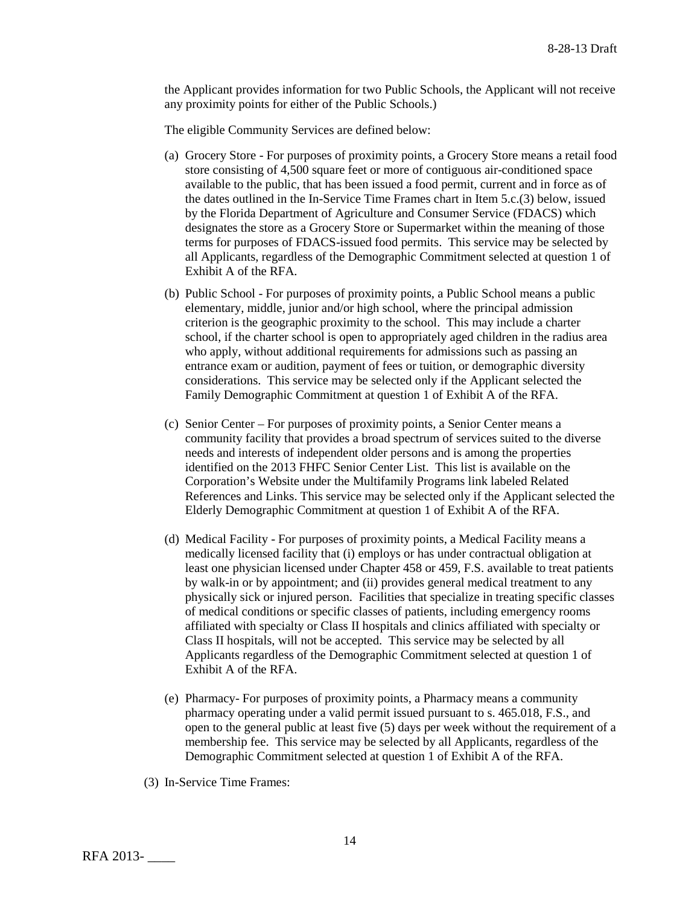the Applicant provides information for two Public Schools, the Applicant will not receive any proximity points for either of the Public Schools.)

The eligible Community Services are defined below:

- (a) Grocery Store For purposes of proximity points, a Grocery Store means a retail food store consisting of 4,500 square feet or more of contiguous air-conditioned space available to the public, that has been issued a food permit, current and in force as of the dates outlined in the In-Service Time Frames chart in Item 5.c.(3) below, issued by the Florida Department of Agriculture and Consumer Service (FDACS) which designates the store as a Grocery Store or Supermarket within the meaning of those terms for purposes of FDACS-issued food permits. This service may be selected by all Applicants, regardless of the Demographic Commitment selected at question 1 of Exhibit A of the RFA.
- (b) Public School For purposes of proximity points, a Public School means a public elementary, middle, junior and/or high school, where the principal admission criterion is the geographic proximity to the school. This may include a charter school, if the charter school is open to appropriately aged children in the radius area who apply, without additional requirements for admissions such as passing an entrance exam or audition, payment of fees or tuition, or demographic diversity considerations. This service may be selected only if the Applicant selected the Family Demographic Commitment at question 1 of Exhibit A of the RFA.
- (c) Senior Center For purposes of proximity points, a Senior Center means a community facility that provides a broad spectrum of services suited to the diverse needs and interests of independent older persons and is among the properties identified on the 2013 FHFC Senior Center List. This list is available on the Corporation's Website under the Multifamily Programs link labeled Related References and Links. This service may be selected only if the Applicant selected the Elderly Demographic Commitment at question 1 of Exhibit A of the RFA.
- (d) Medical Facility For purposes of proximity points, a Medical Facility means a medically licensed facility that (i) employs or has under contractual obligation at least one physician licensed under Chapter 458 or 459, F.S. available to treat patients by walk-in or by appointment; and (ii) provides general medical treatment to any physically sick or injured person. Facilities that specialize in treating specific classes of medical conditions or specific classes of patients, including emergency rooms affiliated with specialty or Class II hospitals and clinics affiliated with specialty or Class II hospitals, will not be accepted. This service may be selected by all Applicants regardless of the Demographic Commitment selected at question 1 of Exhibit A of the RFA.
- (e) Pharmacy- For purposes of proximity points, a Pharmacy means a community pharmacy operating under a valid permit issued pursuant to s. 465.018, F.S., and open to the general public at least five (5) days per week without the requirement of a membership fee. This service may be selected by all Applicants, regardless of the Demographic Commitment selected at question 1 of Exhibit A of the RFA.
- (3) In-Service Time Frames: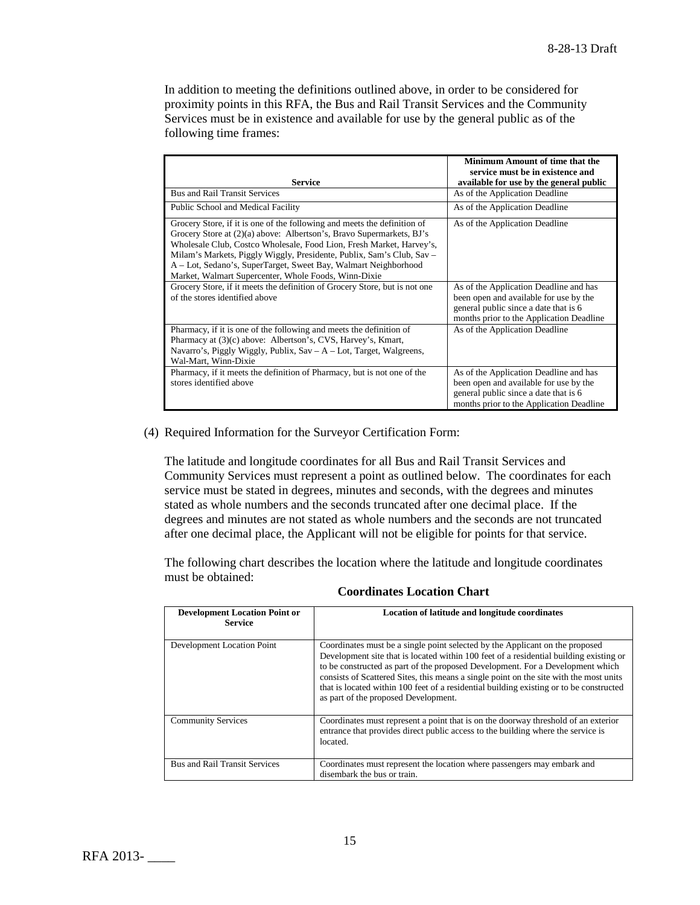In addition to meeting the definitions outlined above, in order to be considered for proximity points in this RFA, the Bus and Rail Transit Services and the Community Services must be in existence and available for use by the general public as of the following time frames:

|                                                                                                                                                                                                                                                                                                                                                                                                                              | Minimum Amount of time that the<br>service must be in existence and                                                                                                   |
|------------------------------------------------------------------------------------------------------------------------------------------------------------------------------------------------------------------------------------------------------------------------------------------------------------------------------------------------------------------------------------------------------------------------------|-----------------------------------------------------------------------------------------------------------------------------------------------------------------------|
| <b>Service</b>                                                                                                                                                                                                                                                                                                                                                                                                               | available for use by the general public                                                                                                                               |
| <b>Bus and Rail Transit Services</b>                                                                                                                                                                                                                                                                                                                                                                                         | As of the Application Deadline                                                                                                                                        |
| Public School and Medical Facility                                                                                                                                                                                                                                                                                                                                                                                           | As of the Application Deadline                                                                                                                                        |
| Grocery Store, if it is one of the following and meets the definition of<br>Grocery Store at (2)(a) above: Albertson's, Bravo Supermarkets, BJ's<br>Wholesale Club, Costco Wholesale, Food Lion, Fresh Market, Harvey's,<br>Milam's Markets, Piggly Wiggly, Presidente, Publix, Sam's Club, Sav –<br>A - Lot, Sedano's, SuperTarget, Sweet Bay, Walmart Neighborhood<br>Market, Walmart Supercenter, Whole Foods, Winn-Dixie | As of the Application Deadline                                                                                                                                        |
| Grocery Store, if it meets the definition of Grocery Store, but is not one<br>of the stores identified above                                                                                                                                                                                                                                                                                                                 | As of the Application Deadline and has<br>been open and available for use by the<br>general public since a date that is 6<br>months prior to the Application Deadline |
| Pharmacy, if it is one of the following and meets the definition of<br>Pharmacy at (3)(c) above: Albertson's, CVS, Harvey's, Kmart,<br>Navarro's, Piggly Wiggly, Publix, Sav - A - Lot, Target, Walgreens,<br>Wal-Mart, Winn-Dixie                                                                                                                                                                                           | As of the Application Deadline                                                                                                                                        |
| Pharmacy, if it meets the definition of Pharmacy, but is not one of the<br>stores identified above                                                                                                                                                                                                                                                                                                                           | As of the Application Deadline and has<br>been open and available for use by the<br>general public since a date that is 6<br>months prior to the Application Deadline |

(4) Required Information for the Surveyor Certification Form:

The latitude and longitude coordinates for all Bus and Rail Transit Services and Community Services must represent a point as outlined below. The coordinates for each service must be stated in degrees, minutes and seconds, with the degrees and minutes stated as whole numbers and the seconds truncated after one decimal place. If the degrees and minutes are not stated as whole numbers and the seconds are not truncated after one decimal place, the Applicant will not be eligible for points for that service.

The following chart describes the location where the latitude and longitude coordinates must be obtained:

| <b>Development Location Point or</b><br><b>Service</b> | Location of latitude and longitude coordinates                                                                                                                                                                                                                                                                                                                                                                                                                                        |
|--------------------------------------------------------|---------------------------------------------------------------------------------------------------------------------------------------------------------------------------------------------------------------------------------------------------------------------------------------------------------------------------------------------------------------------------------------------------------------------------------------------------------------------------------------|
| Development Location Point                             | Coordinates must be a single point selected by the Applicant on the proposed<br>Development site that is located within 100 feet of a residential building existing or<br>to be constructed as part of the proposed Development. For a Development which<br>consists of Scattered Sites, this means a single point on the site with the most units<br>that is located within 100 feet of a residential building existing or to be constructed<br>as part of the proposed Development. |
| <b>Community Services</b>                              | Coordinates must represent a point that is on the doorway threshold of an exterior<br>entrance that provides direct public access to the building where the service is<br>located.                                                                                                                                                                                                                                                                                                    |
| <b>Bus and Rail Transit Services</b>                   | Coordinates must represent the location where passengers may embark and<br>disembark the bus or train.                                                                                                                                                                                                                                                                                                                                                                                |

**Coordinates Location Chart**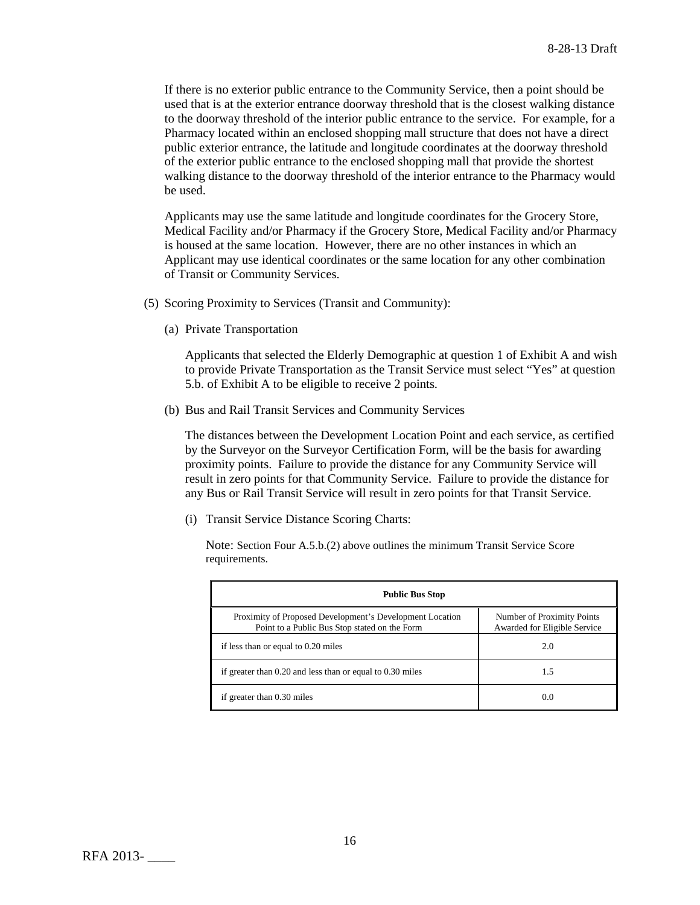If there is no exterior public entrance to the Community Service, then a point should be used that is at the exterior entrance doorway threshold that is the closest walking distance to the doorway threshold of the interior public entrance to the service. For example, for a Pharmacy located within an enclosed shopping mall structure that does not have a direct public exterior entrance, the latitude and longitude coordinates at the doorway threshold of the exterior public entrance to the enclosed shopping mall that provide the shortest walking distance to the doorway threshold of the interior entrance to the Pharmacy would be used.

Applicants may use the same latitude and longitude coordinates for the Grocery Store, Medical Facility and/or Pharmacy if the Grocery Store, Medical Facility and/or Pharmacy is housed at the same location. However, there are no other instances in which an Applicant may use identical coordinates or the same location for any other combination of Transit or Community Services.

- (5) Scoring Proximity to Services (Transit and Community):
	- (a) Private Transportation

Applicants that selected the Elderly Demographic at question 1 of Exhibit A and wish to provide Private Transportation as the Transit Service must select "Yes" at question 5.b. of Exhibit A to be eligible to receive 2 points.

(b) Bus and Rail Transit Services and Community Services

The distances between the Development Location Point and each service, as certified by the Surveyor on the Surveyor Certification Form, will be the basis for awarding proximity points. Failure to provide the distance for any Community Service will result in zero points for that Community Service. Failure to provide the distance for any Bus or Rail Transit Service will result in zero points for that Transit Service.

(i) Transit Service Distance Scoring Charts:

Note: Section Four A.5.b.(2) above outlines the minimum Transit Service Score requirements.

| <b>Public Bus Stop</b>                                                                                    |                                                            |  |
|-----------------------------------------------------------------------------------------------------------|------------------------------------------------------------|--|
| Proximity of Proposed Development's Development Location<br>Point to a Public Bus Stop stated on the Form | Number of Proximity Points<br>Awarded for Eligible Service |  |
| if less than or equal to 0.20 miles                                                                       | 2.0                                                        |  |
| if greater than 0.20 and less than or equal to 0.30 miles                                                 | 1.5                                                        |  |
| if greater than 0.30 miles                                                                                | 0.0                                                        |  |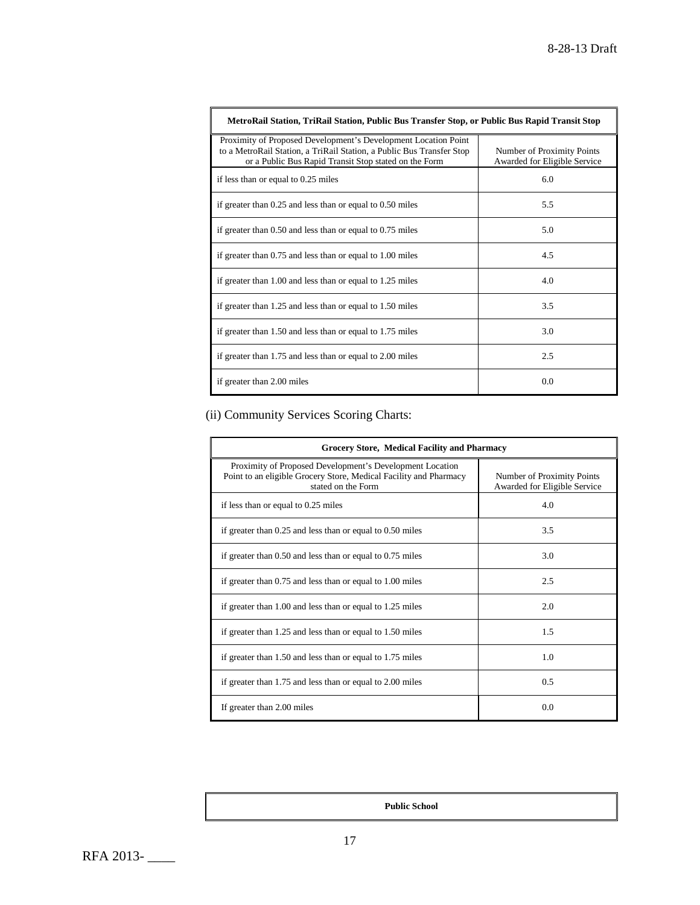| MetroRail Station, TriRail Station, Public Bus Transfer Stop, or Public Bus Rapid Transit Stop                                                                                                   |                                                            |  |
|--------------------------------------------------------------------------------------------------------------------------------------------------------------------------------------------------|------------------------------------------------------------|--|
| Proximity of Proposed Development's Development Location Point<br>to a MetroRail Station, a TriRail Station, a Public Bus Transfer Stop<br>or a Public Bus Rapid Transit Stop stated on the Form | Number of Proximity Points<br>Awarded for Eligible Service |  |
| if less than or equal to 0.25 miles                                                                                                                                                              | 6.0                                                        |  |
| if greater than $0.25$ and less than or equal to $0.50$ miles                                                                                                                                    | 5.5                                                        |  |
| if greater than 0.50 and less than or equal to 0.75 miles                                                                                                                                        | 5.0                                                        |  |
| if greater than 0.75 and less than or equal to 1.00 miles                                                                                                                                        | 4.5                                                        |  |
| if greater than 1.00 and less than or equal to 1.25 miles                                                                                                                                        | 4.0                                                        |  |
| if greater than 1.25 and less than or equal to 1.50 miles                                                                                                                                        | 3.5                                                        |  |
| if greater than 1.50 and less than or equal to 1.75 miles                                                                                                                                        | 3.0                                                        |  |
| if greater than 1.75 and less than or equal to 2.00 miles                                                                                                                                        | 2.5                                                        |  |
| if greater than 2.00 miles                                                                                                                                                                       | 0.0                                                        |  |

(ii) Community Services Scoring Charts:

| <b>Grocery Store, Medical Facility and Pharmacy</b>                                                                                                 |                                                            |  |
|-----------------------------------------------------------------------------------------------------------------------------------------------------|------------------------------------------------------------|--|
| Proximity of Proposed Development's Development Location<br>Point to an eligible Grocery Store, Medical Facility and Pharmacy<br>stated on the Form | Number of Proximity Points<br>Awarded for Eligible Service |  |
| if less than or equal to 0.25 miles                                                                                                                 | 4.0                                                        |  |
| if greater than $0.25$ and less than or equal to $0.50$ miles                                                                                       | 3.5                                                        |  |
| if greater than $0.50$ and less than or equal to $0.75$ miles                                                                                       | 3.0                                                        |  |
| if greater than 0.75 and less than or equal to 1.00 miles                                                                                           | 2.5                                                        |  |
| if greater than 1.00 and less than or equal to 1.25 miles                                                                                           | 2.0                                                        |  |
| if greater than 1.25 and less than or equal to 1.50 miles                                                                                           | 1.5                                                        |  |
| if greater than 1.50 and less than or equal to 1.75 miles                                                                                           | 1.0                                                        |  |
| if greater than 1.75 and less than or equal to 2.00 miles                                                                                           | 0.5                                                        |  |
| If greater than 2.00 miles                                                                                                                          | 0.0                                                        |  |

**Public School**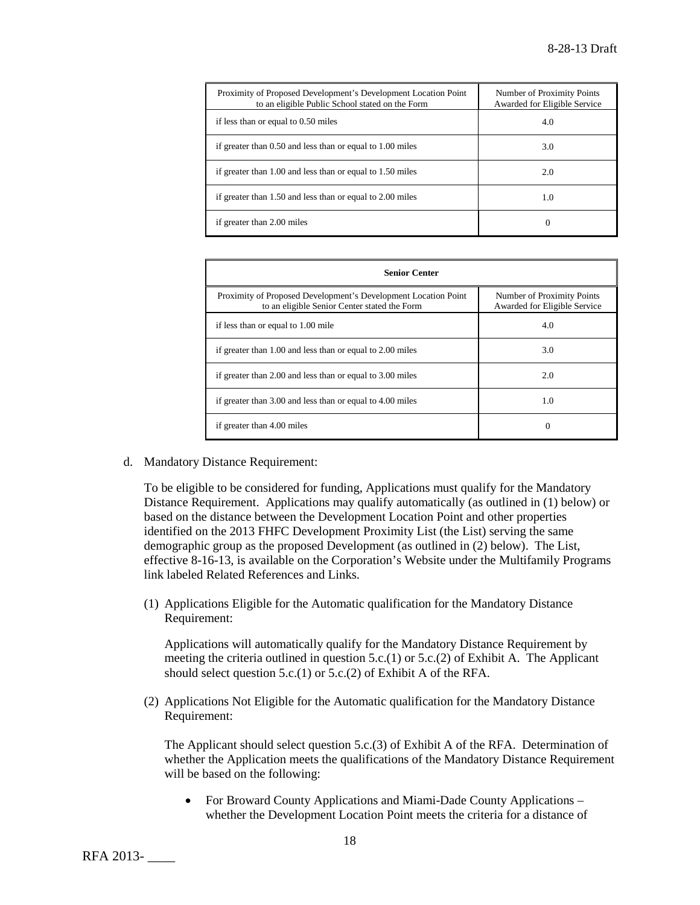| Proximity of Proposed Development's Development Location Point<br>to an eligible Public School stated on the Form | Number of Proximity Points<br>Awarded for Eligible Service |
|-------------------------------------------------------------------------------------------------------------------|------------------------------------------------------------|
| if less than or equal to 0.50 miles                                                                               | 4.0                                                        |
| if greater than 0.50 and less than or equal to 1.00 miles                                                         | 3.0                                                        |
| if greater than 1.00 and less than or equal to 1.50 miles                                                         | 2.0                                                        |
| if greater than 1.50 and less than or equal to 2.00 miles                                                         | 1.0                                                        |
| if greater than 2.00 miles                                                                                        | $_{0}$                                                     |

| <b>Senior Center</b>                                                                                           |                                                            |  |
|----------------------------------------------------------------------------------------------------------------|------------------------------------------------------------|--|
| Proximity of Proposed Development's Development Location Point<br>to an eligible Senior Center stated the Form | Number of Proximity Points<br>Awarded for Eligible Service |  |
| if less than or equal to 1.00 mile                                                                             | 4.0                                                        |  |
| if greater than 1.00 and less than or equal to 2.00 miles                                                      | 3.0                                                        |  |
| if greater than 2.00 and less than or equal to 3.00 miles                                                      | 2.0                                                        |  |
| if greater than 3.00 and less than or equal to 4.00 miles                                                      | 1.0                                                        |  |
| if greater than 4.00 miles                                                                                     | 0                                                          |  |

d. Mandatory Distance Requirement:

To be eligible to be considered for funding, Applications must qualify for the Mandatory Distance Requirement. Applications may qualify automatically (as outlined in (1) below) or based on the distance between the Development Location Point and other properties identified on the 2013 FHFC Development Proximity List (the List) serving the same demographic group as the proposed Development (as outlined in (2) below). The List, effective 8-16-13, is available on the Corporation's Website under the Multifamily Programs link labeled Related References and Links.

(1) Applications Eligible for the Automatic qualification for the Mandatory Distance Requirement:

Applications will automatically qualify for the Mandatory Distance Requirement by meeting the criteria outlined in question  $5.c.(1)$  or  $5.c.(2)$  of Exhibit A. The Applicant should select question 5.c.(1) or 5.c.(2) of Exhibit A of the RFA.

(2) Applications Not Eligible for the Automatic qualification for the Mandatory Distance Requirement:

The Applicant should select question 5.c.(3) of Exhibit A of the RFA. Determination of whether the Application meets the qualifications of the Mandatory Distance Requirement will be based on the following:

• For Broward County Applications and Miami-Dade County Applications – whether the Development Location Point meets the criteria for a distance of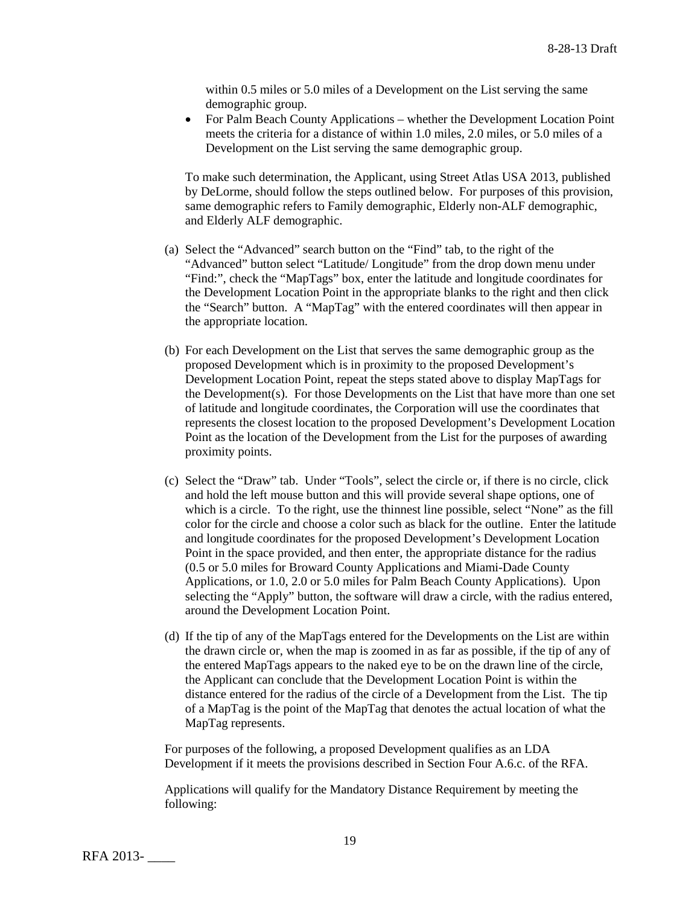within 0.5 miles or 5.0 miles of a Development on the List serving the same demographic group.

• For Palm Beach County Applications – whether the Development Location Point meets the criteria for a distance of within 1.0 miles, 2.0 miles, or 5.0 miles of a Development on the List serving the same demographic group.

To make such determination, the Applicant, using Street Atlas USA 2013, published by DeLorme, should follow the steps outlined below. For purposes of this provision, same demographic refers to Family demographic, Elderly non-ALF demographic, and Elderly ALF demographic.

- (a) Select the "Advanced" search button on the "Find" tab, to the right of the "Advanced" button select "Latitude/ Longitude" from the drop down menu under "Find:", check the "MapTags" box, enter the latitude and longitude coordinates for the Development Location Point in the appropriate blanks to the right and then click the "Search" button. A "MapTag" with the entered coordinates will then appear in the appropriate location.
- (b) For each Development on the List that serves the same demographic group as the proposed Development which is in proximity to the proposed Development's Development Location Point, repeat the steps stated above to display MapTags for the Development(s). For those Developments on the List that have more than one set of latitude and longitude coordinates, the Corporation will use the coordinates that represents the closest location to the proposed Development's Development Location Point as the location of the Development from the List for the purposes of awarding proximity points.
- (c) Select the "Draw" tab. Under "Tools", select the circle or, if there is no circle, click and hold the left mouse button and this will provide several shape options, one of which is a circle. To the right, use the thinnest line possible, select "None" as the fill color for the circle and choose a color such as black for the outline. Enter the latitude and longitude coordinates for the proposed Development's Development Location Point in the space provided, and then enter, the appropriate distance for the radius (0.5 or 5.0 miles for Broward County Applications and Miami-Dade County Applications, or 1.0, 2.0 or 5.0 miles for Palm Beach County Applications). Upon selecting the "Apply" button, the software will draw a circle, with the radius entered, around the Development Location Point.
- (d) If the tip of any of the MapTags entered for the Developments on the List are within the drawn circle or, when the map is zoomed in as far as possible, if the tip of any of the entered MapTags appears to the naked eye to be on the drawn line of the circle, the Applicant can conclude that the Development Location Point is within the distance entered for the radius of the circle of a Development from the List. The tip of a MapTag is the point of the MapTag that denotes the actual location of what the MapTag represents.

For purposes of the following, a proposed Development qualifies as an LDA Development if it meets the provisions described in Section Four A.6.c. of the RFA.

Applications will qualify for the Mandatory Distance Requirement by meeting the following: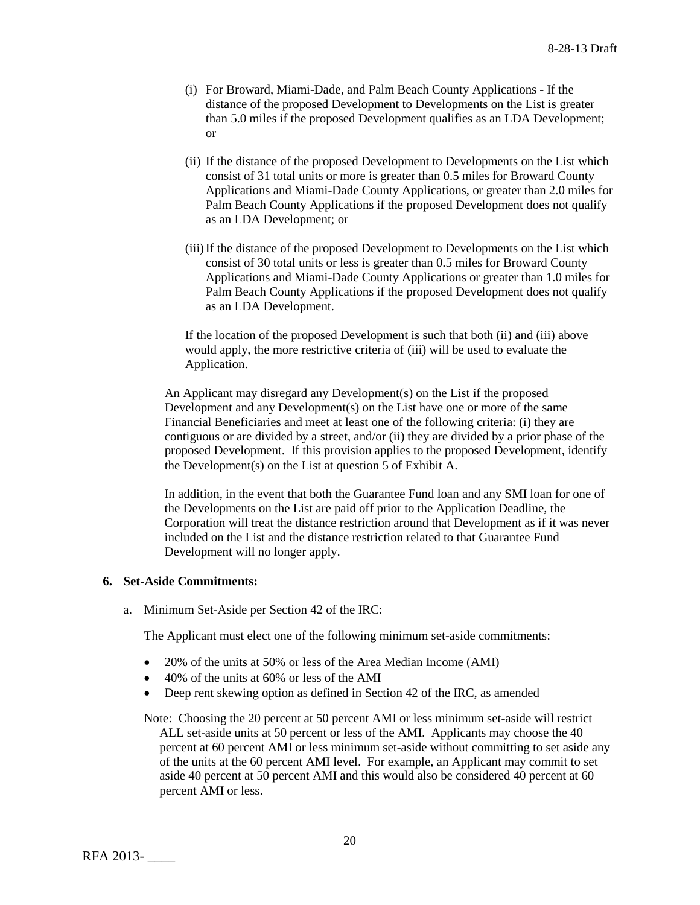- (i) For Broward, Miami-Dade, and Palm Beach County Applications If the distance of the proposed Development to Developments on the List is greater than 5.0 miles if the proposed Development qualifies as an LDA Development; or
- (ii) If the distance of the proposed Development to Developments on the List which consist of 31 total units or more is greater than 0.5 miles for Broward County Applications and Miami-Dade County Applications, or greater than 2.0 miles for Palm Beach County Applications if the proposed Development does not qualify as an LDA Development; or
- (iii)If the distance of the proposed Development to Developments on the List which consist of 30 total units or less is greater than 0.5 miles for Broward County Applications and Miami-Dade County Applications or greater than 1.0 miles for Palm Beach County Applications if the proposed Development does not qualify as an LDA Development.

If the location of the proposed Development is such that both (ii) and (iii) above would apply, the more restrictive criteria of (iii) will be used to evaluate the Application.

An Applicant may disregard any Development(s) on the List if the proposed Development and any Development(s) on the List have one or more of the same Financial Beneficiaries and meet at least one of the following criteria: (i) they are contiguous or are divided by a street, and/or (ii) they are divided by a prior phase of the proposed Development. If this provision applies to the proposed Development, identify the Development(s) on the List at question 5 of Exhibit A.

In addition, in the event that both the Guarantee Fund loan and any SMI loan for one of the Developments on the List are paid off prior to the Application Deadline, the Corporation will treat the distance restriction around that Development as if it was never included on the List and the distance restriction related to that Guarantee Fund Development will no longer apply.

#### **6. Set-Aside Commitments:**

a. Minimum Set-Aside per Section 42 of the IRC:

The Applicant must elect one of the following minimum set-aside commitments:

- 20% of the units at 50% or less of the Area Median Income (AMI)
- 40% of the units at 60% or less of the AMI
- Deep rent skewing option as defined in Section 42 of the IRC, as amended

Note: Choosing the 20 percent at 50 percent AMI or less minimum set-aside will restrict ALL set-aside units at 50 percent or less of the AMI. Applicants may choose the 40 percent at 60 percent AMI or less minimum set-aside without committing to set aside any of the units at the 60 percent AMI level. For example, an Applicant may commit to set aside 40 percent at 50 percent AMI and this would also be considered 40 percent at 60 percent AMI or less.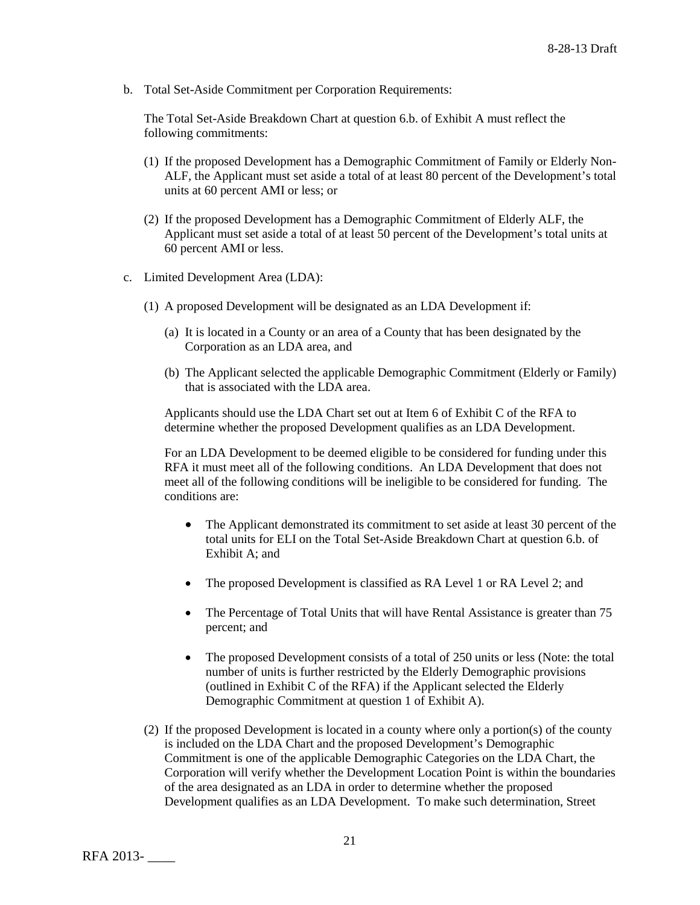b. Total Set-Aside Commitment per Corporation Requirements:

The Total Set-Aside Breakdown Chart at question 6.b. of Exhibit A must reflect the following commitments:

- (1) If the proposed Development has a Demographic Commitment of Family or Elderly Non-ALF, the Applicant must set aside a total of at least 80 percent of the Development's total units at 60 percent AMI or less; or
- (2) If the proposed Development has a Demographic Commitment of Elderly ALF, the Applicant must set aside a total of at least 50 percent of the Development's total units at 60 percent AMI or less.
- c. Limited Development Area (LDA):
	- (1) A proposed Development will be designated as an LDA Development if:
		- (a) It is located in a County or an area of a County that has been designated by the Corporation as an LDA area, and
		- (b) The Applicant selected the applicable Demographic Commitment (Elderly or Family) that is associated with the LDA area.

Applicants should use the LDA Chart set out at Item 6 of Exhibit C of the RFA to determine whether the proposed Development qualifies as an LDA Development.

For an LDA Development to be deemed eligible to be considered for funding under this RFA it must meet all of the following conditions. An LDA Development that does not meet all of the following conditions will be ineligible to be considered for funding. The conditions are:

- The Applicant demonstrated its commitment to set aside at least 30 percent of the total units for ELI on the Total Set-Aside Breakdown Chart at question 6.b. of Exhibit A; and
- The proposed Development is classified as RA Level 1 or RA Level 2; and
- The Percentage of Total Units that will have Rental Assistance is greater than 75 percent; and
- The proposed Development consists of a total of 250 units or less (Note: the total number of units is further restricted by the Elderly Demographic provisions (outlined in Exhibit C of the RFA) if the Applicant selected the Elderly Demographic Commitment at question 1 of Exhibit A).
- (2) If the proposed Development is located in a county where only a portion(s) of the county is included on the LDA Chart and the proposed Development's Demographic Commitment is one of the applicable Demographic Categories on the LDA Chart, the Corporation will verify whether the Development Location Point is within the boundaries of the area designated as an LDA in order to determine whether the proposed Development qualifies as an LDA Development. To make such determination, Street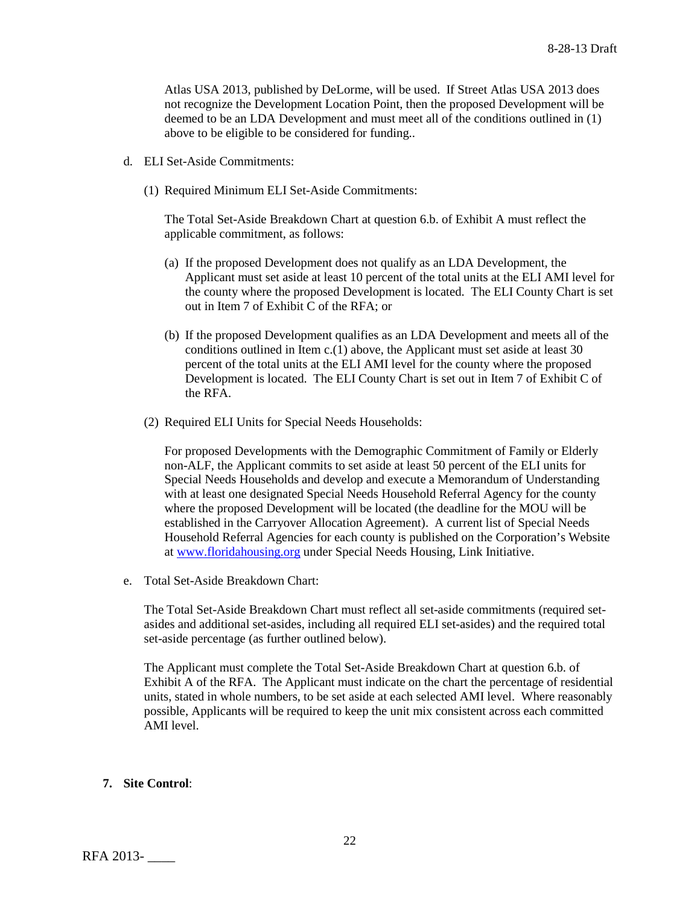Atlas USA 2013, published by DeLorme, will be used. If Street Atlas USA 2013 does not recognize the Development Location Point, then the proposed Development will be deemed to be an LDA Development and must meet all of the conditions outlined in (1) above to be eligible to be considered for funding..

- d. ELI Set-Aside Commitments:
	- (1) Required Minimum ELI Set-Aside Commitments:

The Total Set-Aside Breakdown Chart at question 6.b. of Exhibit A must reflect the applicable commitment, as follows:

- (a) If the proposed Development does not qualify as an LDA Development, the Applicant must set aside at least 10 percent of the total units at the ELI AMI level for the county where the proposed Development is located. The ELI County Chart is set out in Item 7 of Exhibit C of the RFA; or
- (b) If the proposed Development qualifies as an LDA Development and meets all of the conditions outlined in Item c.(1) above, the Applicant must set aside at least 30 percent of the total units at the ELI AMI level for the county where the proposed Development is located. The ELI County Chart is set out in Item 7 of Exhibit C of the RFA.
- (2) Required ELI Units for Special Needs Households:

For proposed Developments with the Demographic Commitment of Family or Elderly non-ALF, the Applicant commits to set aside at least 50 percent of the ELI units for Special Needs Households and develop and execute a Memorandum of Understanding with at least one designated Special Needs Household Referral Agency for the county where the proposed Development will be located (the deadline for the MOU will be established in the Carryover Allocation Agreement). A current list of Special Needs Household Referral Agencies for each county is published on the Corporation's Website at [www.floridahousing.org](http://www.floridahousing.org/) under Special Needs Housing, Link Initiative.

e. Total Set-Aside Breakdown Chart:

The Total Set-Aside Breakdown Chart must reflect all set-aside commitments (required setasides and additional set-asides, including all required ELI set-asides) and the required total set-aside percentage (as further outlined below).

The Applicant must complete the Total Set-Aside Breakdown Chart at question 6.b. of Exhibit A of the RFA. The Applicant must indicate on the chart the percentage of residential units, stated in whole numbers, to be set aside at each selected AMI level. Where reasonably possible, Applicants will be required to keep the unit mix consistent across each committed AMI level.

#### **7. Site Control**: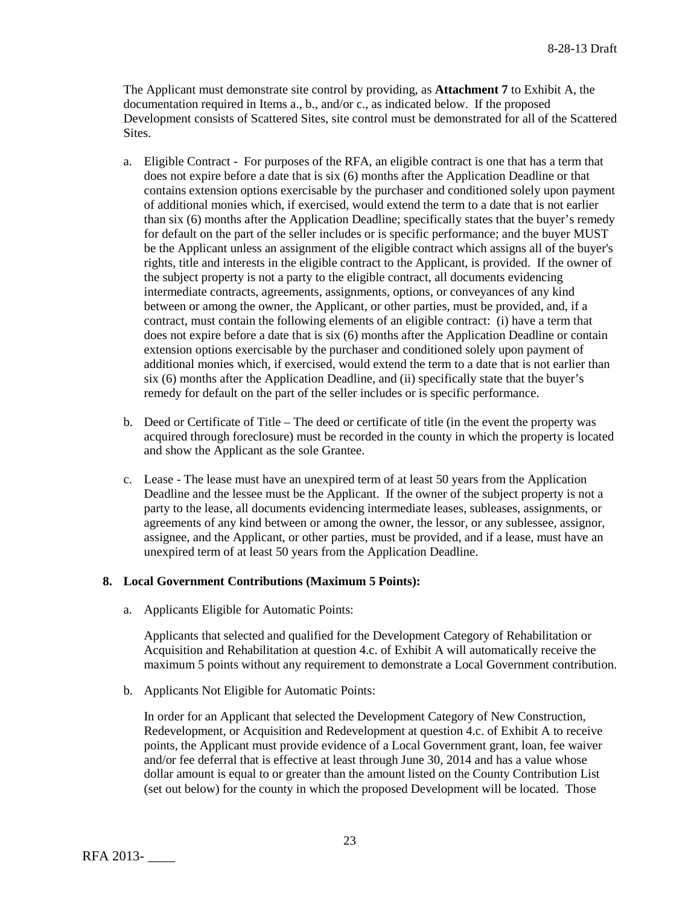The Applicant must demonstrate site control by providing, as **Attachment 7** to Exhibit A, the documentation required in Items a., b., and/or c., as indicated below. If the proposed Development consists of Scattered Sites, site control must be demonstrated for all of the Scattered Sites.

- a. Eligible Contract For purposes of the RFA, an eligible contract is one that has a term that does not expire before a date that is six (6) months after the Application Deadline or that contains extension options exercisable by the purchaser and conditioned solely upon payment of additional monies which, if exercised, would extend the term to a date that is not earlier than six (6) months after the Application Deadline; specifically states that the buyer's remedy for default on the part of the seller includes or is specific performance; and the buyer MUST be the Applicant unless an assignment of the eligible contract which assigns all of the buyer's rights, title and interests in the eligible contract to the Applicant, is provided. If the owner of the subject property is not a party to the eligible contract, all documents evidencing intermediate contracts, agreements, assignments, options, or conveyances of any kind between or among the owner, the Applicant, or other parties, must be provided, and, if a contract, must contain the following elements of an eligible contract: (i) have a term that does not expire before a date that is six (6) months after the Application Deadline or contain extension options exercisable by the purchaser and conditioned solely upon payment of additional monies which, if exercised, would extend the term to a date that is not earlier than six (6) months after the Application Deadline, and (ii) specifically state that the buyer's remedy for default on the part of the seller includes or is specific performance.
- b. Deed or Certificate of Title The deed or certificate of title (in the event the property was acquired through foreclosure) must be recorded in the county in which the property is located and show the Applicant as the sole Grantee.
- c. Lease The lease must have an unexpired term of at least 50 years from the Application Deadline and the lessee must be the Applicant. If the owner of the subject property is not a party to the lease, all documents evidencing intermediate leases, subleases, assignments, or agreements of any kind between or among the owner, the lessor, or any sublessee, assignor, assignee, and the Applicant, or other parties, must be provided, and if a lease, must have an unexpired term of at least 50 years from the Application Deadline.

## **8. Local Government Contributions (Maximum 5 Points):**

a. Applicants Eligible for Automatic Points:

Applicants that selected and qualified for the Development Category of Rehabilitation or Acquisition and Rehabilitation at question 4.c. of Exhibit A will automatically receive the maximum 5 points without any requirement to demonstrate a Local Government contribution.

b. Applicants Not Eligible for Automatic Points:

In order for an Applicant that selected the Development Category of New Construction, Redevelopment, or Acquisition and Redevelopment at question 4.c. of Exhibit A to receive points, the Applicant must provide evidence of a Local Government grant, loan, fee waiver and/or fee deferral that is effective at least through June 30, 2014 and has a value whose dollar amount is equal to or greater than the amount listed on the County Contribution List (set out below) for the county in which the proposed Development will be located. Those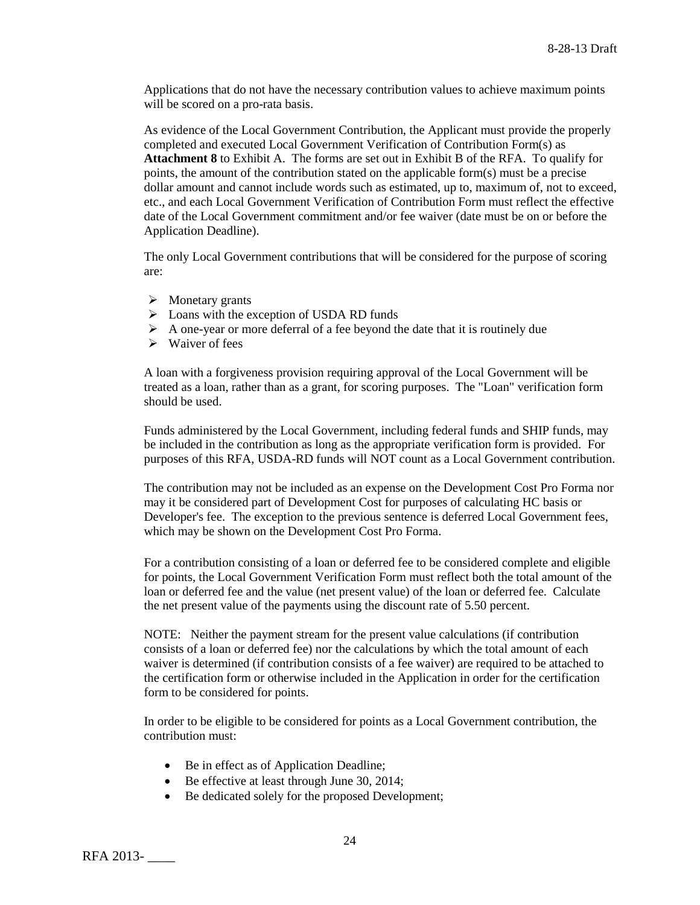Applications that do not have the necessary contribution values to achieve maximum points will be scored on a pro-rata basis.

As evidence of the Local Government Contribution, the Applicant must provide the properly completed and executed Local Government Verification of Contribution Form(s) as **Attachment 8** to Exhibit A. The forms are set out in Exhibit B of the RFA. To qualify for points, the amount of the contribution stated on the applicable form(s) must be a precise dollar amount and cannot include words such as estimated, up to, maximum of, not to exceed, etc., and each Local Government Verification of Contribution Form must reflect the effective date of the Local Government commitment and/or fee waiver (date must be on or before the Application Deadline).

The only Local Government contributions that will be considered for the purpose of scoring are:

- $\triangleright$  Monetary grants
- $\triangleright$  Loans with the exception of USDA RD funds
- $\triangleright$  A one-year or more deferral of a fee beyond the date that it is routinely due
- $\triangleright$  Waiver of fees

A loan with a forgiveness provision requiring approval of the Local Government will be treated as a loan, rather than as a grant, for scoring purposes. The "Loan" verification form should be used.

Funds administered by the Local Government, including federal funds and SHIP funds, may be included in the contribution as long as the appropriate verification form is provided. For purposes of this RFA, USDA-RD funds will NOT count as a Local Government contribution.

The contribution may not be included as an expense on the Development Cost Pro Forma nor may it be considered part of Development Cost for purposes of calculating HC basis or Developer's fee. The exception to the previous sentence is deferred Local Government fees, which may be shown on the Development Cost Pro Forma.

For a contribution consisting of a loan or deferred fee to be considered complete and eligible for points, the Local Government Verification Form must reflect both the total amount of the loan or deferred fee and the value (net present value) of the loan or deferred fee. Calculate the net present value of the payments using the discount rate of 5.50 percent.

NOTE: Neither the payment stream for the present value calculations (if contribution consists of a loan or deferred fee) nor the calculations by which the total amount of each waiver is determined (if contribution consists of a fee waiver) are required to be attached to the certification form or otherwise included in the Application in order for the certification form to be considered for points.

In order to be eligible to be considered for points as a Local Government contribution, the contribution must:

- Be in effect as of Application Deadline;
- Be effective at least through June 30, 2014;
- Be dedicated solely for the proposed Development;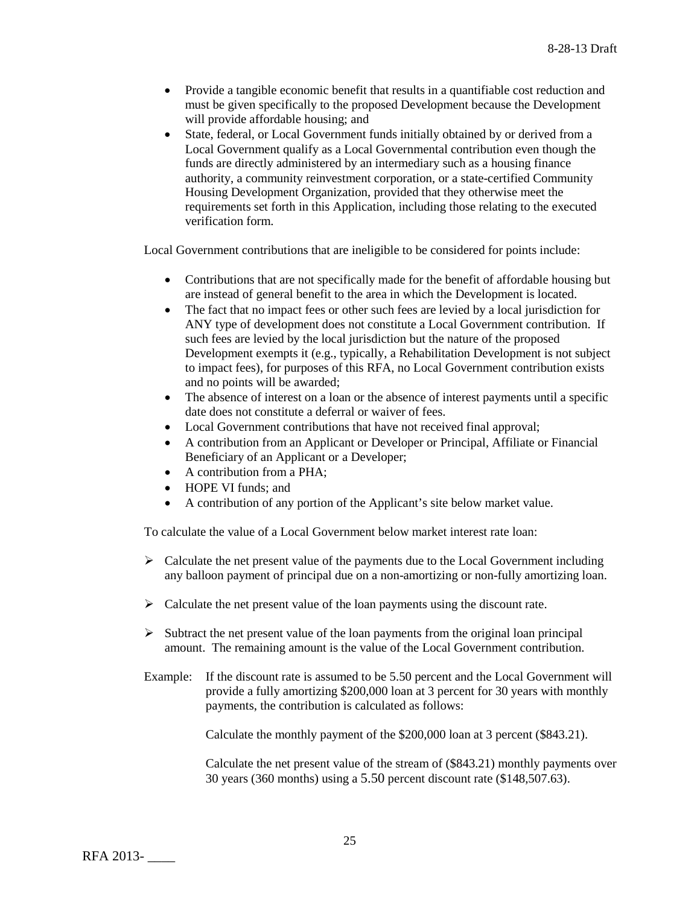- Provide a tangible economic benefit that results in a quantifiable cost reduction and must be given specifically to the proposed Development because the Development will provide affordable housing; and
- State, federal, or Local Government funds initially obtained by or derived from a Local Government qualify as a Local Governmental contribution even though the funds are directly administered by an intermediary such as a housing finance authority, a community reinvestment corporation, or a state-certified Community Housing Development Organization, provided that they otherwise meet the requirements set forth in this Application, including those relating to the executed verification form.

Local Government contributions that are ineligible to be considered for points include:

- Contributions that are not specifically made for the benefit of affordable housing but are instead of general benefit to the area in which the Development is located.
- The fact that no impact fees or other such fees are levied by a local jurisdiction for ANY type of development does not constitute a Local Government contribution. If such fees are levied by the local jurisdiction but the nature of the proposed Development exempts it (e.g., typically, a Rehabilitation Development is not subject to impact fees), for purposes of this RFA, no Local Government contribution exists and no points will be awarded;
- The absence of interest on a loan or the absence of interest payments until a specific date does not constitute a deferral or waiver of fees.
- Local Government contributions that have not received final approval;
- A contribution from an Applicant or Developer or Principal, Affiliate or Financial Beneficiary of an Applicant or a Developer;
- A contribution from a PHA;
- HOPE VI funds: and
- A contribution of any portion of the Applicant's site below market value.

To calculate the value of a Local Government below market interest rate loan:

- $\triangleright$  Calculate the net present value of the payments due to the Local Government including any balloon payment of principal due on a non-amortizing or non-fully amortizing loan.
- $\triangleright$  Calculate the net present value of the loan payments using the discount rate.
- $\triangleright$  Subtract the net present value of the loan payments from the original loan principal amount. The remaining amount is the value of the Local Government contribution.
- Example: If the discount rate is assumed to be 5.50 percent and the Local Government will provide a fully amortizing \$200,000 loan at 3 percent for 30 years with monthly payments, the contribution is calculated as follows:

Calculate the monthly payment of the \$200,000 loan at 3 percent (\$843.21).

Calculate the net present value of the stream of (\$843.21) monthly payments over 30 years (360 months) using a 5.50 percent discount rate (\$148,507.63).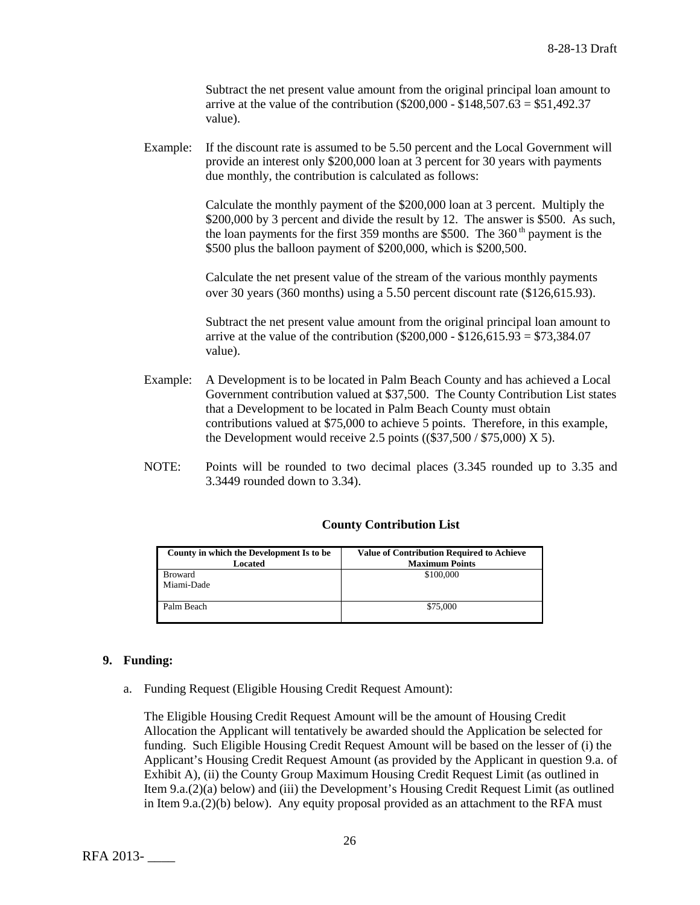Subtract the net present value amount from the original principal loan amount to arrive at the value of the contribution ( $$200,000 - $148,507.63 = $51,492.37$ ) value).

Example: If the discount rate is assumed to be 5.50 percent and the Local Government will provide an interest only \$200,000 loan at 3 percent for 30 years with payments due monthly, the contribution is calculated as follows:

> Calculate the monthly payment of the \$200,000 loan at 3 percent. Multiply the \$200,000 by 3 percent and divide the result by 12. The answer is \$500. As such, the loan payments for the first 359 months are \$500. The  $360<sup>th</sup>$  payment is the \$500 plus the balloon payment of \$200,000, which is \$200,500.

Calculate the net present value of the stream of the various monthly payments over 30 years (360 months) using a 5.50 percent discount rate (\$126,615.93).

Subtract the net present value amount from the original principal loan amount to arrive at the value of the contribution (\$200,000 - \$126,615.93 = \$73,384.07 value).

- Example: A Development is to be located in Palm Beach County and has achieved a Local Government contribution valued at \$37,500. The County Contribution List states that a Development to be located in Palm Beach County must obtain contributions valued at \$75,000 to achieve 5 points. Therefore, in this example, the Development would receive 2.5 points  $((\$37,500 / \$75,000) \times 5)$ .
- NOTE: Points will be rounded to two decimal places (3.345 rounded up to 3.35 and 3.3449 rounded down to 3.34).

| County in which the Development Is to be | <b>Value of Contribution Required to Achieve</b> |
|------------------------------------------|--------------------------------------------------|
| Located                                  | <b>Maximum Points</b>                            |
| <b>Broward</b>                           | \$100,000                                        |
| Miami-Dade                               |                                                  |
|                                          |                                                  |
| Palm Beach                               | \$75,000                                         |
|                                          |                                                  |

## **County Contribution List**

#### **9. Funding:**

a. Funding Request (Eligible Housing Credit Request Amount):

The Eligible Housing Credit Request Amount will be the amount of Housing Credit Allocation the Applicant will tentatively be awarded should the Application be selected for funding. Such Eligible Housing Credit Request Amount will be based on the lesser of (i) the Applicant's Housing Credit Request Amount (as provided by the Applicant in question 9.a. of Exhibit A), (ii) the County Group Maximum Housing Credit Request Limit (as outlined in Item 9.a.(2)(a) below) and (iii) the Development's Housing Credit Request Limit (as outlined in Item  $9.a.(2)(b)$  below). Any equity proposal provided as an attachment to the RFA must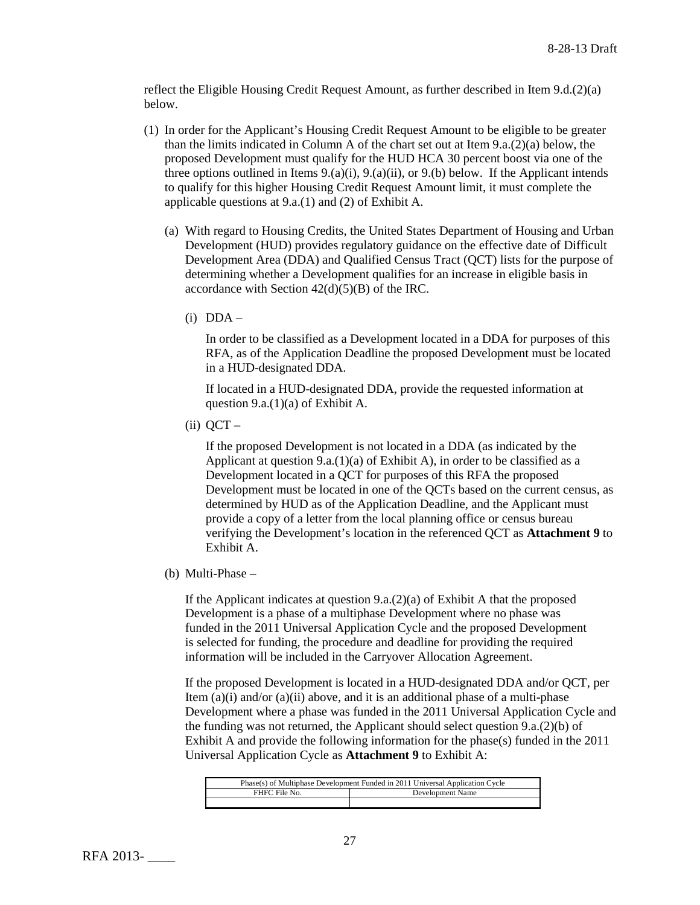reflect the Eligible Housing Credit Request Amount, as further described in Item 9.d.(2)(a) below.

- (1) In order for the Applicant's Housing Credit Request Amount to be eligible to be greater than the limits indicated in Column A of the chart set out at Item  $9.a.(2)(a)$  below, the proposed Development must qualify for the HUD HCA 30 percent boost via one of the three options outlined in Items  $9(0, a)(i)$ ,  $9(0, a)(i)$ , or  $9(0, b)$  below. If the Applicant intends to qualify for this higher Housing Credit Request Amount limit, it must complete the applicable questions at 9.a.(1) and (2) of Exhibit A.
	- (a) With regard to Housing Credits, the United States Department of Housing and Urban Development (HUD) provides regulatory guidance on the effective date of Difficult Development Area (DDA) and Qualified Census Tract (QCT) lists for the purpose of determining whether a Development qualifies for an increase in eligible basis in accordance with Section  $42(d)(5)(B)$  of the IRC.
		- $(i)$  DDA –

In order to be classified as a Development located in a DDA for purposes of this RFA, as of the Application Deadline the proposed Development must be located in a HUD-designated DDA.

If located in a HUD-designated DDA, provide the requested information at question 9.a. $(1)(a)$  of Exhibit A.

 $(ii)$  OCT –

If the proposed Development is not located in a DDA (as indicated by the Applicant at question 9.a.(1)(a) of Exhibit A), in order to be classified as a Development located in a QCT for purposes of this RFA the proposed Development must be located in one of the QCTs based on the current census, as determined by HUD as of the Application Deadline, and the Applicant must provide a copy of a letter from the local planning office or census bureau verifying the Development's location in the referenced QCT as **Attachment 9** to Exhibit A.

(b) Multi-Phase –

If the Applicant indicates at question 9.a.(2)(a) of Exhibit A that the proposed Development is a phase of a multiphase Development where no phase was funded in the 2011 Universal Application Cycle and the proposed Development is selected for funding, the procedure and deadline for providing the required information will be included in the Carryover Allocation Agreement.

If the proposed Development is located in a HUD-designated DDA and/or QCT, per Item  $(a)(i)$  and/or  $(a)(ii)$  above, and it is an additional phase of a multi-phase Development where a phase was funded in the 2011 Universal Application Cycle and the funding was not returned, the Applicant should select question  $9.a.(2)(b)$  of Exhibit A and provide the following information for the phase(s) funded in the 2011 Universal Application Cycle as **Attachment 9** to Exhibit A:

| Phase(s) of Multiphase Development Funded in 2011 Universal Application Cycle |                  |
|-------------------------------------------------------------------------------|------------------|
| FHFC File No.                                                                 | Development Name |
|                                                                               |                  |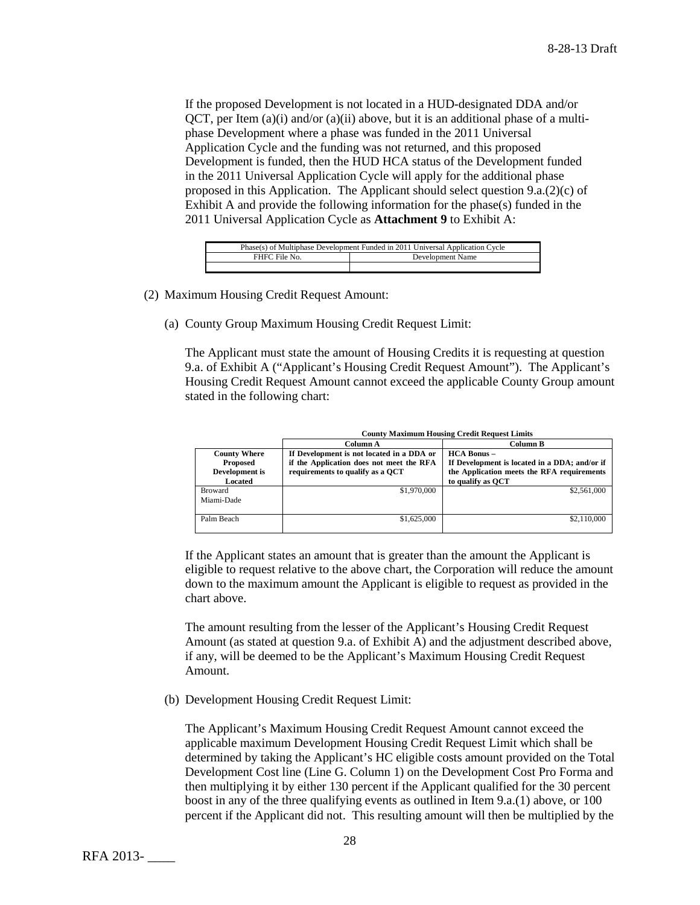If the proposed Development is not located in a HUD-designated DDA and/or  $QCT$ , per Item  $(a)(i)$  and/or  $(a)(ii)$  above, but it is an additional phase of a multiphase Development where a phase was funded in the 2011 Universal Application Cycle and the funding was not returned, and this proposed Development is funded, then the HUD HCA status of the Development funded in the 2011 Universal Application Cycle will apply for the additional phase proposed in this Application. The Applicant should select question 9.a.(2)(c) of Exhibit A and provide the following information for the phase(s) funded in the 2011 Universal Application Cycle as **Attachment 9** to Exhibit A:

| Phase(s) of Multiphase Development Funded in 2011 Universal Application Cycle |  |  |
|-------------------------------------------------------------------------------|--|--|
| FHFC File No.<br>Development Name                                             |  |  |
|                                                                               |  |  |

(2) Maximum Housing Credit Request Amount:

(a) County Group Maximum Housing Credit Request Limit:

The Applicant must state the amount of Housing Credits it is requesting at question 9.a. of Exhibit A ("Applicant's Housing Credit Request Amount"). The Applicant's Housing Credit Request Amount cannot exceed the applicable County Group amount stated in the following chart:

|                                                              | <b>County Maximum Housing Credit Request Limits</b>                                                                       |                                                                                                                                     |
|--------------------------------------------------------------|---------------------------------------------------------------------------------------------------------------------------|-------------------------------------------------------------------------------------------------------------------------------------|
|                                                              | Column A                                                                                                                  | Column B                                                                                                                            |
| <b>County Where</b><br>Proposed<br>Development is<br>Located | If Development is not located in a DDA or<br>if the Application does not meet the RFA<br>requirements to qualify as a OCT | $HCA$ Bonus $-$<br>If Development is located in a DDA; and/or if<br>the Application meets the RFA requirements<br>to qualify as OCT |
| <b>Broward</b><br>Miami-Dade                                 | \$1,970,000                                                                                                               | \$2,561,000                                                                                                                         |
| Palm Beach                                                   | \$1,625,000                                                                                                               | \$2,110,000                                                                                                                         |

If the Applicant states an amount that is greater than the amount the Applicant is eligible to request relative to the above chart, the Corporation will reduce the amount down to the maximum amount the Applicant is eligible to request as provided in the chart above.

The amount resulting from the lesser of the Applicant's Housing Credit Request Amount (as stated at question 9.a. of Exhibit A) and the adjustment described above, if any, will be deemed to be the Applicant's Maximum Housing Credit Request Amount.

(b) Development Housing Credit Request Limit:

The Applicant's Maximum Housing Credit Request Amount cannot exceed the applicable maximum Development Housing Credit Request Limit which shall be determined by taking the Applicant's HC eligible costs amount provided on the Total Development Cost line (Line G. Column 1) on the Development Cost Pro Forma and then multiplying it by either 130 percent if the Applicant qualified for the 30 percent boost in any of the three qualifying events as outlined in Item 9.a.(1) above, or 100 percent if the Applicant did not. This resulting amount will then be multiplied by the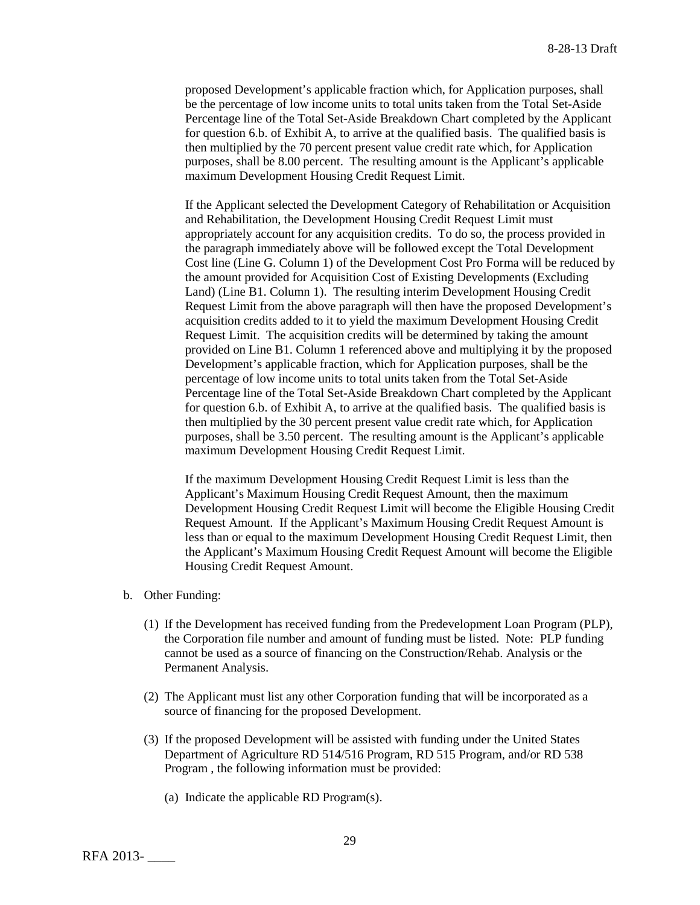proposed Development's applicable fraction which, for Application purposes, shall be the percentage of low income units to total units taken from the Total Set-Aside Percentage line of the Total Set-Aside Breakdown Chart completed by the Applicant for question 6.b. of Exhibit A, to arrive at the qualified basis. The qualified basis is then multiplied by the 70 percent present value credit rate which, for Application purposes, shall be 8.00 percent. The resulting amount is the Applicant's applicable maximum Development Housing Credit Request Limit.

If the Applicant selected the Development Category of Rehabilitation or Acquisition and Rehabilitation, the Development Housing Credit Request Limit must appropriately account for any acquisition credits. To do so, the process provided in the paragraph immediately above will be followed except the Total Development Cost line (Line G. Column 1) of the Development Cost Pro Forma will be reduced by the amount provided for Acquisition Cost of Existing Developments (Excluding Land) (Line B1. Column 1). The resulting interim Development Housing Credit Request Limit from the above paragraph will then have the proposed Development's acquisition credits added to it to yield the maximum Development Housing Credit Request Limit. The acquisition credits will be determined by taking the amount provided on Line B1. Column 1 referenced above and multiplying it by the proposed Development's applicable fraction, which for Application purposes, shall be the percentage of low income units to total units taken from the Total Set-Aside Percentage line of the Total Set-Aside Breakdown Chart completed by the Applicant for question 6.b. of Exhibit A, to arrive at the qualified basis. The qualified basis is then multiplied by the 30 percent present value credit rate which, for Application purposes, shall be 3.50 percent. The resulting amount is the Applicant's applicable maximum Development Housing Credit Request Limit.

If the maximum Development Housing Credit Request Limit is less than the Applicant's Maximum Housing Credit Request Amount, then the maximum Development Housing Credit Request Limit will become the Eligible Housing Credit Request Amount. If the Applicant's Maximum Housing Credit Request Amount is less than or equal to the maximum Development Housing Credit Request Limit, then the Applicant's Maximum Housing Credit Request Amount will become the Eligible Housing Credit Request Amount.

- b. Other Funding:
	- (1) If the Development has received funding from the Predevelopment Loan Program (PLP), the Corporation file number and amount of funding must be listed. Note: PLP funding cannot be used as a source of financing on the Construction/Rehab. Analysis or the Permanent Analysis.
	- (2) The Applicant must list any other Corporation funding that will be incorporated as a source of financing for the proposed Development.
	- (3) If the proposed Development will be assisted with funding under the United States Department of Agriculture RD 514/516 Program, RD 515 Program, and/or RD 538 Program , the following information must be provided:
		- (a) Indicate the applicable RD Program(s).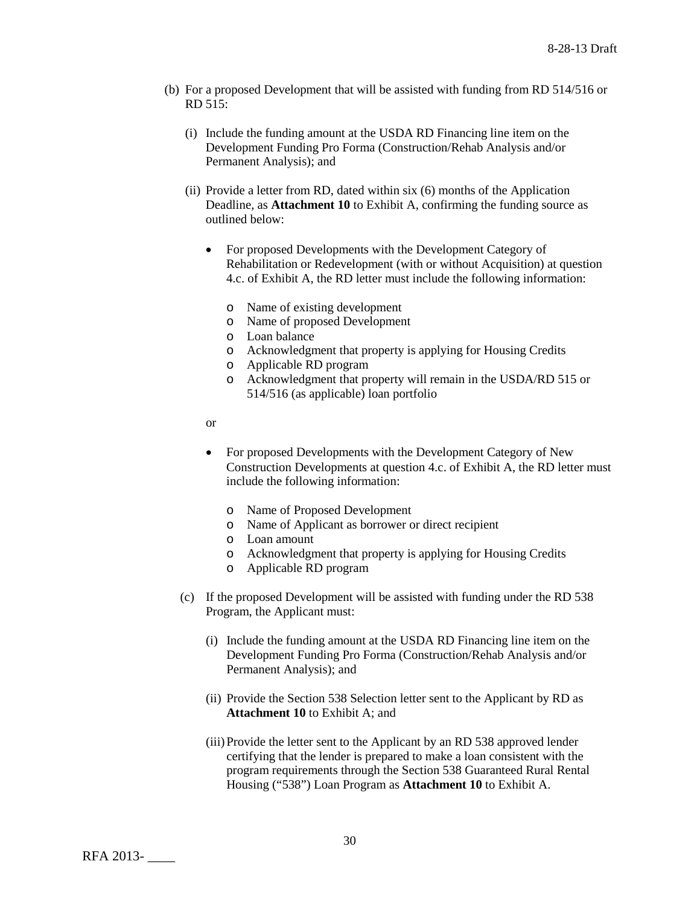- (b) For a proposed Development that will be assisted with funding from RD 514/516 or RD 515:
	- (i) Include the funding amount at the USDA RD Financing line item on the Development Funding Pro Forma (Construction/Rehab Analysis and/or Permanent Analysis); and
	- (ii) Provide a letter from RD, dated within six (6) months of the Application Deadline, as **Attachment 10** to Exhibit A, confirming the funding source as outlined below:
		- For proposed Developments with the Development Category of Rehabilitation or Redevelopment (with or without Acquisition) at question 4.c. of Exhibit A, the RD letter must include the following information:
			- o Name of existing development
			- o Name of proposed Development
			- o Loan balance
			- o Acknowledgment that property is applying for Housing Credits
			- o Applicable RD program
			- o Acknowledgment that property will remain in the USDA/RD 515 or 514/516 (as applicable) loan portfolio
		- or
		- For proposed Developments with the Development Category of New Construction Developments at question 4.c. of Exhibit A, the RD letter must include the following information:
			- o Name of Proposed Development
			- o Name of Applicant as borrower or direct recipient
			- o Loan amount
			- o Acknowledgment that property is applying for Housing Credits
			- o Applicable RD program
	- (c) If the proposed Development will be assisted with funding under the RD 538 Program, the Applicant must:
		- (i) Include the funding amount at the USDA RD Financing line item on the Development Funding Pro Forma (Construction/Rehab Analysis and/or Permanent Analysis); and
		- (ii) Provide the Section 538 Selection letter sent to the Applicant by RD as **Attachment 10** to Exhibit A; and
		- (iii)Provide the letter sent to the Applicant by an RD 538 approved lender certifying that the lender is prepared to make a loan consistent with the program requirements through the Section 538 Guaranteed Rural Rental Housing ("538") Loan Program as **Attachment 10** to Exhibit A.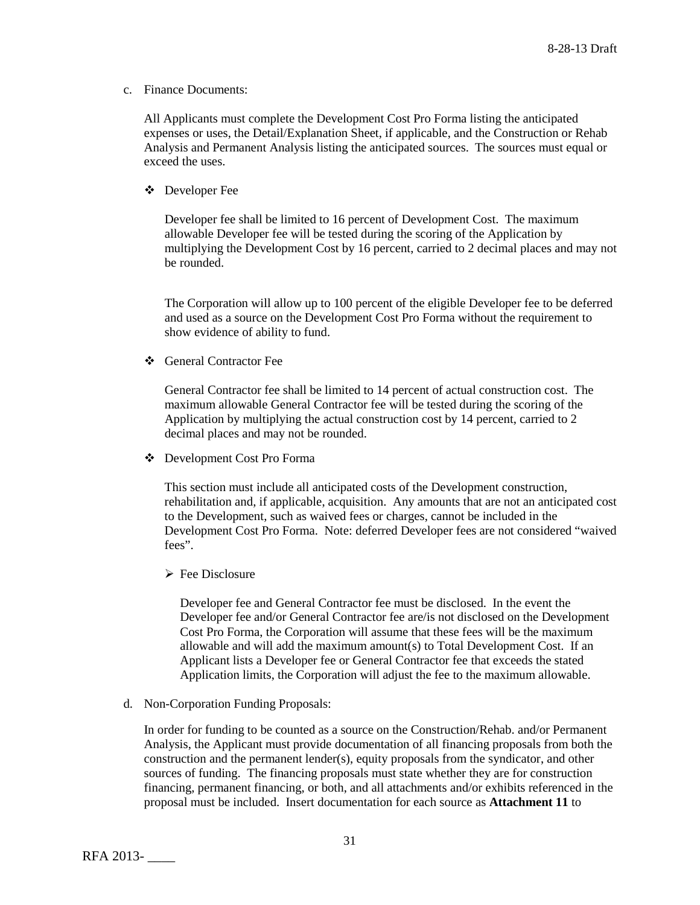c. Finance Documents:

All Applicants must complete the Development Cost Pro Forma listing the anticipated expenses or uses, the Detail/Explanation Sheet, if applicable, and the Construction or Rehab Analysis and Permanent Analysis listing the anticipated sources. The sources must equal or exceed the uses.

Developer Fee

Developer fee shall be limited to 16 percent of Development Cost. The maximum allowable Developer fee will be tested during the scoring of the Application by multiplying the Development Cost by 16 percent, carried to 2 decimal places and may not be rounded.

The Corporation will allow up to 100 percent of the eligible Developer fee to be deferred and used as a source on the Development Cost Pro Forma without the requirement to show evidence of ability to fund.

General Contractor Fee

General Contractor fee shall be limited to 14 percent of actual construction cost. The maximum allowable General Contractor fee will be tested during the scoring of the Application by multiplying the actual construction cost by 14 percent, carried to 2 decimal places and may not be rounded.

Development Cost Pro Forma

This section must include all anticipated costs of the Development construction, rehabilitation and, if applicable, acquisition. Any amounts that are not an anticipated cost to the Development, such as waived fees or charges, cannot be included in the Development Cost Pro Forma. Note: deferred Developer fees are not considered "waived fees".

 $\triangleright$  Fee Disclosure

Developer fee and General Contractor fee must be disclosed. In the event the Developer fee and/or General Contractor fee are/is not disclosed on the Development Cost Pro Forma, the Corporation will assume that these fees will be the maximum allowable and will add the maximum amount(s) to Total Development Cost. If an Applicant lists a Developer fee or General Contractor fee that exceeds the stated Application limits, the Corporation will adjust the fee to the maximum allowable.

d. Non-Corporation Funding Proposals:

In order for funding to be counted as a source on the Construction/Rehab. and/or Permanent Analysis, the Applicant must provide documentation of all financing proposals from both the construction and the permanent lender(s), equity proposals from the syndicator, and other sources of funding. The financing proposals must state whether they are for construction financing, permanent financing, or both, and all attachments and/or exhibits referenced in the proposal must be included. Insert documentation for each source as **Attachment 11** to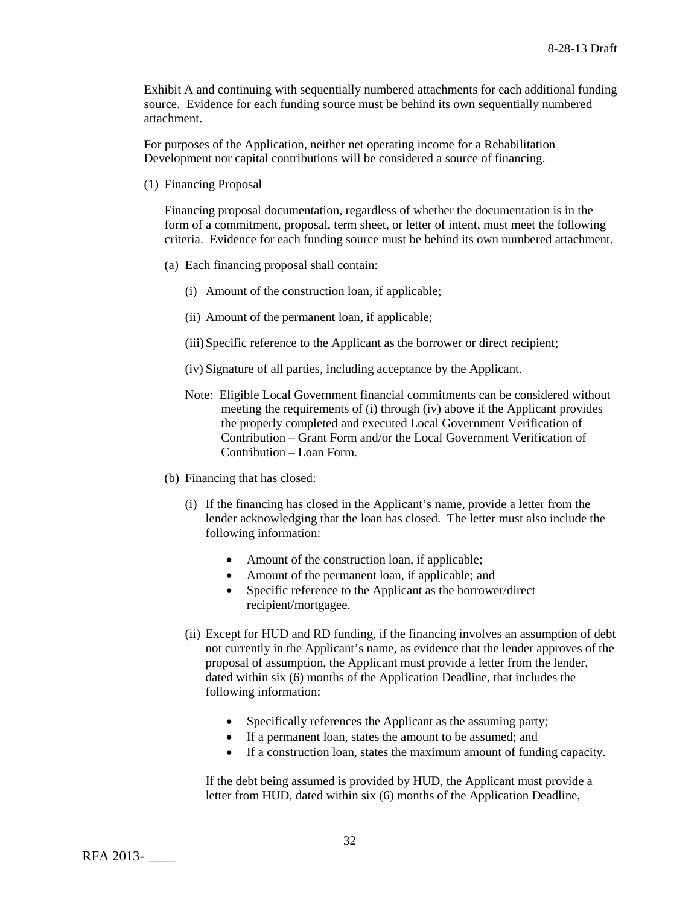Exhibit A and continuing with sequentially numbered attachments for each additional funding source. Evidence for each funding source must be behind its own sequentially numbered attachment.

For purposes of the Application, neither net operating income for a Rehabilitation Development nor capital contributions will be considered a source of financing.

(1) Financing Proposal

Financing proposal documentation, regardless of whether the documentation is in the form of a commitment, proposal, term sheet, or letter of intent, must meet the following criteria. Evidence for each funding source must be behind its own numbered attachment.

- (a) Each financing proposal shall contain:
	- (i) Amount of the construction loan, if applicable;
	- (ii) Amount of the permanent loan, if applicable;
	- (iii)Specific reference to the Applicant as the borrower or direct recipient;
	- (iv) Signature of all parties, including acceptance by the Applicant.
	- Note: Eligible Local Government financial commitments can be considered without meeting the requirements of (i) through (iv) above if the Applicant provides the properly completed and executed Local Government Verification of Contribution – Grant Form and/or the Local Government Verification of Contribution – Loan Form.
- (b) Financing that has closed:
	- (i) If the financing has closed in the Applicant's name, provide a letter from the lender acknowledging that the loan has closed. The letter must also include the following information:
		- Amount of the construction loan, if applicable;
		- Amount of the permanent loan, if applicable; and
		- Specific reference to the Applicant as the borrower/direct recipient/mortgagee.
	- (ii) Except for HUD and RD funding, if the financing involves an assumption of debt not currently in the Applicant's name, as evidence that the lender approves of the proposal of assumption, the Applicant must provide a letter from the lender, dated within six (6) months of the Application Deadline, that includes the following information:
		- Specifically references the Applicant as the assuming party;
		- If a permanent loan, states the amount to be assumed; and
		- If a construction loan, states the maximum amount of funding capacity.

If the debt being assumed is provided by HUD, the Applicant must provide a letter from HUD, dated within six (6) months of the Application Deadline,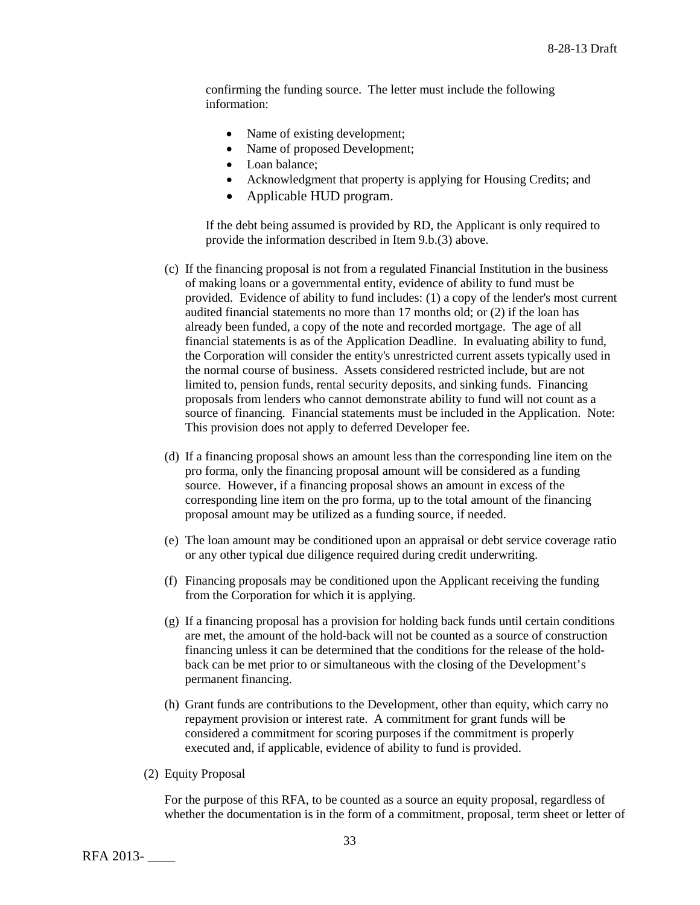confirming the funding source. The letter must include the following information:

- Name of existing development;
- Name of proposed Development;
- Loan balance;
- Acknowledgment that property is applying for Housing Credits; and
- Applicable HUD program.

If the debt being assumed is provided by RD, the Applicant is only required to provide the information described in Item 9.b.(3) above.

- (c) If the financing proposal is not from a regulated Financial Institution in the business of making loans or a governmental entity, evidence of ability to fund must be provided. Evidence of ability to fund includes: (1) a copy of the lender's most current audited financial statements no more than 17 months old; or (2) if the loan has already been funded, a copy of the note and recorded mortgage. The age of all financial statements is as of the Application Deadline. In evaluating ability to fund, the Corporation will consider the entity's unrestricted current assets typically used in the normal course of business. Assets considered restricted include, but are not limited to, pension funds, rental security deposits, and sinking funds. Financing proposals from lenders who cannot demonstrate ability to fund will not count as a source of financing. Financial statements must be included in the Application. Note: This provision does not apply to deferred Developer fee.
- (d) If a financing proposal shows an amount less than the corresponding line item on the pro forma, only the financing proposal amount will be considered as a funding source. However, if a financing proposal shows an amount in excess of the corresponding line item on the pro forma, up to the total amount of the financing proposal amount may be utilized as a funding source, if needed.
- (e) The loan amount may be conditioned upon an appraisal or debt service coverage ratio or any other typical due diligence required during credit underwriting.
- (f) Financing proposals may be conditioned upon the Applicant receiving the funding from the Corporation for which it is applying.
- (g) If a financing proposal has a provision for holding back funds until certain conditions are met, the amount of the hold-back will not be counted as a source of construction financing unless it can be determined that the conditions for the release of the holdback can be met prior to or simultaneous with the closing of the Development's permanent financing.
- (h) Grant funds are contributions to the Development, other than equity, which carry no repayment provision or interest rate. A commitment for grant funds will be considered a commitment for scoring purposes if the commitment is properly executed and, if applicable, evidence of ability to fund is provided.
- (2) Equity Proposal

For the purpose of this RFA, to be counted as a source an equity proposal, regardless of whether the documentation is in the form of a commitment, proposal, term sheet or letter of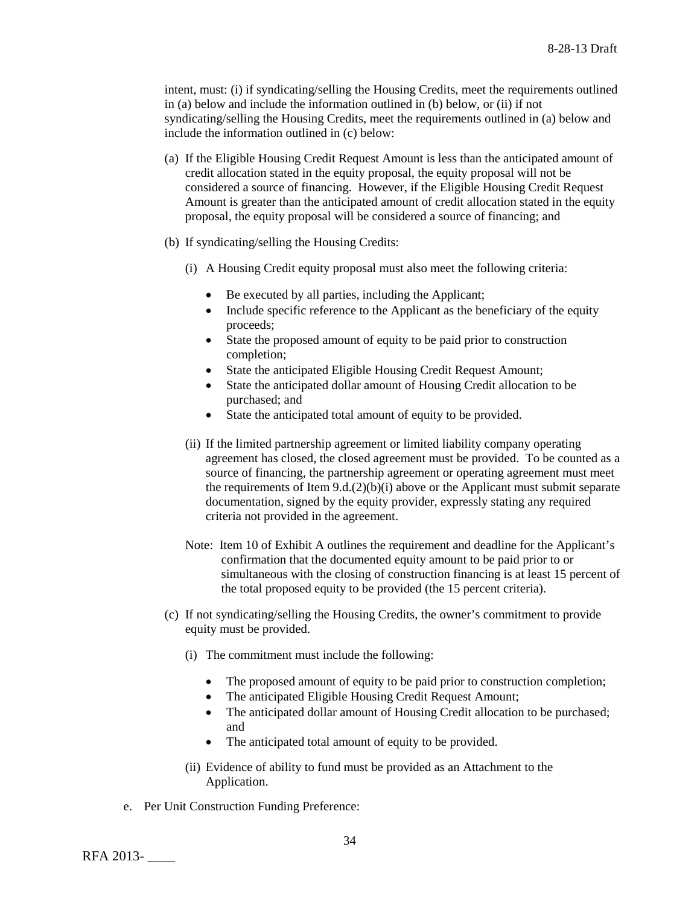intent, must: (i) if syndicating/selling the Housing Credits, meet the requirements outlined in (a) below and include the information outlined in (b) below, or (ii) if not syndicating/selling the Housing Credits, meet the requirements outlined in (a) below and include the information outlined in (c) below:

- (a) If the Eligible Housing Credit Request Amount is less than the anticipated amount of credit allocation stated in the equity proposal, the equity proposal will not be considered a source of financing. However, if the Eligible Housing Credit Request Amount is greater than the anticipated amount of credit allocation stated in the equity proposal, the equity proposal will be considered a source of financing; and
- (b) If syndicating/selling the Housing Credits:
	- (i) A Housing Credit equity proposal must also meet the following criteria:
		- Be executed by all parties, including the Applicant;
		- Include specific reference to the Applicant as the beneficiary of the equity proceeds;
		- State the proposed amount of equity to be paid prior to construction completion;
		- State the anticipated Eligible Housing Credit Request Amount;
		- State the anticipated dollar amount of Housing Credit allocation to be purchased; and
		- State the anticipated total amount of equity to be provided.
	- (ii) If the limited partnership agreement or limited liability company operating agreement has closed, the closed agreement must be provided. To be counted as a source of financing, the partnership agreement or operating agreement must meet the requirements of Item  $9.d.(2)(b)(i)$  above or the Applicant must submit separate documentation, signed by the equity provider, expressly stating any required criteria not provided in the agreement.
	- Note: Item 10 of Exhibit A outlines the requirement and deadline for the Applicant's confirmation that the documented equity amount to be paid prior to or simultaneous with the closing of construction financing is at least 15 percent of the total proposed equity to be provided (the 15 percent criteria).
- (c) If not syndicating/selling the Housing Credits, the owner's commitment to provide equity must be provided.
	- (i) The commitment must include the following:
		- The proposed amount of equity to be paid prior to construction completion;
		- The anticipated Eligible Housing Credit Request Amount;
		- The anticipated dollar amount of Housing Credit allocation to be purchased; and
		- The anticipated total amount of equity to be provided.
	- (ii) Evidence of ability to fund must be provided as an Attachment to the Application.
- e. Per Unit Construction Funding Preference: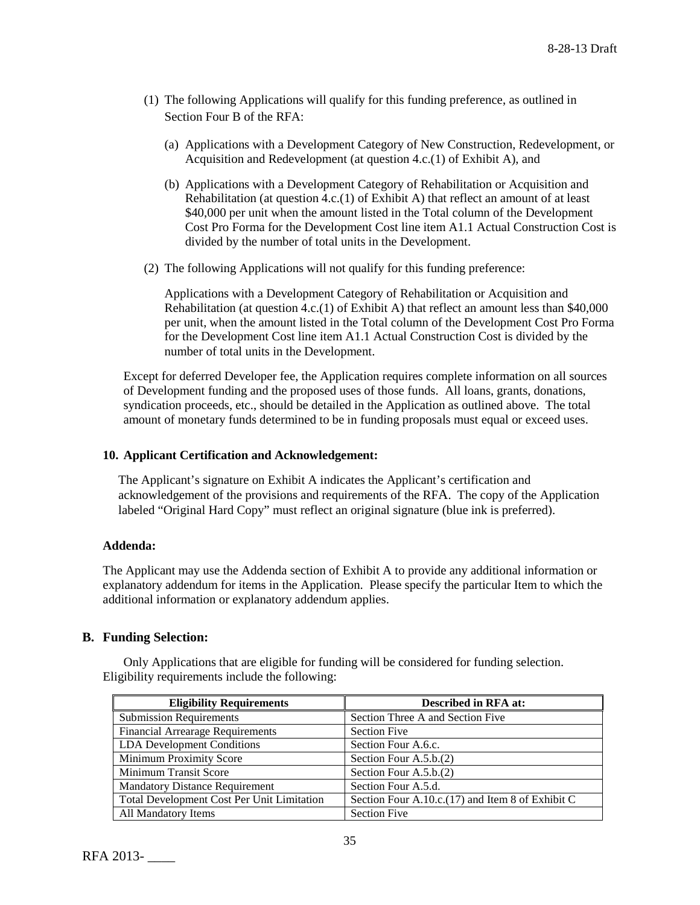- (1) The following Applications will qualify for this funding preference, as outlined in Section Four B of the RFA:
	- (a) Applications with a Development Category of New Construction, Redevelopment, or Acquisition and Redevelopment (at question 4.c.(1) of Exhibit A), and
	- (b) Applications with a Development Category of Rehabilitation or Acquisition and Rehabilitation (at question 4.c.(1) of Exhibit A) that reflect an amount of at least \$40,000 per unit when the amount listed in the Total column of the Development Cost Pro Forma for the Development Cost line item A1.1 Actual Construction Cost is divided by the number of total units in the Development.
- (2) The following Applications will not qualify for this funding preference:

Applications with a Development Category of Rehabilitation or Acquisition and Rehabilitation (at question 4.c.(1) of Exhibit A) that reflect an amount less than \$40,000 per unit, when the amount listed in the Total column of the Development Cost Pro Forma for the Development Cost line item A1.1 Actual Construction Cost is divided by the number of total units in the Development.

Except for deferred Developer fee, the Application requires complete information on all sources of Development funding and the proposed uses of those funds. All loans, grants, donations, syndication proceeds, etc., should be detailed in the Application as outlined above. The total amount of monetary funds determined to be in funding proposals must equal or exceed uses.

### **10. Applicant Certification and Acknowledgement:**

The Applicant's signature on Exhibit A indicates the Applicant's certification and acknowledgement of the provisions and requirements of the RFA. The copy of the Application labeled "Original Hard Copy" must reflect an original signature (blue ink is preferred).

## **Addenda:**

The Applicant may use the Addenda section of Exhibit A to provide any additional information or explanatory addendum for items in the Application. Please specify the particular Item to which the additional information or explanatory addendum applies.

## **B. Funding Selection:**

Only Applications that are eligible for funding will be considered for funding selection. Eligibility requirements include the following:

| <b>Eligibility Requirements</b>            | <b>Described in RFA at:</b>                         |
|--------------------------------------------|-----------------------------------------------------|
| <b>Submission Requirements</b>             | Section Three A and Section Five                    |
| <b>Financial Arrearage Requirements</b>    | <b>Section Five</b>                                 |
| <b>LDA</b> Development Conditions          | Section Four A.6.c.                                 |
| <b>Minimum Proximity Score</b>             | Section Four A.5.b.(2)                              |
| Minimum Transit Score                      | Section Four A.5.b.(2)                              |
| <b>Mandatory Distance Requirement</b>      | Section Four A.5.d.                                 |
| Total Development Cost Per Unit Limitation | Section Four A.10.c. $(17)$ and Item 8 of Exhibit C |
| All Mandatory Items                        | <b>Section Five</b>                                 |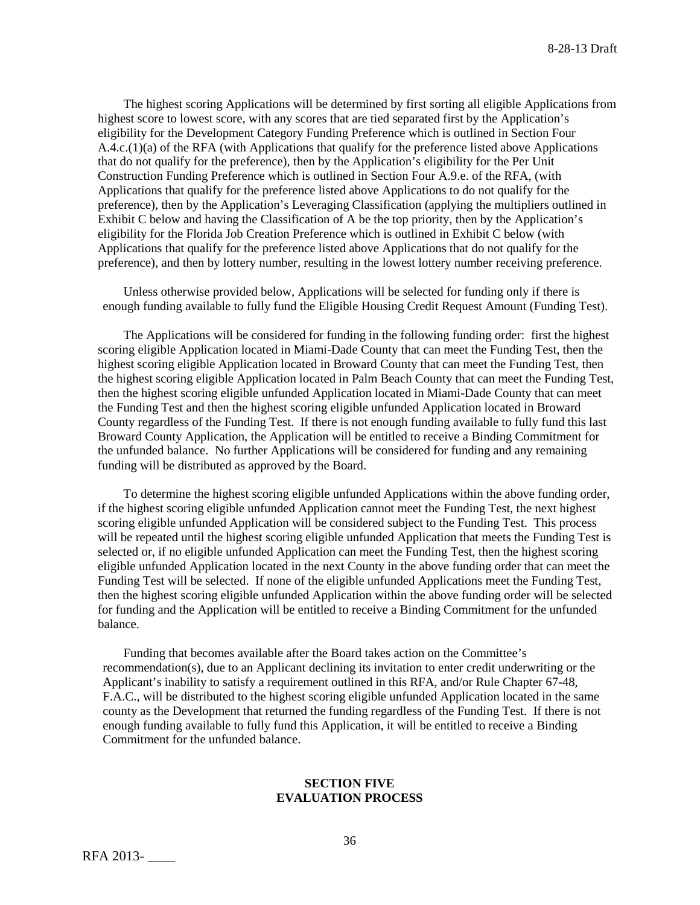The highest scoring Applications will be determined by first sorting all eligible Applications from highest score to lowest score, with any scores that are tied separated first by the Application's eligibility for the Development Category Funding Preference which is outlined in Section Four A.4.c.(1)(a) of the RFA (with Applications that qualify for the preference listed above Applications that do not qualify for the preference), then by the Application's eligibility for the Per Unit Construction Funding Preference which is outlined in Section Four A.9.e. of the RFA, (with Applications that qualify for the preference listed above Applications to do not qualify for the preference), then by the Application's Leveraging Classification (applying the multipliers outlined in Exhibit C below and having the Classification of A be the top priority, then by the Application's eligibility for the Florida Job Creation Preference which is outlined in Exhibit C below (with Applications that qualify for the preference listed above Applications that do not qualify for the preference), and then by lottery number, resulting in the lowest lottery number receiving preference.

Unless otherwise provided below, Applications will be selected for funding only if there is enough funding available to fully fund the Eligible Housing Credit Request Amount (Funding Test).

The Applications will be considered for funding in the following funding order: first the highest scoring eligible Application located in Miami-Dade County that can meet the Funding Test, then the highest scoring eligible Application located in Broward County that can meet the Funding Test, then the highest scoring eligible Application located in Palm Beach County that can meet the Funding Test, then the highest scoring eligible unfunded Application located in Miami-Dade County that can meet the Funding Test and then the highest scoring eligible unfunded Application located in Broward County regardless of the Funding Test. If there is not enough funding available to fully fund this last Broward County Application, the Application will be entitled to receive a Binding Commitment for the unfunded balance. No further Applications will be considered for funding and any remaining funding will be distributed as approved by the Board.

To determine the highest scoring eligible unfunded Applications within the above funding order, if the highest scoring eligible unfunded Application cannot meet the Funding Test, the next highest scoring eligible unfunded Application will be considered subject to the Funding Test. This process will be repeated until the highest scoring eligible unfunded Application that meets the Funding Test is selected or, if no eligible unfunded Application can meet the Funding Test, then the highest scoring eligible unfunded Application located in the next County in the above funding order that can meet the Funding Test will be selected. If none of the eligible unfunded Applications meet the Funding Test, then the highest scoring eligible unfunded Application within the above funding order will be selected for funding and the Application will be entitled to receive a Binding Commitment for the unfunded balance.

Funding that becomes available after the Board takes action on the Committee's recommendation(s), due to an Applicant declining its invitation to enter credit underwriting or the Applicant's inability to satisfy a requirement outlined in this RFA, and/or Rule Chapter 67-48, F.A.C., will be distributed to the highest scoring eligible unfunded Application located in the same county as the Development that returned the funding regardless of the Funding Test. If there is not enough funding available to fully fund this Application, it will be entitled to receive a Binding Commitment for the unfunded balance.

#### **SECTION FIVE EVALUATION PROCESS**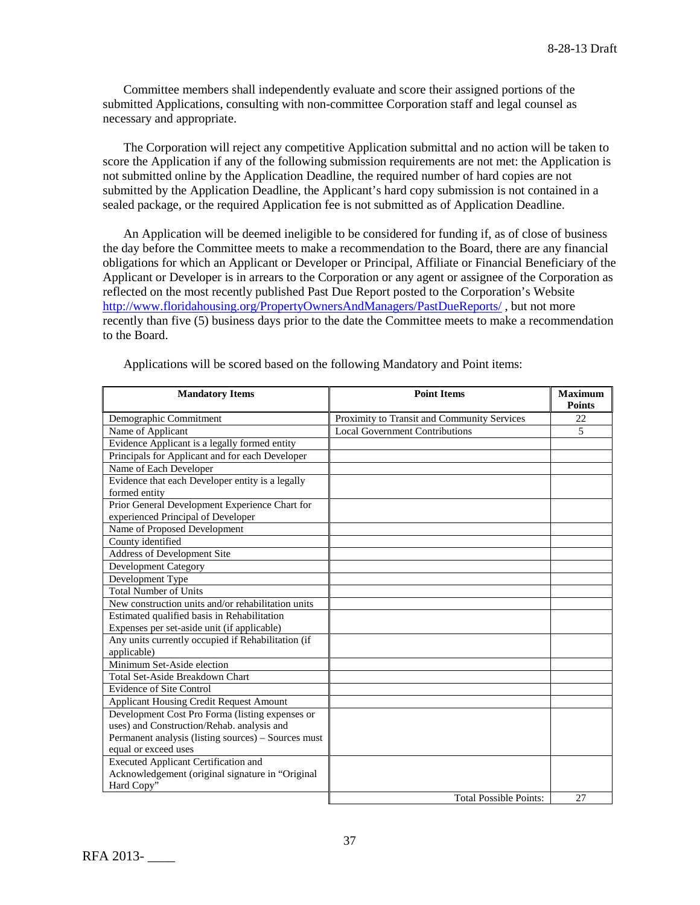Committee members shall independently evaluate and score their assigned portions of the submitted Applications, consulting with non-committee Corporation staff and legal counsel as necessary and appropriate.

The Corporation will reject any competitive Application submittal and no action will be taken to score the Application if any of the following submission requirements are not met: the Application is not submitted online by the Application Deadline, the required number of hard copies are not submitted by the Application Deadline, the Applicant's hard copy submission is not contained in a sealed package, or the required Application fee is not submitted as of Application Deadline.

An Application will be deemed ineligible to be considered for funding if, as of close of business the day before the Committee meets to make a recommendation to the Board, there are any financial obligations for which an Applicant or Developer or Principal, Affiliate or Financial Beneficiary of the Applicant or Developer is in arrears to the Corporation or any agent or assignee of the Corporation as reflected on the most recently published Past Due Report posted to the Corporation's Website <http://www.floridahousing.org/PropertyOwnersAndManagers/PastDueReports/> , but not more recently than five (5) business days prior to the date the Committee meets to make a recommendation to the Board.

| <b>Mandatory Items</b>                              | <b>Point Items</b>                          | <b>Maximum</b><br><b>Points</b> |
|-----------------------------------------------------|---------------------------------------------|---------------------------------|
| Demographic Commitment                              | Proximity to Transit and Community Services | 22                              |
| Name of Applicant                                   | <b>Local Government Contributions</b>       | 5                               |
| Evidence Applicant is a legally formed entity       |                                             |                                 |
| Principals for Applicant and for each Developer     |                                             |                                 |
| Name of Each Developer                              |                                             |                                 |
| Evidence that each Developer entity is a legally    |                                             |                                 |
| formed entity                                       |                                             |                                 |
| Prior General Development Experience Chart for      |                                             |                                 |
| experienced Principal of Developer                  |                                             |                                 |
| Name of Proposed Development                        |                                             |                                 |
| County identified                                   |                                             |                                 |
| Address of Development Site                         |                                             |                                 |
| <b>Development Category</b>                         |                                             |                                 |
| Development Type                                    |                                             |                                 |
| <b>Total Number of Units</b>                        |                                             |                                 |
| New construction units and/or rehabilitation units  |                                             |                                 |
| Estimated qualified basis in Rehabilitation         |                                             |                                 |
| Expenses per set-aside unit (if applicable)         |                                             |                                 |
| Any units currently occupied if Rehabilitation (if  |                                             |                                 |
| applicable)                                         |                                             |                                 |
| Minimum Set-Aside election                          |                                             |                                 |
| Total Set-Aside Breakdown Chart                     |                                             |                                 |
| <b>Evidence of Site Control</b>                     |                                             |                                 |
| <b>Applicant Housing Credit Request Amount</b>      |                                             |                                 |
| Development Cost Pro Forma (listing expenses or     |                                             |                                 |
| uses) and Construction/Rehab. analysis and          |                                             |                                 |
| Permanent analysis (listing sources) - Sources must |                                             |                                 |
| equal or exceed uses                                |                                             |                                 |
| <b>Executed Applicant Certification and</b>         |                                             |                                 |
| Acknowledgement (original signature in "Original    |                                             |                                 |
| Hard Copy"                                          |                                             |                                 |
|                                                     | <b>Total Possible Points:</b>               | 27                              |

Applications will be scored based on the following Mandatory and Point items: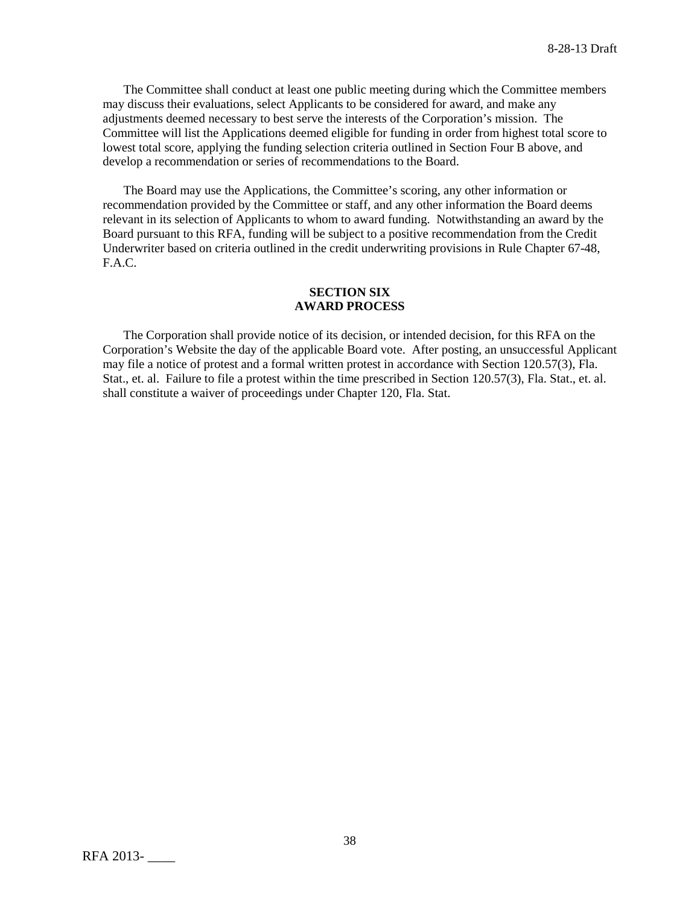The Committee shall conduct at least one public meeting during which the Committee members may discuss their evaluations, select Applicants to be considered for award, and make any adjustments deemed necessary to best serve the interests of the Corporation's mission. The Committee will list the Applications deemed eligible for funding in order from highest total score to lowest total score, applying the funding selection criteria outlined in Section Four B above, and develop a recommendation or series of recommendations to the Board.

The Board may use the Applications, the Committee's scoring, any other information or recommendation provided by the Committee or staff, and any other information the Board deems relevant in its selection of Applicants to whom to award funding. Notwithstanding an award by the Board pursuant to this RFA, funding will be subject to a positive recommendation from the Credit Underwriter based on criteria outlined in the credit underwriting provisions in Rule Chapter 67-48, F.A.C.

## **SECTION SIX AWARD PROCESS**

The Corporation shall provide notice of its decision, or intended decision, for this RFA on the Corporation's Website the day of the applicable Board vote. After posting, an unsuccessful Applicant may file a notice of protest and a formal written protest in accordance with Section 120.57(3), Fla. Stat., et. al. Failure to file a protest within the time prescribed in Section 120.57(3), Fla. Stat., et. al. shall constitute a waiver of proceedings under Chapter 120, Fla. Stat.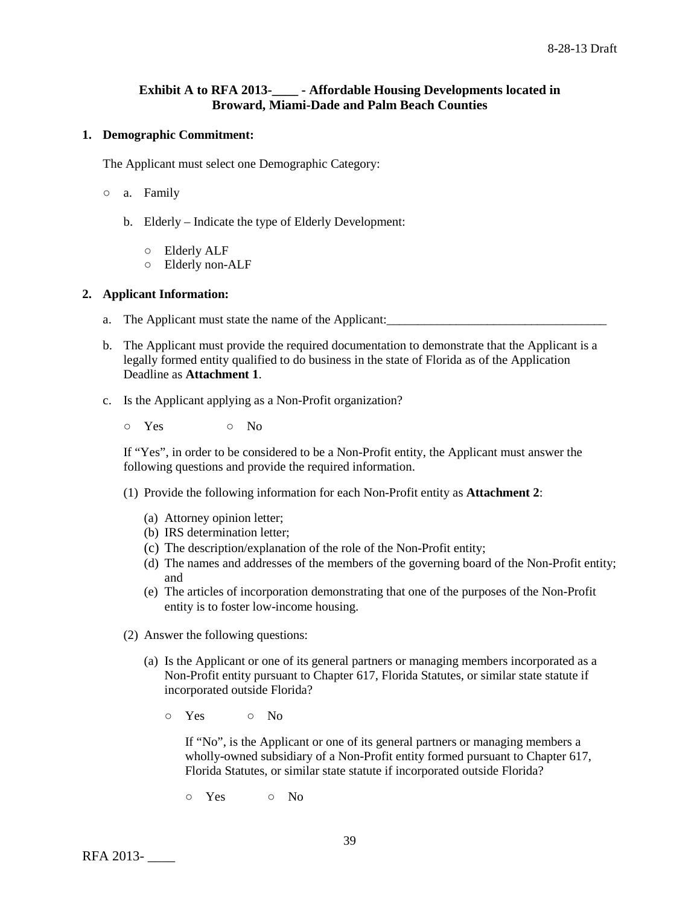# **Exhibit A to RFA 2013-\_\_\_\_ - Affordable Housing Developments located in Broward, Miami-Dade and Palm Beach Counties**

### **1. Demographic Commitment:**

The Applicant must select one Demographic Category:

- a. Family
	- b. Elderly Indicate the type of Elderly Development:
		- Elderly ALF
		- Elderly non-ALF

### **2. Applicant Information:**

- a. The Applicant must state the name of the Applicant: \_\_\_\_\_\_\_\_\_\_\_\_\_\_\_\_\_\_\_\_\_\_\_\_\_\_
- b. The Applicant must provide the required documentation to demonstrate that the Applicant is a legally formed entity qualified to do business in the state of Florida as of the Application Deadline as **Attachment 1**.
- c. Is the Applicant applying as a Non-Profit organization?
	- o Yes o No

If "Yes", in order to be considered to be a Non-Profit entity, the Applicant must answer the following questions and provide the required information.

- (1) Provide the following information for each Non-Profit entity as **Attachment 2**:
	- (a) Attorney opinion letter;
	- (b) IRS determination letter;
	- (c) The description/explanation of the role of the Non-Profit entity;
	- (d) The names and addresses of the members of the governing board of the Non-Profit entity; and
	- (e) The articles of incorporation demonstrating that one of the purposes of the Non-Profit entity is to foster low-income housing.
- (2) Answer the following questions:
	- (a) Is the Applicant or one of its general partners or managing members incorporated as a Non-Profit entity pursuant to Chapter 617, Florida Statutes, or similar state statute if incorporated outside Florida?
		- $\circ$  Yes  $\circ$  No

If "No", is the Applicant or one of its general partners or managing members a wholly-owned subsidiary of a Non-Profit entity formed pursuant to Chapter 617, Florida Statutes, or similar state statute if incorporated outside Florida?

○ Yes ○ No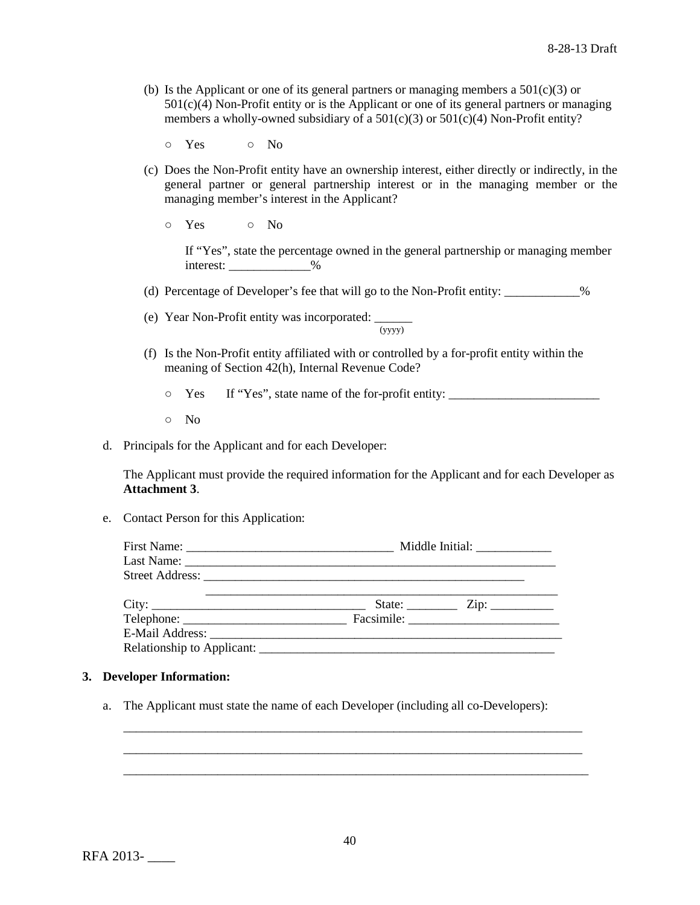(b) Is the Applicant or one of its general partners or managing members a  $501(c)(3)$  or 501(c)(4) Non-Profit entity or is the Applicant or one of its general partners or managing members a wholly-owned subsidiary of a  $501(c)(3)$  or  $501(c)(4)$  Non-Profit entity?

○ Yes ○ No

- (c) Does the Non-Profit entity have an ownership interest, either directly or indirectly, in the general partner or general partnership interest or in the managing member or the managing member's interest in the Applicant?
	- Yes No

If "Yes", state the percentage owned in the general partnership or managing member interest:  $\frac{9}{6}$ 

- (d) Percentage of Developer's fee that will go to the Non-Profit entity: \_\_\_\_\_\_\_\_\_\_\_\_%
- (e) Year Non-Profit entity was incorporated:  $\frac{1}{(yyyy)}$
- (f) Is the Non-Profit entity affiliated with or controlled by a for-profit entity within the meaning of Section 42(h), Internal Revenue Code?
	- Yes If "Yes", state name of the for-profit entity: \_\_\_\_\_\_\_\_\_\_\_\_\_\_\_\_\_\_\_\_\_\_\_\_
	- No
- d. Principals for the Applicant and for each Developer:

The Applicant must provide the required information for the Applicant and for each Developer as **Attachment 3**.

e. Contact Person for this Application:

| Middle Initial: ______________ |                                                           |  |  |
|--------------------------------|-----------------------------------------------------------|--|--|
|                                |                                                           |  |  |
|                                |                                                           |  |  |
|                                | State: $\frac{\text{Zip: } }{ \text{Up: } \text{sup: } }$ |  |  |
|                                |                                                           |  |  |
|                                |                                                           |  |  |
|                                |                                                           |  |  |

### **3. Developer Information:**

a. The Applicant must state the name of each Developer (including all co-Developers):

\_\_\_\_\_\_\_\_\_\_\_\_\_\_\_\_\_\_\_\_\_\_\_\_\_\_\_\_\_\_\_\_\_\_\_\_\_\_\_\_\_\_\_\_\_\_\_\_\_\_\_\_\_\_\_\_\_\_\_\_\_\_\_\_\_\_\_\_\_\_\_\_\_ \_\_\_\_\_\_\_\_\_\_\_\_\_\_\_\_\_\_\_\_\_\_\_\_\_\_\_\_\_\_\_\_\_\_\_\_\_\_\_\_\_\_\_\_\_\_\_\_\_\_\_\_\_\_\_\_\_\_\_\_\_\_\_\_\_\_\_\_\_\_\_\_\_ \_\_\_\_\_\_\_\_\_\_\_\_\_\_\_\_\_\_\_\_\_\_\_\_\_\_\_\_\_\_\_\_\_\_\_\_\_\_\_\_\_\_\_\_\_\_\_\_\_\_\_\_\_\_\_\_\_\_\_\_\_\_\_\_\_\_\_\_\_\_\_\_\_\_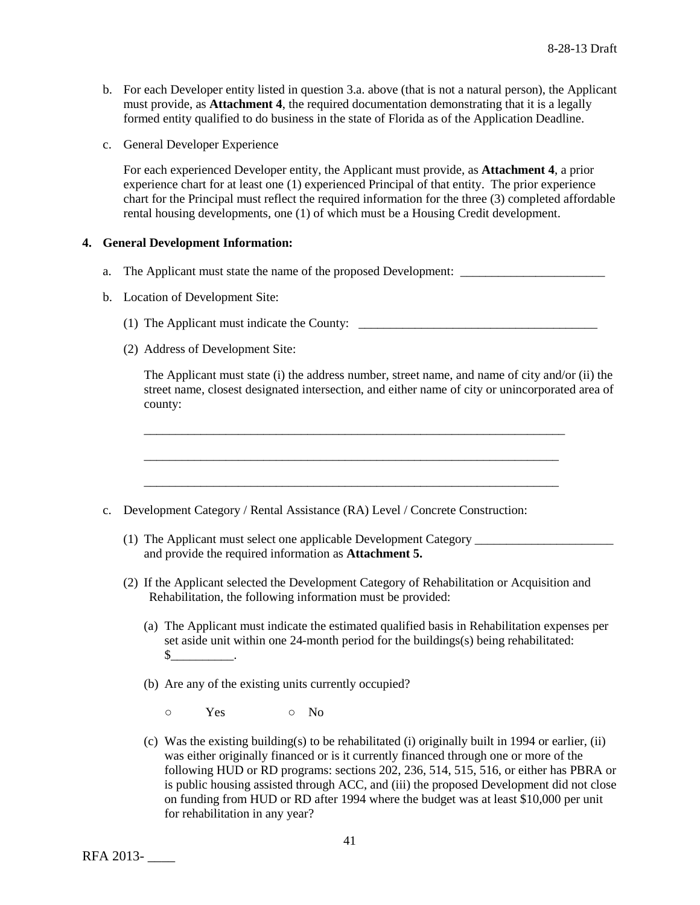- b. For each Developer entity listed in question 3.a. above (that is not a natural person), the Applicant must provide, as **Attachment 4**, the required documentation demonstrating that it is a legally formed entity qualified to do business in the state of Florida as of the Application Deadline.
- c. General Developer Experience

For each experienced Developer entity, the Applicant must provide, as **Attachment 4**, a prior experience chart for at least one (1) experienced Principal of that entity. The prior experience chart for the Principal must reflect the required information for the three (3) completed affordable rental housing developments, one (1) of which must be a Housing Credit development.

### **4. General Development Information:**

- a. The Applicant must state the name of the proposed Development:
- b. Location of Development Site:
	- (1) The Applicant must indicate the County: \_\_\_\_\_\_\_\_\_\_\_\_\_\_\_\_\_\_\_\_\_\_\_\_\_\_\_\_\_\_\_\_\_\_\_\_\_\_

\_\_\_\_\_\_\_\_\_\_\_\_\_\_\_\_\_\_\_\_\_\_\_\_\_\_\_\_\_\_\_\_\_\_\_\_\_\_\_\_\_\_\_\_\_\_\_\_\_\_\_\_\_\_\_\_\_\_\_\_\_\_\_\_\_\_\_

\_\_\_\_\_\_\_\_\_\_\_\_\_\_\_\_\_\_\_\_\_\_\_\_\_\_\_\_\_\_\_\_\_\_\_\_\_\_\_\_\_\_\_\_\_\_\_\_\_\_\_\_\_\_\_\_\_\_\_\_\_\_\_\_\_\_

\_\_\_\_\_\_\_\_\_\_\_\_\_\_\_\_\_\_\_\_\_\_\_\_\_\_\_\_\_\_\_\_\_\_\_\_\_\_\_\_\_\_\_\_\_\_\_\_\_\_\_\_\_\_\_\_\_\_\_\_\_\_\_\_\_\_

(2) Address of Development Site:

The Applicant must state (i) the address number, street name, and name of city and/or (ii) the street name, closest designated intersection, and either name of city or unincorporated area of county:

- c. Development Category / Rental Assistance (RA) Level / Concrete Construction:
	- (1) The Applicant must select one applicable Development Category \_\_\_\_\_\_\_\_\_\_\_\_\_\_\_\_\_\_\_\_\_\_ and provide the required information as **Attachment 5.**
	- (2) If the Applicant selected the Development Category of Rehabilitation or Acquisition and Rehabilitation, the following information must be provided:
		- (a) The Applicant must indicate the estimated qualified basis in Rehabilitation expenses per set aside unit within one 24-month period for the buildings(s) being rehabilitated:  $\mathbb S$  .
		- (b) Are any of the existing units currently occupied?
			- o Yes o No
		- (c) Was the existing building(s) to be rehabilitated (i) originally built in 1994 or earlier, (ii) was either originally financed or is it currently financed through one or more of the following HUD or RD programs: sections 202, 236, 514, 515, 516, or either has PBRA or is public housing assisted through ACC, and (iii) the proposed Development did not close on funding from HUD or RD after 1994 where the budget was at least \$10,000 per unit for rehabilitation in any year?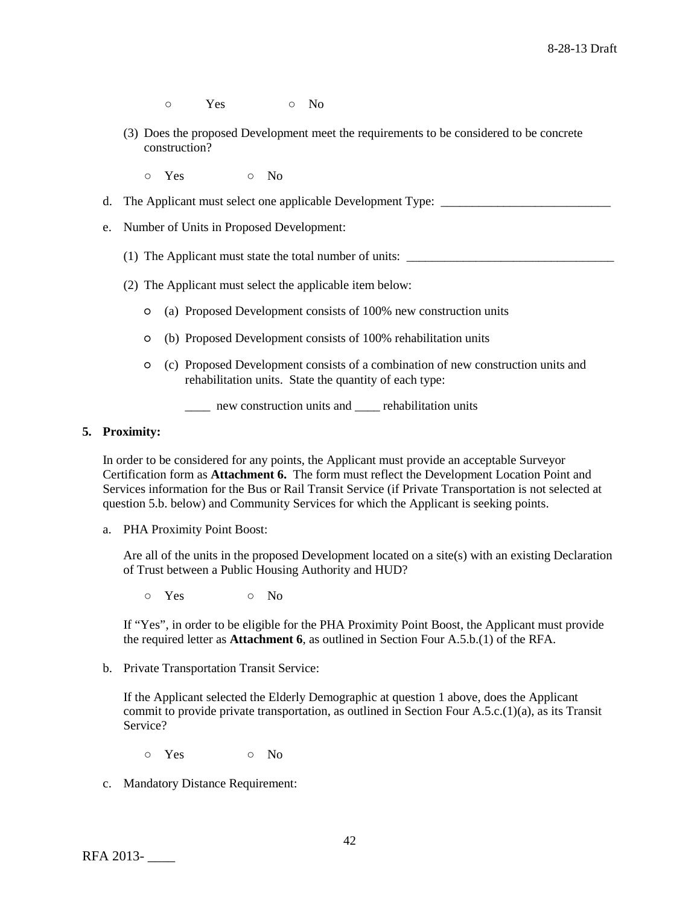- o Yes o No
- (3) Does the proposed Development meet the requirements to be considered to be concrete construction?
	- o Yes o No
- d. The Applicant must select one applicable Development Type: \_\_\_\_\_\_\_\_\_\_\_\_\_\_\_\_\_\_\_\_\_\_\_\_\_\_\_
- e. Number of Units in Proposed Development:
	- (1) The Applicant must state the total number of units: \_\_\_\_\_\_\_\_\_\_\_\_\_\_\_\_\_\_\_\_\_\_\_\_\_\_\_\_\_\_\_\_\_
	- (2) The Applicant must select the applicable item below:
		- (a) Proposed Development consists of 100% new construction units
		- (b) Proposed Development consists of 100% rehabilitation units
		- (c) Proposed Development consists of a combination of new construction units and rehabilitation units. State the quantity of each type:
			- \_\_\_\_ new construction units and \_\_\_\_ rehabilitation units

#### **5. Proximity:**

In order to be considered for any points, the Applicant must provide an acceptable Surveyor Certification form as **Attachment 6.** The form must reflect the Development Location Point and Services information for the Bus or Rail Transit Service (if Private Transportation is not selected at question 5.b. below) and Community Services for which the Applicant is seeking points.

a. PHA Proximity Point Boost:

Are all of the units in the proposed Development located on a site $(s)$  with an existing Declaration of Trust between a Public Housing Authority and HUD?

o Yes o No

If "Yes", in order to be eligible for the PHA Proximity Point Boost, the Applicant must provide the required letter as **Attachment 6**, as outlined in Section Four A.5.b.(1) of the RFA.

b. Private Transportation Transit Service:

If the Applicant selected the Elderly Demographic at question 1 above, does the Applicant commit to provide private transportation, as outlined in Section Four A.5.c.(1)(a), as its Transit Service?

- Yes No
- c. Mandatory Distance Requirement: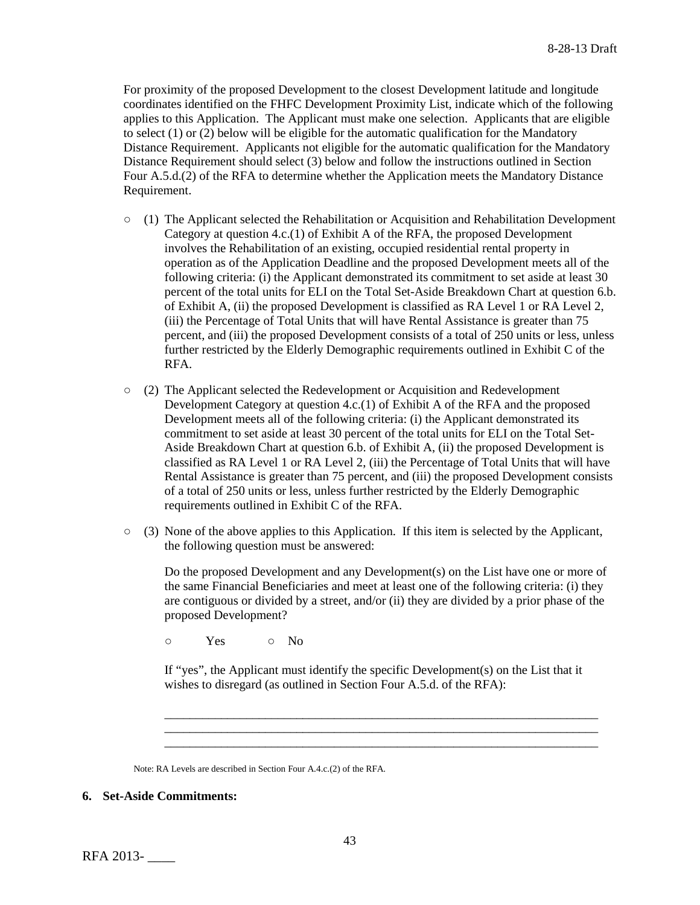For proximity of the proposed Development to the closest Development latitude and longitude coordinates identified on the FHFC Development Proximity List, indicate which of the following applies to this Application. The Applicant must make one selection. Applicants that are eligible to select (1) or (2) below will be eligible for the automatic qualification for the Mandatory Distance Requirement. Applicants not eligible for the automatic qualification for the Mandatory Distance Requirement should select (3) below and follow the instructions outlined in Section Four A.5.d.(2) of the RFA to determine whether the Application meets the Mandatory Distance Requirement.

- $\circ$  (1) The Applicant selected the Rehabilitation or Acquisition and Rehabilitation Development Category at question 4.c.(1) of Exhibit A of the RFA, the proposed Development involves the Rehabilitation of an existing, occupied residential rental property in operation as of the Application Deadline and the proposed Development meets all of the following criteria: (i) the Applicant demonstrated its commitment to set aside at least 30 percent of the total units for ELI on the Total Set-Aside Breakdown Chart at question 6.b. of Exhibit A, (ii) the proposed Development is classified as RA Level 1 or RA Level 2, (iii) the Percentage of Total Units that will have Rental Assistance is greater than 75 percent, and (iii) the proposed Development consists of a total of 250 units or less, unless further restricted by the Elderly Demographic requirements outlined in Exhibit C of the RFA.
- (2) The Applicant selected the Redevelopment or Acquisition and Redevelopment Development Category at question 4.c.(1) of Exhibit A of the RFA and the proposed Development meets all of the following criteria: (i) the Applicant demonstrated its commitment to set aside at least 30 percent of the total units for ELI on the Total Set-Aside Breakdown Chart at question 6.b. of Exhibit A, (ii) the proposed Development is classified as RA Level 1 or RA Level 2, (iii) the Percentage of Total Units that will have Rental Assistance is greater than 75 percent, and (iii) the proposed Development consists of a total of 250 units or less, unless further restricted by the Elderly Demographic requirements outlined in Exhibit C of the RFA.
- $\circ$  (3) None of the above applies to this Application. If this item is selected by the Applicant, the following question must be answered:

Do the proposed Development and any Development(s) on the List have one or more of the same Financial Beneficiaries and meet at least one of the following criteria: (i) they are contiguous or divided by a street, and/or (ii) they are divided by a prior phase of the proposed Development?

o Yes o No

If "yes", the Applicant must identify the specific Development(s) on the List that it wishes to disregard (as outlined in Section Four A.5.d. of the RFA):

\_\_\_\_\_\_\_\_\_\_\_\_\_\_\_\_\_\_\_\_\_\_\_\_\_\_\_\_\_\_\_\_\_\_\_\_\_\_\_\_\_\_\_\_\_\_\_\_\_\_\_\_\_\_\_\_\_\_\_\_\_\_\_\_\_\_\_\_\_ \_\_\_\_\_\_\_\_\_\_\_\_\_\_\_\_\_\_\_\_\_\_\_\_\_\_\_\_\_\_\_\_\_\_\_\_\_\_\_\_\_\_\_\_\_\_\_\_\_\_\_\_\_\_\_\_\_\_\_\_\_\_\_\_\_\_\_\_\_ \_\_\_\_\_\_\_\_\_\_\_\_\_\_\_\_\_\_\_\_\_\_\_\_\_\_\_\_\_\_\_\_\_\_\_\_\_\_\_\_\_\_\_\_\_\_\_\_\_\_\_\_\_\_\_\_\_\_\_\_\_\_\_\_\_\_\_\_\_

Note: RA Levels are described in Section Four A.4.c.(2) of the RFA.

### **6. Set-Aside Commitments:**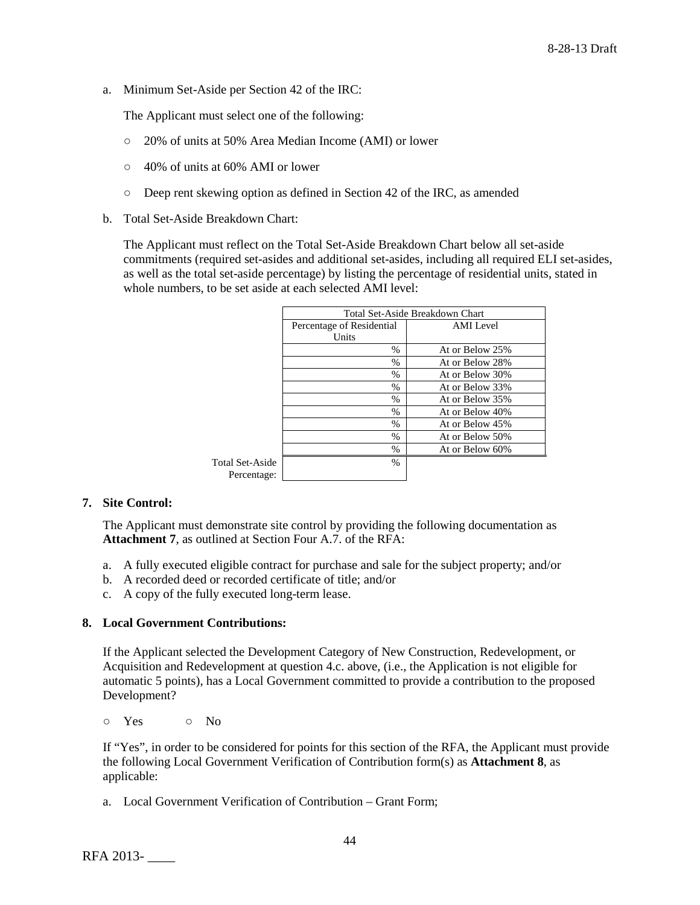a. Minimum Set-Aside per Section 42 of the IRC:

The Applicant must select one of the following:

- 20% of units at 50% Area Median Income (AMI) or lower
- 40% of units at 60% AMI or lower
- Deep rent skewing option as defined in Section 42 of the IRC, as amended
- b. Total Set-Aside Breakdown Chart:

The Applicant must reflect on the Total Set-Aside Breakdown Chart below all set-aside commitments (required set-asides and additional set-asides, including all required ELI set-asides, as well as the total set-aside percentage) by listing the percentage of residential units, stated in whole numbers, to be set aside at each selected AMI level:

|                 | Total Set-Aside Breakdown Chart |                  |  |  |  |  |
|-----------------|---------------------------------|------------------|--|--|--|--|
|                 | Percentage of Residential       | <b>AMI</b> Level |  |  |  |  |
|                 | Units                           |                  |  |  |  |  |
|                 | $\%$                            | At or Below 25%  |  |  |  |  |
|                 | %                               | At or Below 28%  |  |  |  |  |
|                 | $\%$                            | At or Below 30%  |  |  |  |  |
|                 | $\%$                            | At or Below 33%  |  |  |  |  |
|                 | $\%$                            | At or Below 35%  |  |  |  |  |
|                 | $\%$                            | At or Below 40%  |  |  |  |  |
|                 | $\%$                            | At or Below 45%  |  |  |  |  |
|                 | $\%$                            | At or Below 50%  |  |  |  |  |
|                 | $\%$                            | At or Below 60%  |  |  |  |  |
| Total Set-Aside | $\%$                            |                  |  |  |  |  |
| Percentage:     |                                 |                  |  |  |  |  |

# **7. Site Control:**

The Applicant must demonstrate site control by providing the following documentation as **Attachment 7**, as outlined at Section Four A.7. of the RFA:

- a. A fully executed eligible contract for purchase and sale for the subject property; and/or
- b. A recorded deed or recorded certificate of title; and/or
- c. A copy of the fully executed long-term lease.

# **8. Local Government Contributions:**

If the Applicant selected the Development Category of New Construction, Redevelopment, or Acquisition and Redevelopment at question 4.c. above, (i.e., the Application is not eligible for automatic 5 points), has a Local Government committed to provide a contribution to the proposed Development?

o Yes o No

If "Yes", in order to be considered for points for this section of the RFA, the Applicant must provide the following Local Government Verification of Contribution form(s) as **Attachment 8**, as applicable:

a. Local Government Verification of Contribution – Grant Form;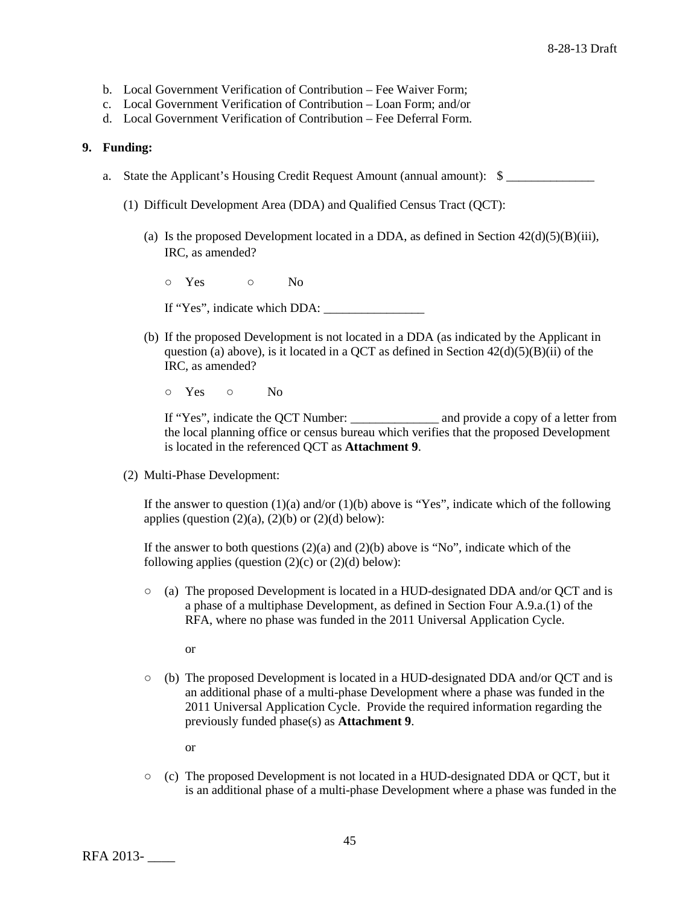- b. Local Government Verification of Contribution Fee Waiver Form;
- c. Local Government Verification of Contribution Loan Form; and/or
- d. Local Government Verification of Contribution Fee Deferral Form.

### **9. Funding:**

- a. State the Applicant's Housing Credit Request Amount (annual amount):  $\quad \quad$ 
	- (1) Difficult Development Area (DDA) and Qualified Census Tract (QCT):
		- (a) Is the proposed Development located in a DDA, as defined in Section  $42(d)(5)(B)(iii)$ , IRC, as amended?
			- o Yes o No
			- If "Yes", indicate which DDA: \_\_\_\_\_\_\_\_\_\_\_\_\_\_\_\_
		- (b) If the proposed Development is not located in a DDA (as indicated by the Applicant in question (a) above), is it located in a QCT as defined in Section  $42(d)(5)(B)(ii)$  of the IRC, as amended?
			- Yes No

If "Yes", indicate the QCT Number: \_\_\_\_\_\_\_\_\_\_\_\_\_\_ and provide a copy of a letter from the local planning office or census bureau which verifies that the proposed Development is located in the referenced QCT as **Attachment 9**.

(2) Multi-Phase Development:

If the answer to question  $(1)(a)$  and/or  $(1)(b)$  above is "Yes", indicate which of the following applies (question  $(2)(a)$ ,  $(2)(b)$  or  $(2)(d)$  below):

If the answer to both questions  $(2)(a)$  and  $(2)(b)$  above is "No", indicate which of the following applies (question  $(2)(c)$  or  $(2)(d)$  below):

- (a) The proposed Development is located in a HUD-designated DDA and/or QCT and is a phase of a multiphase Development, as defined in Section Four A.9.a.(1) of the RFA, where no phase was funded in the 2011 Universal Application Cycle.
	- or
- (b) The proposed Development is located in a HUD-designated DDA and/or QCT and is an additional phase of a multi-phase Development where a phase was funded in the 2011 Universal Application Cycle. Provide the required information regarding the previously funded phase(s) as **Attachment 9**.
	- or
- $\circ$  (c) The proposed Development is not located in a HUD-designated DDA or OCT, but it is an additional phase of a multi-phase Development where a phase was funded in the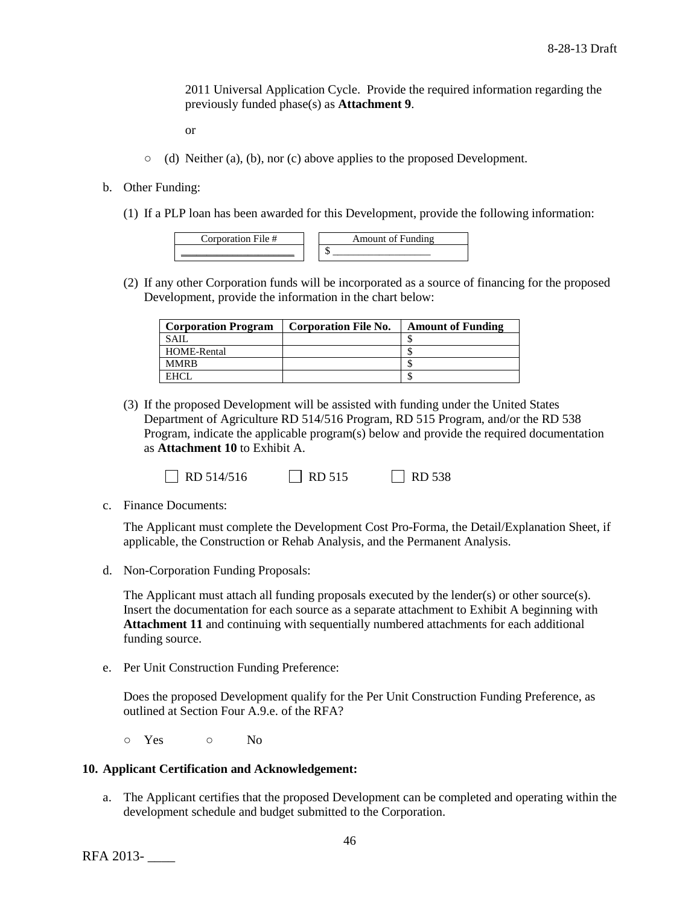2011 Universal Application Cycle. Provide the required information regarding the previously funded phase(s) as **Attachment 9**.

or

- $\circ$  (d) Neither (a), (b), nor (c) above applies to the proposed Development.
- b. Other Funding:
	- (1) If a PLP loan has been awarded for this Development, provide the following information:

| $m_{\Omega}$<br>$n \alpha$<br>$\sim$ |
|--------------------------------------|
| мB.                                  |

(2) If any other Corporation funds will be incorporated as a source of financing for the proposed Development, provide the information in the chart below:

| <b>Corporation Program</b> | <b>Corporation File No.</b> | <b>Amount of Funding</b> |
|----------------------------|-----------------------------|--------------------------|
| <b>SAIL</b>                |                             |                          |
| HOME-Rental                |                             |                          |
| <b>MMRB</b>                |                             |                          |
| EHCL                       |                             |                          |

(3) If the proposed Development will be assisted with funding under the United States Department of Agriculture RD 514/516 Program, RD 515 Program, and/or the RD 538 Program, indicate the applicable program(s) below and provide the required documentation as **Attachment 10** to Exhibit A.

| $\Box$ RD 514/516 | $\Box$ RD 515 | $\Box$ RD 538 |
|-------------------|---------------|---------------|
|-------------------|---------------|---------------|

c. Finance Documents:

The Applicant must complete the Development Cost Pro-Forma, the Detail/Explanation Sheet, if applicable, the Construction or Rehab Analysis, and the Permanent Analysis.

d. Non-Corporation Funding Proposals:

The Applicant must attach all funding proposals executed by the lender(s) or other source(s). Insert the documentation for each source as a separate attachment to Exhibit A beginning with **Attachment 11** and continuing with sequentially numbered attachments for each additional funding source.

e. Per Unit Construction Funding Preference:

Does the proposed Development qualify for the Per Unit Construction Funding Preference, as outlined at Section Four A.9.e. of the RFA?

○ Yes ○ No

### **10. Applicant Certification and Acknowledgement:**

a. The Applicant certifies that the proposed Development can be completed and operating within the development schedule and budget submitted to the Corporation.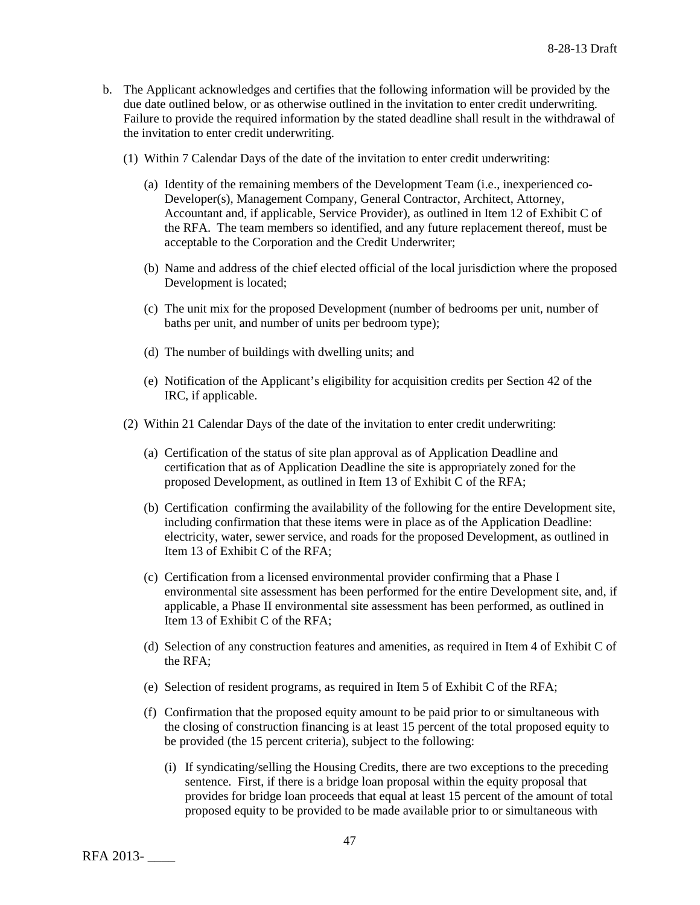- b. The Applicant acknowledges and certifies that the following information will be provided by the due date outlined below, or as otherwise outlined in the invitation to enter credit underwriting. Failure to provide the required information by the stated deadline shall result in the withdrawal of the invitation to enter credit underwriting.
	- (1) Within 7 Calendar Days of the date of the invitation to enter credit underwriting:
		- (a) Identity of the remaining members of the Development Team (i.e., inexperienced co-Developer(s), Management Company, General Contractor, Architect, Attorney, Accountant and, if applicable, Service Provider), as outlined in Item 12 of Exhibit C of the RFA. The team members so identified, and any future replacement thereof, must be acceptable to the Corporation and the Credit Underwriter;
		- (b) Name and address of the chief elected official of the local jurisdiction where the proposed Development is located;
		- (c) The unit mix for the proposed Development (number of bedrooms per unit, number of baths per unit, and number of units per bedroom type);
		- (d) The number of buildings with dwelling units; and
		- (e) Notification of the Applicant's eligibility for acquisition credits per Section 42 of the IRC, if applicable.
	- (2) Within 21 Calendar Days of the date of the invitation to enter credit underwriting:
		- (a) Certification of the status of site plan approval as of Application Deadline and certification that as of Application Deadline the site is appropriately zoned for the proposed Development, as outlined in Item 13 of Exhibit C of the RFA;
		- (b) Certification confirming the availability of the following for the entire Development site, including confirmation that these items were in place as of the Application Deadline: electricity, water, sewer service, and roads for the proposed Development, as outlined in Item 13 of Exhibit C of the RFA;
		- (c) Certification from a licensed environmental provider confirming that a Phase I environmental site assessment has been performed for the entire Development site, and, if applicable, a Phase II environmental site assessment has been performed, as outlined in Item 13 of Exhibit C of the RFA;
		- (d) Selection of any construction features and amenities, as required in Item 4 of Exhibit C of the RFA;
		- (e) Selection of resident programs, as required in Item 5 of Exhibit C of the RFA;
		- (f) Confirmation that the proposed equity amount to be paid prior to or simultaneous with the closing of construction financing is at least 15 percent of the total proposed equity to be provided (the 15 percent criteria), subject to the following:
			- (i) If syndicating/selling the Housing Credits, there are two exceptions to the preceding sentence. First, if there is a bridge loan proposal within the equity proposal that provides for bridge loan proceeds that equal at least 15 percent of the amount of total proposed equity to be provided to be made available prior to or simultaneous with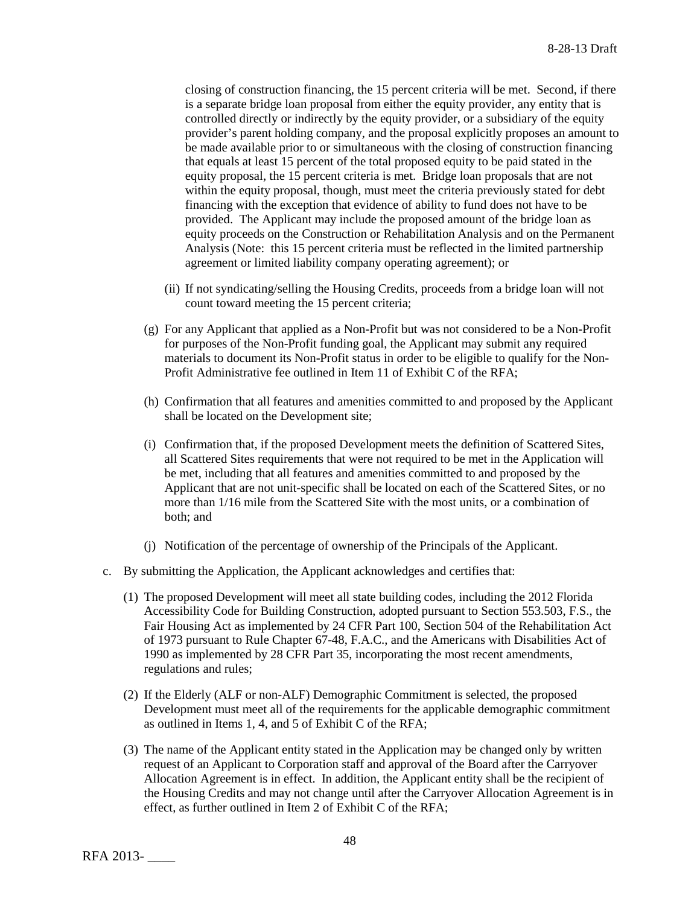closing of construction financing, the 15 percent criteria will be met. Second, if there is a separate bridge loan proposal from either the equity provider, any entity that is controlled directly or indirectly by the equity provider, or a subsidiary of the equity provider's parent holding company, and the proposal explicitly proposes an amount to be made available prior to or simultaneous with the closing of construction financing that equals at least 15 percent of the total proposed equity to be paid stated in the equity proposal, the 15 percent criteria is met. Bridge loan proposals that are not within the equity proposal, though, must meet the criteria previously stated for debt financing with the exception that evidence of ability to fund does not have to be provided. The Applicant may include the proposed amount of the bridge loan as equity proceeds on the Construction or Rehabilitation Analysis and on the Permanent Analysis (Note: this 15 percent criteria must be reflected in the limited partnership agreement or limited liability company operating agreement); or

- (ii) If not syndicating/selling the Housing Credits, proceeds from a bridge loan will not count toward meeting the 15 percent criteria;
- (g) For any Applicant that applied as a Non-Profit but was not considered to be a Non-Profit for purposes of the Non-Profit funding goal, the Applicant may submit any required materials to document its Non-Profit status in order to be eligible to qualify for the Non-Profit Administrative fee outlined in Item 11 of Exhibit C of the RFA;
- (h) Confirmation that all features and amenities committed to and proposed by the Applicant shall be located on the Development site;
- (i) Confirmation that, if the proposed Development meets the definition of Scattered Sites, all Scattered Sites requirements that were not required to be met in the Application will be met, including that all features and amenities committed to and proposed by the Applicant that are not unit-specific shall be located on each of the Scattered Sites, or no more than 1/16 mile from the Scattered Site with the most units, or a combination of both; and
- (j) Notification of the percentage of ownership of the Principals of the Applicant.
- c. By submitting the Application, the Applicant acknowledges and certifies that:
	- (1) The proposed Development will meet all state building codes, including the 2012 Florida Accessibility Code for Building Construction, adopted pursuant to Section 553.503, F.S., the Fair Housing Act as implemented by 24 CFR Part 100, Section 504 of the Rehabilitation Act of 1973 pursuant to Rule Chapter 67-48, F.A.C., and the Americans with Disabilities Act of 1990 as implemented by 28 CFR Part 35, incorporating the most recent amendments, regulations and rules;
	- (2) If the Elderly (ALF or non-ALF) Demographic Commitment is selected, the proposed Development must meet all of the requirements for the applicable demographic commitment as outlined in Items 1, 4, and 5 of Exhibit C of the RFA;
	- (3) The name of the Applicant entity stated in the Application may be changed only by written request of an Applicant to Corporation staff and approval of the Board after the Carryover Allocation Agreement is in effect. In addition, the Applicant entity shall be the recipient of the Housing Credits and may not change until after the Carryover Allocation Agreement is in effect, as further outlined in Item 2 of Exhibit C of the RFA;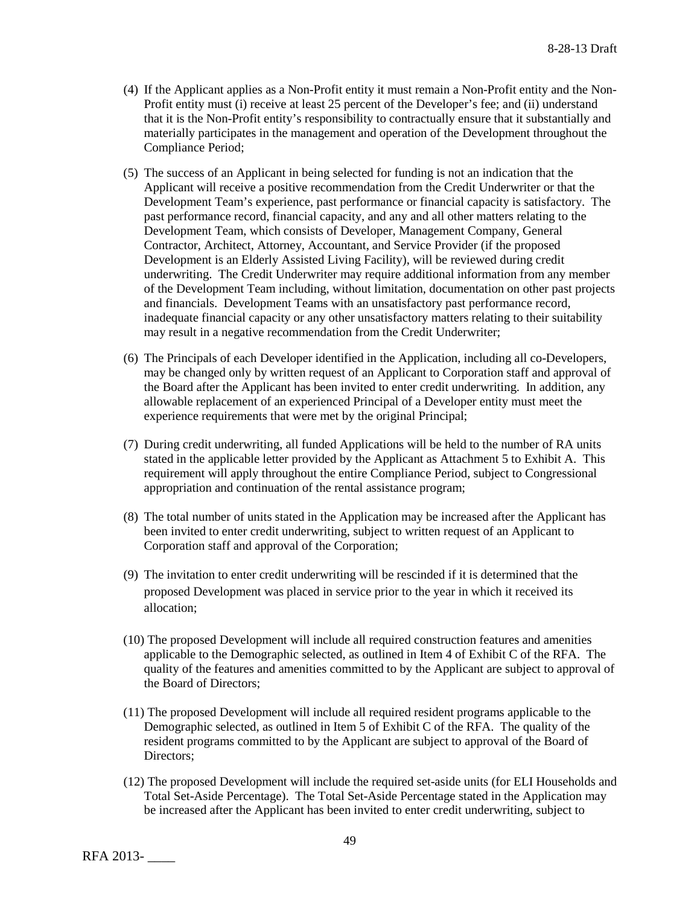- (4) If the Applicant applies as a Non-Profit entity it must remain a Non-Profit entity and the Non-Profit entity must (i) receive at least 25 percent of the Developer's fee; and (ii) understand that it is the Non-Profit entity's responsibility to contractually ensure that it substantially and materially participates in the management and operation of the Development throughout the Compliance Period;
- (5) The success of an Applicant in being selected for funding is not an indication that the Applicant will receive a positive recommendation from the Credit Underwriter or that the Development Team's experience, past performance or financial capacity is satisfactory. The past performance record, financial capacity, and any and all other matters relating to the Development Team, which consists of Developer, Management Company, General Contractor, Architect, Attorney, Accountant, and Service Provider (if the proposed Development is an Elderly Assisted Living Facility), will be reviewed during credit underwriting. The Credit Underwriter may require additional information from any member of the Development Team including, without limitation, documentation on other past projects and financials. Development Teams with an unsatisfactory past performance record, inadequate financial capacity or any other unsatisfactory matters relating to their suitability may result in a negative recommendation from the Credit Underwriter;
- (6) The Principals of each Developer identified in the Application, including all co-Developers, may be changed only by written request of an Applicant to Corporation staff and approval of the Board after the Applicant has been invited to enter credit underwriting. In addition, any allowable replacement of an experienced Principal of a Developer entity must meet the experience requirements that were met by the original Principal;
- (7) During credit underwriting, all funded Applications will be held to the number of RA units stated in the applicable letter provided by the Applicant as Attachment 5 to Exhibit A. This requirement will apply throughout the entire Compliance Period, subject to Congressional appropriation and continuation of the rental assistance program;
- (8) The total number of units stated in the Application may be increased after the Applicant has been invited to enter credit underwriting, subject to written request of an Applicant to Corporation staff and approval of the Corporation;
- (9) The invitation to enter credit underwriting will be rescinded if it is determined that the proposed Development was placed in service prior to the year in which it received its allocation;
- (10) The proposed Development will include all required construction features and amenities applicable to the Demographic selected, as outlined in Item 4 of Exhibit C of the RFA. The quality of the features and amenities committed to by the Applicant are subject to approval of the Board of Directors;
- (11) The proposed Development will include all required resident programs applicable to the Demographic selected, as outlined in Item 5 of Exhibit C of the RFA. The quality of the resident programs committed to by the Applicant are subject to approval of the Board of Directors;
- (12) The proposed Development will include the required set-aside units (for ELI Households and Total Set-Aside Percentage). The Total Set-Aside Percentage stated in the Application may be increased after the Applicant has been invited to enter credit underwriting, subject to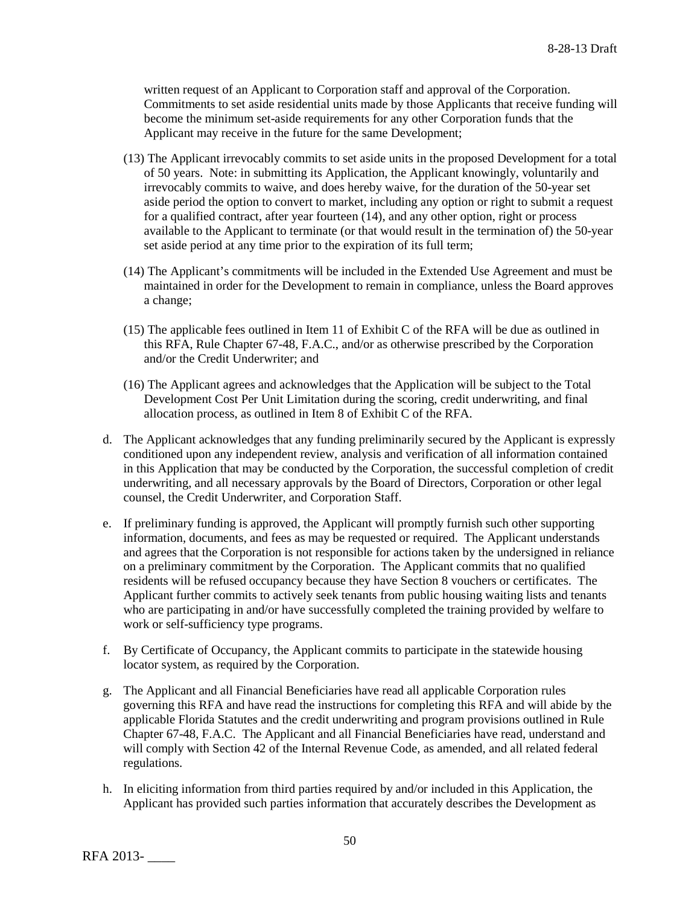written request of an Applicant to Corporation staff and approval of the Corporation. Commitments to set aside residential units made by those Applicants that receive funding will become the minimum set-aside requirements for any other Corporation funds that the Applicant may receive in the future for the same Development;

- (13) The Applicant irrevocably commits to set aside units in the proposed Development for a total of 50 years. Note: in submitting its Application, the Applicant knowingly, voluntarily and irrevocably commits to waive, and does hereby waive, for the duration of the 50-year set aside period the option to convert to market, including any option or right to submit a request for a qualified contract, after year fourteen (14), and any other option, right or process available to the Applicant to terminate (or that would result in the termination of) the 50-year set aside period at any time prior to the expiration of its full term;
- (14) The Applicant's commitments will be included in the Extended Use Agreement and must be maintained in order for the Development to remain in compliance, unless the Board approves a change;
- (15) The applicable fees outlined in Item 11 of Exhibit C of the RFA will be due as outlined in this RFA, Rule Chapter 67-48, F.A.C., and/or as otherwise prescribed by the Corporation and/or the Credit Underwriter; and
- (16) The Applicant agrees and acknowledges that the Application will be subject to the Total Development Cost Per Unit Limitation during the scoring, credit underwriting, and final allocation process, as outlined in Item 8 of Exhibit C of the RFA.
- d. The Applicant acknowledges that any funding preliminarily secured by the Applicant is expressly conditioned upon any independent review, analysis and verification of all information contained in this Application that may be conducted by the Corporation, the successful completion of credit underwriting, and all necessary approvals by the Board of Directors, Corporation or other legal counsel, the Credit Underwriter, and Corporation Staff.
- e. If preliminary funding is approved, the Applicant will promptly furnish such other supporting information, documents, and fees as may be requested or required. The Applicant understands and agrees that the Corporation is not responsible for actions taken by the undersigned in reliance on a preliminary commitment by the Corporation. The Applicant commits that no qualified residents will be refused occupancy because they have Section 8 vouchers or certificates. The Applicant further commits to actively seek tenants from public housing waiting lists and tenants who are participating in and/or have successfully completed the training provided by welfare to work or self-sufficiency type programs.
- f. By Certificate of Occupancy, the Applicant commits to participate in the statewide housing locator system, as required by the Corporation.
- g. The Applicant and all Financial Beneficiaries have read all applicable Corporation rules governing this RFA and have read the instructions for completing this RFA and will abide by the applicable Florida Statutes and the credit underwriting and program provisions outlined in Rule Chapter 67-48, F.A.C. The Applicant and all Financial Beneficiaries have read, understand and will comply with Section 42 of the Internal Revenue Code, as amended, and all related federal regulations.
- h. In eliciting information from third parties required by and/or included in this Application, the Applicant has provided such parties information that accurately describes the Development as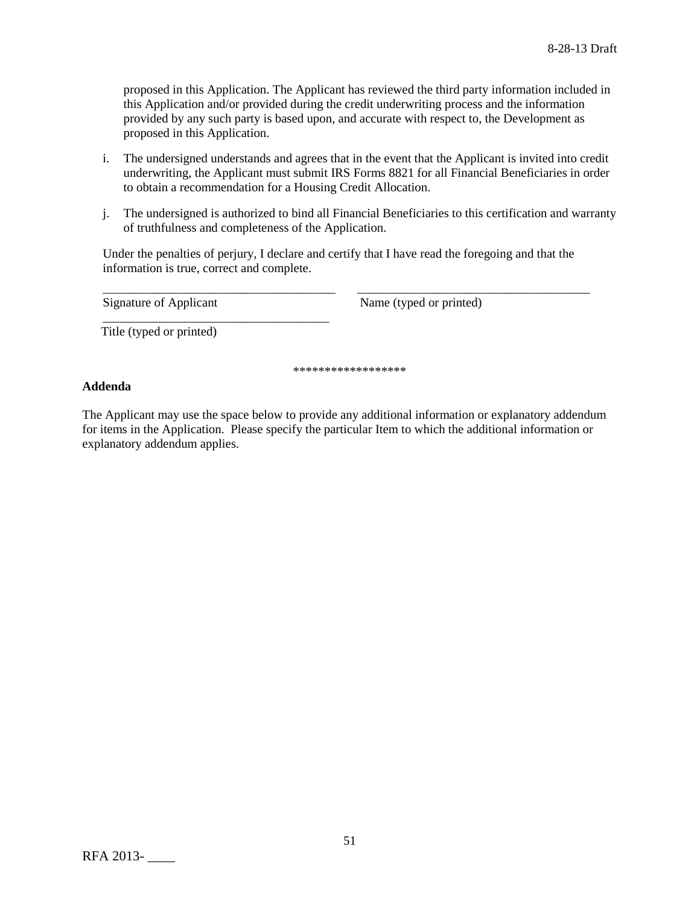proposed in this Application. The Applicant has reviewed the third party information included in this Application and/or provided during the credit underwriting process and the information provided by any such party is based upon, and accurate with respect to, the Development as proposed in this Application.

- i. The undersigned understands and agrees that in the event that the Applicant is invited into credit underwriting, the Applicant must submit IRS Forms 8821 for all Financial Beneficiaries in order to obtain a recommendation for a Housing Credit Allocation.
- j. The undersigned is authorized to bind all Financial Beneficiaries to this certification and warranty of truthfulness and completeness of the Application.

Under the penalties of perjury, I declare and certify that I have read the foregoing and that the information is true, correct and complete.

\_\_\_\_\_\_\_\_\_\_\_\_\_\_\_\_\_\_\_\_\_\_\_\_\_\_\_\_\_\_\_\_\_\_\_\_\_ \_\_\_\_\_\_\_\_\_\_\_\_\_\_\_\_\_\_\_\_\_\_\_\_\_\_\_\_\_\_\_\_\_\_\_\_\_ Signature of Applicant Name (typed or printed)

\_\_\_\_\_\_\_\_\_\_\_\_\_\_\_\_\_\_\_\_\_\_\_\_\_\_\_\_\_\_\_\_\_\_\_\_

Title (typed or printed)

\*\*\*\*\*\*\*\*\*\*\*\*\*\*\*\*\*\*

# **Addenda**

The Applicant may use the space below to provide any additional information or explanatory addendum for items in the Application. Please specify the particular Item to which the additional information or explanatory addendum applies.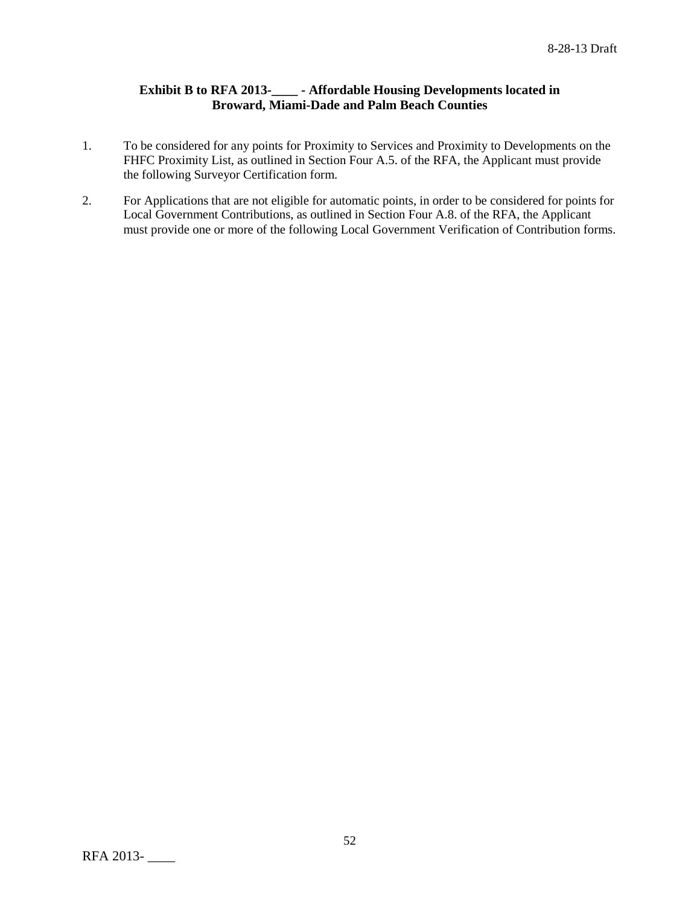# **Exhibit B to RFA 2013-\_\_\_\_ - Affordable Housing Developments located in Broward, Miami-Dade and Palm Beach Counties**

- 1. To be considered for any points for Proximity to Services and Proximity to Developments on the FHFC Proximity List, as outlined in Section Four A.5. of the RFA, the Applicant must provide the following Surveyor Certification form.
- 2. For Applications that are not eligible for automatic points, in order to be considered for points for Local Government Contributions, as outlined in Section Four A.8. of the RFA, the Applicant must provide one or more of the following Local Government Verification of Contribution forms.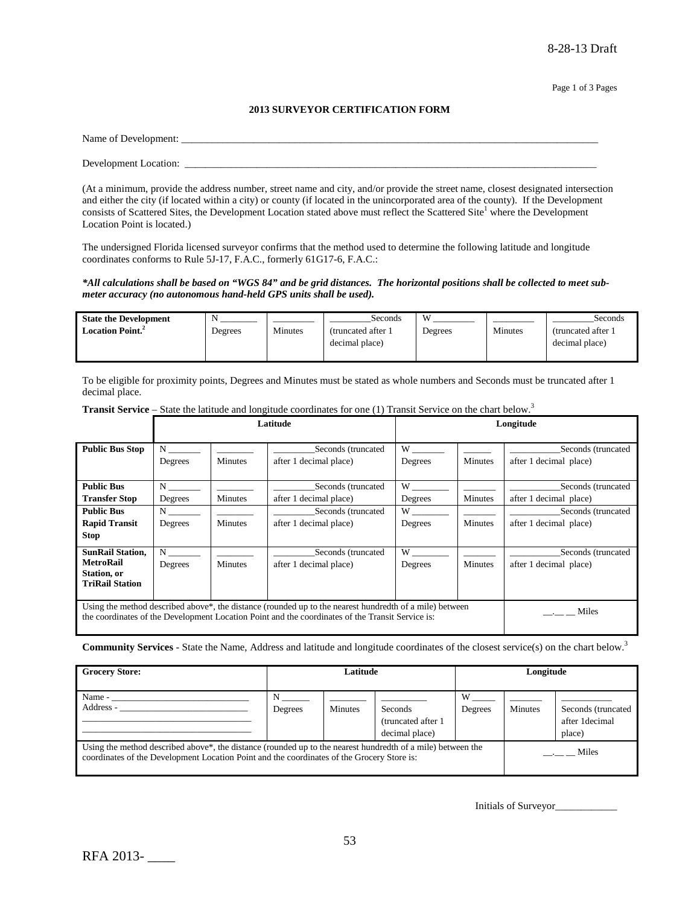#### **2013 SURVEYOR CERTIFICATION FORM**

| Name of Development:  |  |  |
|-----------------------|--|--|
|                       |  |  |
| Development Location: |  |  |

(At a minimum, provide the address number, street name and city, and/or provide the street name, closest designated intersection and either the city (if located within a city) or county (if located in the unincorporated area of the county). If the Development consists of Scattered Sites, the Development Location stated above must reflect the Scattered Site<sup>1</sup> where the Development Location Point is located.)

The undersigned Florida licensed surveyor confirms that the method used to determine the following latitude and longitude coordinates conforms to Rule 5J-17, F.A.C., formerly 61G17-6, F.A.C.:

#### *\*All calculations shall be based on "WGS 84" and be grid distances. The horizontal positions shall be collected to meet submeter accuracy (no autonomous hand-held GPS units shall be used).*

| <b>State the Development</b>        | N       |         | Seconds             | W       |         | Seconds             |
|-------------------------------------|---------|---------|---------------------|---------|---------|---------------------|
| <b>Location Point.</b> <sup>2</sup> | Degrees | Minutes | (truncated after 1) | Degrees | Minutes | (truncated after 1) |
|                                     |         |         | decimal place)      |         |         | decimal place)      |
|                                     |         |         |                     |         |         |                     |

To be eligible for proximity points, Degrees and Minutes must be stated as whole numbers and Seconds must be truncated after 1 decimal place.

|                                                                                                                                                                                                                          | Latitude     |                |                                              |                                                                                                                                                                                                                                |                | Longitude                                    |
|--------------------------------------------------------------------------------------------------------------------------------------------------------------------------------------------------------------------------|--------------|----------------|----------------------------------------------|--------------------------------------------------------------------------------------------------------------------------------------------------------------------------------------------------------------------------------|----------------|----------------------------------------------|
| <b>Public Bus Stop</b>                                                                                                                                                                                                   | N<br>Degrees | <b>Minutes</b> | Seconds (truncated<br>after 1 decimal place) | W<br>Degrees                                                                                                                                                                                                                   | <b>Minutes</b> | Seconds (truncated<br>after 1 decimal place) |
| <b>Public Bus</b>                                                                                                                                                                                                        | $N \sim$     |                | Seconds (truncated                           | W                                                                                                                                                                                                                              |                | Seconds (truncated                           |
| <b>Transfer Stop</b>                                                                                                                                                                                                     | Degrees      | <b>Minutes</b> | after 1 decimal place)                       | Degrees                                                                                                                                                                                                                        | Minutes        | after 1 decimal place)                       |
| <b>Public Bus</b>                                                                                                                                                                                                        | $N \sim$     |                | Seconds (truncated                           | W                                                                                                                                                                                                                              |                | Seconds (truncated                           |
| <b>Rapid Transit</b>                                                                                                                                                                                                     | Degrees      | <b>Minutes</b> | after 1 decimal place)                       | Degrees                                                                                                                                                                                                                        | Minutes        | after 1 decimal place)                       |
| <b>Stop</b>                                                                                                                                                                                                              |              |                |                                              |                                                                                                                                                                                                                                |                |                                              |
| <b>SunRail Station,</b>                                                                                                                                                                                                  | N            |                | Seconds (truncated                           | W and the set of the set of the set of the set of the set of the set of the set of the set of the set of the set of the set of the set of the set of the set of the set of the set of the set of the set of the set of the set |                | Seconds (truncated                           |
| <b>MetroRail</b>                                                                                                                                                                                                         | Degrees      | <b>Minutes</b> | after 1 decimal place)                       | Degrees                                                                                                                                                                                                                        | Minutes        | after 1 decimal place)                       |
| Station, or<br><b>TriRail Station</b>                                                                                                                                                                                    |              |                |                                              |                                                                                                                                                                                                                                |                |                                              |
|                                                                                                                                                                                                                          |              |                |                                              |                                                                                                                                                                                                                                |                |                                              |
| Using the method described above <sup>*</sup> , the distance (rounded up to the nearest hundredth of a mile) between<br>the coordinates of the Development Location Point and the coordinates of the Transit Service is: |              |                |                                              |                                                                                                                                                                                                                                |                | Miles                                        |

Transit Service – State the latitude and longitude coordinates for one (1) Transit Service on the chart below.<sup>3</sup>

**Community Services** - State the Name, Address and latitude and longitude coordinates of the closest service(s) on the chart below.3

| <b>Grocery Store:</b>                                                                                                                                                                                                  | Latitude |                |                                                  | Longitude    |         |                                                 |
|------------------------------------------------------------------------------------------------------------------------------------------------------------------------------------------------------------------------|----------|----------------|--------------------------------------------------|--------------|---------|-------------------------------------------------|
| Name -<br>Address -                                                                                                                                                                                                    | Degrees  | <b>Minutes</b> | Seconds<br>(truncated after 1)<br>decimal place) | W<br>Degrees | Minutes | Seconds (truncated<br>after 1 decimal<br>place) |
| Using the method described above <sup>*</sup> , the distance (rounded up to the nearest hundredth of a mile) between the<br>coordinates of the Development Location Point and the coordinates of the Grocery Store is: |          |                |                                                  |              |         | $\frac{1}{2}$ Miles                             |

Initials of Surveyor\_\_\_\_\_\_\_\_\_\_\_\_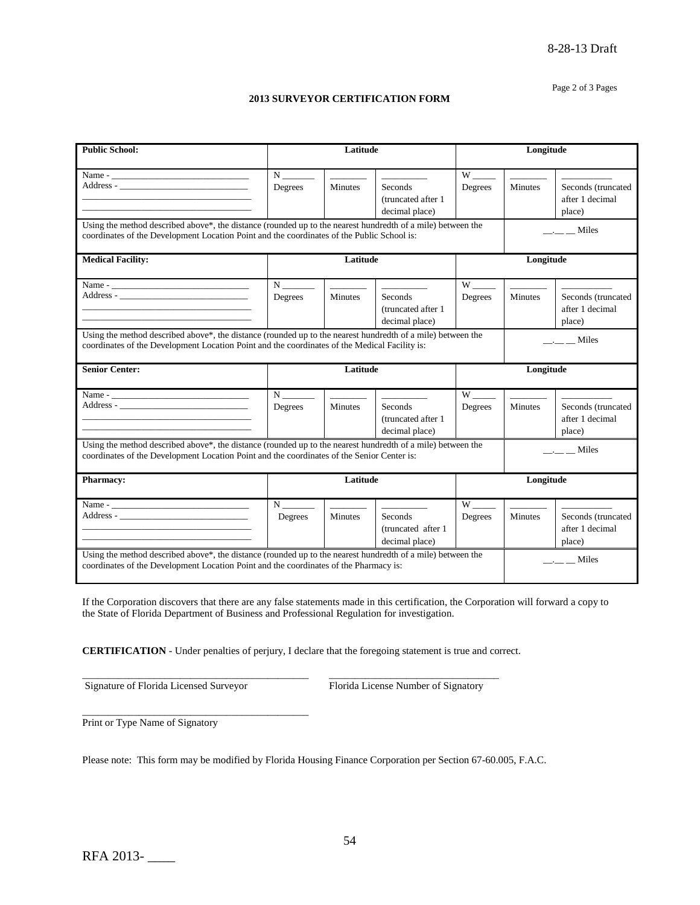#### Page 2 of 3 Pages

#### **2013 SURVEYOR CERTIFICATION FORM**

| <b>Public School:</b>                                                                                                                                                                                                         |                                  | Latitude                                                                                                                                                                                                                                                                                                                                                                                                                                                                   | Longitude                                                                                                                                                                                                                                                                                                                                                                                                                                                                              |                                 |                          |                                   |
|-------------------------------------------------------------------------------------------------------------------------------------------------------------------------------------------------------------------------------|----------------------------------|----------------------------------------------------------------------------------------------------------------------------------------------------------------------------------------------------------------------------------------------------------------------------------------------------------------------------------------------------------------------------------------------------------------------------------------------------------------------------|----------------------------------------------------------------------------------------------------------------------------------------------------------------------------------------------------------------------------------------------------------------------------------------------------------------------------------------------------------------------------------------------------------------------------------------------------------------------------------------|---------------------------------|--------------------------|-----------------------------------|
|                                                                                                                                                                                                                               |                                  |                                                                                                                                                                                                                                                                                                                                                                                                                                                                            |                                                                                                                                                                                                                                                                                                                                                                                                                                                                                        |                                 |                          |                                   |
|                                                                                                                                                                                                                               | $N_{\perp}$                      | $\frac{1}{2} \left( \frac{1}{2} \right) \left( \frac{1}{2} \right) \left( \frac{1}{2} \right) \left( \frac{1}{2} \right) \left( \frac{1}{2} \right) \left( \frac{1}{2} \right) \left( \frac{1}{2} \right) \left( \frac{1}{2} \right) \left( \frac{1}{2} \right) \left( \frac{1}{2} \right) \left( \frac{1}{2} \right) \left( \frac{1}{2} \right) \left( \frac{1}{2} \right) \left( \frac{1}{2} \right) \left( \frac{1}{2} \right) \left( \frac{1}{2} \right) \left( \frac$ | $\begin{array}{cccccccccc} \multicolumn{2}{c}{} & \multicolumn{2}{c}{} & \multicolumn{2}{c}{} & \multicolumn{2}{c}{} & \multicolumn{2}{c}{} & \multicolumn{2}{c}{} & \multicolumn{2}{c}{} & \multicolumn{2}{c}{} & \multicolumn{2}{c}{} & \multicolumn{2}{c}{} & \multicolumn{2}{c}{} & \multicolumn{2}{c}{} & \multicolumn{2}{c}{} & \multicolumn{2}{c}{} & \multicolumn{2}{c}{} & \multicolumn{2}{c}{} & \multicolumn{2}{c}{} & \multicolumn{2}{c}{} & \multicolumn{2}{c}{} & \mult$ | $W$ <sub>----</sub>             | <b>Contract Contract</b> |                                   |
| Address -                                                                                                                                                                                                                     | Degrees                          | <b>Minutes</b>                                                                                                                                                                                                                                                                                                                                                                                                                                                             | Seconds                                                                                                                                                                                                                                                                                                                                                                                                                                                                                | Degrees                         | <b>Minutes</b>           | Seconds (truncated                |
|                                                                                                                                                                                                                               |                                  |                                                                                                                                                                                                                                                                                                                                                                                                                                                                            | (truncated after 1)                                                                                                                                                                                                                                                                                                                                                                                                                                                                    |                                 |                          | after 1 decimal                   |
|                                                                                                                                                                                                                               |                                  |                                                                                                                                                                                                                                                                                                                                                                                                                                                                            | decimal place)                                                                                                                                                                                                                                                                                                                                                                                                                                                                         |                                 |                          | place)                            |
| Using the method described above*, the distance (rounded up to the nearest hundredth of a mile) between the                                                                                                                   |                                  |                                                                                                                                                                                                                                                                                                                                                                                                                                                                            |                                                                                                                                                                                                                                                                                                                                                                                                                                                                                        |                                 |                          |                                   |
| coordinates of the Development Location Point and the coordinates of the Public School is:                                                                                                                                    |                                  |                                                                                                                                                                                                                                                                                                                                                                                                                                                                            |                                                                                                                                                                                                                                                                                                                                                                                                                                                                                        |                                 |                          | $\frac{1}{2}$ Miles               |
|                                                                                                                                                                                                                               |                                  |                                                                                                                                                                                                                                                                                                                                                                                                                                                                            |                                                                                                                                                                                                                                                                                                                                                                                                                                                                                        |                                 |                          |                                   |
| <b>Medical Facility:</b>                                                                                                                                                                                                      |                                  | Latitude                                                                                                                                                                                                                                                                                                                                                                                                                                                                   |                                                                                                                                                                                                                                                                                                                                                                                                                                                                                        |                                 | Longitude                |                                   |
|                                                                                                                                                                                                                               |                                  |                                                                                                                                                                                                                                                                                                                                                                                                                                                                            |                                                                                                                                                                                                                                                                                                                                                                                                                                                                                        |                                 |                          |                                   |
|                                                                                                                                                                                                                               | $N_{\perp}$                      |                                                                                                                                                                                                                                                                                                                                                                                                                                                                            |                                                                                                                                                                                                                                                                                                                                                                                                                                                                                        |                                 |                          |                                   |
|                                                                                                                                                                                                                               | Degrees                          | Minutes                                                                                                                                                                                                                                                                                                                                                                                                                                                                    | Seconds                                                                                                                                                                                                                                                                                                                                                                                                                                                                                | Degrees                         | <b>Minutes</b>           | Seconds (truncated                |
| the control of the control of the control of the control of the control of the control of the control of the control of the control of the control of the control of the control of the control of the control of the control |                                  |                                                                                                                                                                                                                                                                                                                                                                                                                                                                            | (truncated after 1)                                                                                                                                                                                                                                                                                                                                                                                                                                                                    |                                 |                          | after 1 decimal                   |
|                                                                                                                                                                                                                               |                                  |                                                                                                                                                                                                                                                                                                                                                                                                                                                                            | decimal place)                                                                                                                                                                                                                                                                                                                                                                                                                                                                         |                                 |                          | place)                            |
| Using the method described above*, the distance (rounded up to the nearest hundredth of a mile) between the                                                                                                                   |                                  |                                                                                                                                                                                                                                                                                                                                                                                                                                                                            |                                                                                                                                                                                                                                                                                                                                                                                                                                                                                        |                                 |                          |                                   |
| coordinates of the Development Location Point and the coordinates of the Medical Facility is:                                                                                                                                 |                                  |                                                                                                                                                                                                                                                                                                                                                                                                                                                                            |                                                                                                                                                                                                                                                                                                                                                                                                                                                                                        |                                 |                          | $\frac{1}{2}$ Miles               |
|                                                                                                                                                                                                                               |                                  |                                                                                                                                                                                                                                                                                                                                                                                                                                                                            |                                                                                                                                                                                                                                                                                                                                                                                                                                                                                        |                                 |                          |                                   |
|                                                                                                                                                                                                                               |                                  |                                                                                                                                                                                                                                                                                                                                                                                                                                                                            |                                                                                                                                                                                                                                                                                                                                                                                                                                                                                        |                                 |                          |                                   |
| <b>Senior Center:</b>                                                                                                                                                                                                         |                                  | Latitude                                                                                                                                                                                                                                                                                                                                                                                                                                                                   |                                                                                                                                                                                                                                                                                                                                                                                                                                                                                        |                                 | Longitude                |                                   |
|                                                                                                                                                                                                                               |                                  |                                                                                                                                                                                                                                                                                                                                                                                                                                                                            |                                                                                                                                                                                                                                                                                                                                                                                                                                                                                        |                                 |                          |                                   |
|                                                                                                                                                                                                                               |                                  |                                                                                                                                                                                                                                                                                                                                                                                                                                                                            |                                                                                                                                                                                                                                                                                                                                                                                                                                                                                        |                                 |                          |                                   |
|                                                                                                                                                                                                                               | $N \longrightarrow$<br>Degrees   | $\begin{tabular}{lcccccc} \multicolumn{2}{c }{\textbf{1} & \textbf{2} & \textbf{3} & \textbf{4} & \textbf{5} & \textbf{5} & \textbf{6} & \textbf{7} & \textbf{8} & \textbf{9} & \textbf{10} & \textbf{10} & \textbf{10} & \textbf{10} & \textbf{10} & \textbf{10} & \textbf{10} & \textbf{10} & \textbf{10} & \textbf{10} & \textbf{10} & \textbf{10} & \textbf{10} & \textbf{10} & \textbf{10} & \textbf{10} & \text$<br>Minutes                                          | Seconds                                                                                                                                                                                                                                                                                                                                                                                                                                                                                | $W$ <sub>_____</sub><br>Degrees | <b>Minutes</b>           | Seconds (truncated                |
| <u> 1989 - Johann John Stein, markin fan it ferstjer fan it ferstjer fan it ferstjer fan it ferstjer fan it fers</u>                                                                                                          |                                  |                                                                                                                                                                                                                                                                                                                                                                                                                                                                            | (truncated after 1)                                                                                                                                                                                                                                                                                                                                                                                                                                                                    |                                 |                          | after 1 decimal                   |
|                                                                                                                                                                                                                               |                                  |                                                                                                                                                                                                                                                                                                                                                                                                                                                                            | decimal place)                                                                                                                                                                                                                                                                                                                                                                                                                                                                         |                                 |                          | place)                            |
|                                                                                                                                                                                                                               |                                  |                                                                                                                                                                                                                                                                                                                                                                                                                                                                            |                                                                                                                                                                                                                                                                                                                                                                                                                                                                                        |                                 |                          |                                   |
| Using the method described above*, the distance (rounded up to the nearest hundredth of a mile) between the<br>coordinates of the Development Location Point and the coordinates of the Senior Center is:                     |                                  |                                                                                                                                                                                                                                                                                                                                                                                                                                                                            |                                                                                                                                                                                                                                                                                                                                                                                                                                                                                        |                                 |                          | $\frac{1}{1}$ $\frac{1}{1}$ Miles |
|                                                                                                                                                                                                                               |                                  |                                                                                                                                                                                                                                                                                                                                                                                                                                                                            |                                                                                                                                                                                                                                                                                                                                                                                                                                                                                        |                                 |                          |                                   |
| <b>Pharmacy:</b>                                                                                                                                                                                                              |                                  | Latitude                                                                                                                                                                                                                                                                                                                                                                                                                                                                   |                                                                                                                                                                                                                                                                                                                                                                                                                                                                                        |                                 | Longitude                |                                   |
|                                                                                                                                                                                                                               |                                  |                                                                                                                                                                                                                                                                                                                                                                                                                                                                            |                                                                                                                                                                                                                                                                                                                                                                                                                                                                                        |                                 |                          |                                   |
|                                                                                                                                                                                                                               |                                  |                                                                                                                                                                                                                                                                                                                                                                                                                                                                            | <u>and the company of the company of the company of the company of the company of the company of the company of the company of the company of the company of the company of the company of the company of the company of the com</u>                                                                                                                                                                                                                                                   |                                 | <u>and the state</u>     |                                   |
|                                                                                                                                                                                                                               | $N$ <sub>______</sub><br>Degrees | $\begin{tabular}{ccccc} \multicolumn{2}{c }{\textbf{1} & \textbf{2} & \textbf{3} & \textbf{4} & \textbf{5} & \textbf{5} & \textbf{6} & \textbf{7} & \textbf{8} & \textbf{9} & \textbf{10} & \textbf{10} & \textbf{10} & \textbf{10} & \textbf{10} & \textbf{10} & \textbf{10} & \textbf{10} & \textbf{10} & \textbf{10} & \textbf{10} & \textbf{10} & \textbf{10} & \textbf{10} & \textbf{10} & \textbf{10} & \textbf$<br><b>Minutes</b>                                   | Seconds                                                                                                                                                                                                                                                                                                                                                                                                                                                                                | Degrees                         | Minutes                  | Seconds (truncated                |
|                                                                                                                                                                                                                               |                                  |                                                                                                                                                                                                                                                                                                                                                                                                                                                                            | (truncated after 1                                                                                                                                                                                                                                                                                                                                                                                                                                                                     |                                 |                          | after 1 decimal                   |
|                                                                                                                                                                                                                               |                                  |                                                                                                                                                                                                                                                                                                                                                                                                                                                                            |                                                                                                                                                                                                                                                                                                                                                                                                                                                                                        |                                 |                          |                                   |
|                                                                                                                                                                                                                               |                                  |                                                                                                                                                                                                                                                                                                                                                                                                                                                                            | decimal place)                                                                                                                                                                                                                                                                                                                                                                                                                                                                         |                                 |                          | place)                            |
| Using the method described above*, the distance (rounded up to the nearest hundredth of a mile) between the<br>coordinates of the Development Location Point and the coordinates of the Pharmacy is:                          |                                  |                                                                                                                                                                                                                                                                                                                                                                                                                                                                            |                                                                                                                                                                                                                                                                                                                                                                                                                                                                                        |                                 |                          | $\frac{1}{2}$ Miles               |

If the Corporation discovers that there are any false statements made in this certification, the Corporation will forward a copy to the State of Florida Department of Business and Professional Regulation for investigation.

**CERTIFICATION** - Under penalties of perjury, I declare that the foregoing statement is true and correct.

\_\_\_\_\_\_\_\_\_\_\_\_\_\_\_\_\_\_\_\_\_\_\_\_\_\_\_\_\_\_\_\_\_\_\_\_\_\_\_\_\_\_\_\_ \_\_\_\_\_\_\_\_\_\_\_\_\_\_\_\_\_\_\_\_\_\_\_\_\_\_\_\_\_\_\_\_\_

Signature of Florida Licensed Surveyor Florida License Number of Signatory

\_\_\_\_\_\_\_\_\_\_\_\_\_\_\_\_\_\_\_\_\_\_\_\_\_\_\_\_\_\_\_\_\_\_\_\_\_\_\_\_\_\_\_\_

Print or Type Name of Signatory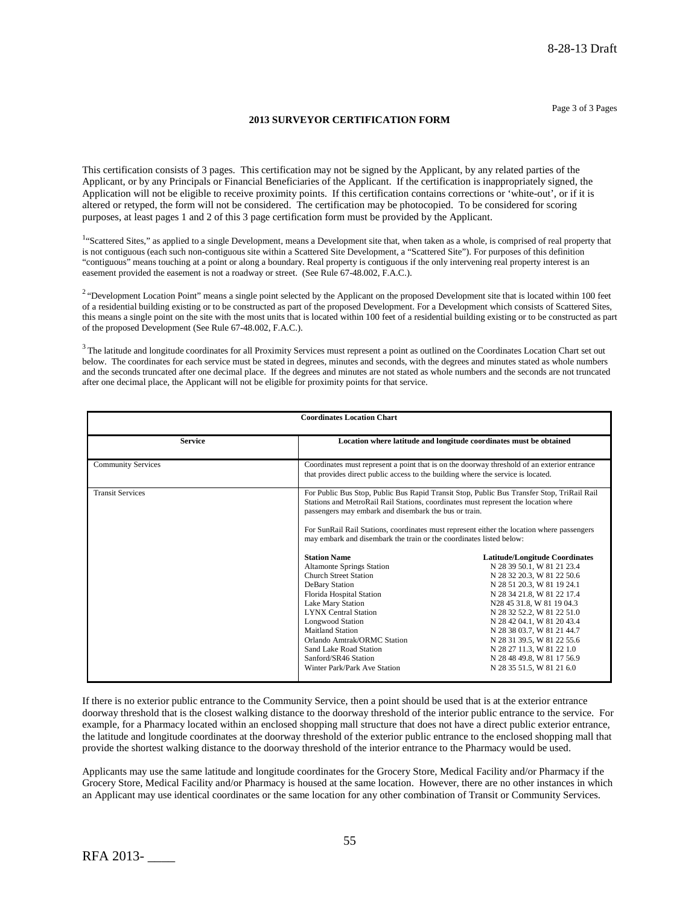#### **2013 SURVEYOR CERTIFICATION FORM**

This certification consists of 3 pages. This certification may not be signed by the Applicant, by any related parties of the Applicant, or by any Principals or Financial Beneficiaries of the Applicant. If the certification is inappropriately signed, the Application will not be eligible to receive proximity points. If this certification contains corrections or 'white-out', or if it is altered or retyped, the form will not be considered. The certification may be photocopied. To be considered for scoring purposes, at least pages 1 and 2 of this 3 page certification form must be provided by the Applicant.

<sup>1</sup>"Scattered Sites," as applied to a single Development, means a Development site that, when taken as a whole, is comprised of real property that is not contiguous (each such non-contiguous site within a Scattered Site Development, a "Scattered Site"). For purposes of this definition "contiguous" means touching at a point or along a boundary. Real property is contiguous if the only intervening real property interest is an easement provided the easement is not a roadway or street. (See Rule 67-48.002, F.A.C.).

<sup>2</sup> "Development Location Point" means a single point selected by the Applicant on the proposed Development site that is located within 100 feet of a residential building existing or to be constructed as part of the proposed Development. For a Development which consists of Scattered Sites, this means a single point on the site with the most units that is located within 100 feet of a residential building existing or to be constructed as part of the proposed Development (See Rule 67-48.002, F.A.C.).

 $3$  The latitude and longitude coordinates for all Proximity Services must represent a point as outlined on the Coordinates Location Chart set out below. The coordinates for each service must be stated in degrees, minutes and seconds, with the degrees and minutes stated as whole numbers and the seconds truncated after one decimal place. If the degrees and minutes are not stated as whole numbers and the seconds are not truncated after one decimal place, the Applicant will not be eligible for proximity points for that service.

| <b>Coordinates Location Chart</b> |                                                                                                                                                                                                                                                                                                                                                                                                                                                                                                                                                                                                                                                                                                                                                                              |                                                                                                                                                                                                                                                                                                                                                                                                            |  |  |  |
|-----------------------------------|------------------------------------------------------------------------------------------------------------------------------------------------------------------------------------------------------------------------------------------------------------------------------------------------------------------------------------------------------------------------------------------------------------------------------------------------------------------------------------------------------------------------------------------------------------------------------------------------------------------------------------------------------------------------------------------------------------------------------------------------------------------------------|------------------------------------------------------------------------------------------------------------------------------------------------------------------------------------------------------------------------------------------------------------------------------------------------------------------------------------------------------------------------------------------------------------|--|--|--|
| <b>Service</b>                    | Location where latitude and longitude coordinates must be obtained                                                                                                                                                                                                                                                                                                                                                                                                                                                                                                                                                                                                                                                                                                           |                                                                                                                                                                                                                                                                                                                                                                                                            |  |  |  |
| <b>Community Services</b>         | Coordinates must represent a point that is on the doorway threshold of an exterior entrance<br>that provides direct public access to the building where the service is located.                                                                                                                                                                                                                                                                                                                                                                                                                                                                                                                                                                                              |                                                                                                                                                                                                                                                                                                                                                                                                            |  |  |  |
| <b>Transit Services</b>           | For Public Bus Stop, Public Bus Rapid Transit Stop, Public Bus Transfer Stop, TriRail Rail<br>Stations and MetroRail Rail Stations, coordinates must represent the location where<br>passengers may embark and disembark the bus or train.<br>For SunRail Rail Stations, coordinates must represent either the location where passengers<br>may embark and disembark the train or the coordinates listed below:<br><b>Station Name</b><br><b>Altamonte Springs Station</b><br><b>Church Street Station</b><br>DeBary Station<br>Florida Hospital Station<br>Lake Mary Station<br><b>LYNX Central Station</b><br><b>Longwood Station</b><br>Maitland Station<br>Orlando Amtrak/ORMC Station<br>Sand Lake Road Station<br>Sanford/SR46 Station<br>Winter Park/Park Ave Station | <b>Latitude/Longitude Coordinates</b><br>N 28 39 50.1, W 81 21 23.4<br>N 28 32 20.3, W 81 22 50.6<br>N 28 51 20.3, W 81 19 24.1<br>N 28 34 21.8, W 81 22 17.4<br>N28 45 31.8, W 81 19 04.3<br>N 28 32 52.2, W 81 22 51.0<br>N 28 42 04.1, W 81 20 43.4<br>N 28 38 03.7, W 81 21 44.7<br>N 28 31 39.5, W 81 22 55.6<br>N 28 27 11.3, W 81 22 1.0<br>N 28 48 49.8, W 81 17 56.9<br>N 28 35 51.5, W 81 21 6.0 |  |  |  |

If there is no exterior public entrance to the Community Service, then a point should be used that is at the exterior entrance doorway threshold that is the closest walking distance to the doorway threshold of the interior public entrance to the service. For example, for a Pharmacy located within an enclosed shopping mall structure that does not have a direct public exterior entrance, the latitude and longitude coordinates at the doorway threshold of the exterior public entrance to the enclosed shopping mall that provide the shortest walking distance to the doorway threshold of the interior entrance to the Pharmacy would be used.

Applicants may use the same latitude and longitude coordinates for the Grocery Store, Medical Facility and/or Pharmacy if the Grocery Store, Medical Facility and/or Pharmacy is housed at the same location. However, there are no other instances in which an Applicant may use identical coordinates or the same location for any other combination of Transit or Community Services.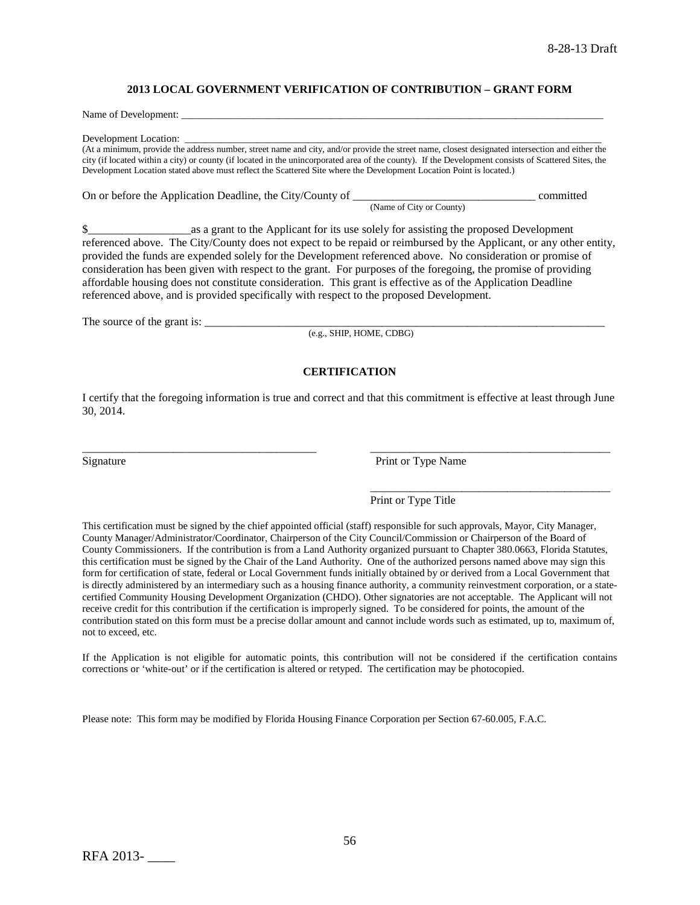#### **2013 LOCAL GOVERNMENT VERIFICATION OF CONTRIBUTION – GRANT FORM**

Name of Development:

Development Location:

(At a minimum, provide the address number, street name and city, and/or provide the street name, closest designated intersection and either the city (if located within a city) or county (if located in the unincorporated area of the county). If the Development consists of Scattered Sites, the Development Location stated above must reflect the Scattered Site where the Development Location Point is located.)

On or before the Application Deadline, the City/County of \_\_\_\_\_\_\_\_\_\_\_\_\_\_\_\_\_\_\_\_\_\_\_\_\_\_\_\_\_\_\_\_ committed (Name of City or County)

\$\_\_\_\_\_\_\_\_\_\_\_\_\_\_\_\_\_\_as a grant to the Applicant for its use solely for assisting the proposed Development referenced above. The City/County does not expect to be repaid or reimbursed by the Applicant, or any other entity, provided the funds are expended solely for the Development referenced above. No consideration or promise of consideration has been given with respect to the grant. For purposes of the foregoing, the promise of providing affordable housing does not constitute consideration. This grant is effective as of the Application Deadline referenced above, and is provided specifically with respect to the proposed Development.

The source of the grant is: \_\_\_\_\_\_\_\_\_\_\_\_\_\_\_\_\_\_\_\_\_\_\_\_\_\_\_\_\_\_\_\_\_\_\_\_\_\_\_\_\_\_\_\_\_\_\_\_\_\_\_\_\_\_\_\_\_\_\_\_\_\_\_\_\_\_\_\_\_\_

(e.g., SHIP, HOME, CDBG)

### **CERTIFICATION**

I certify that the foregoing information is true and correct and that this commitment is effective at least through June 30, 2014.

\_\_\_\_\_\_\_\_\_\_\_\_\_\_\_\_\_\_\_\_\_\_\_\_\_\_\_\_\_\_\_\_\_\_\_\_\_\_\_\_\_ \_\_\_\_\_\_\_\_\_\_\_\_\_\_\_\_\_\_\_\_\_\_\_\_\_\_\_\_\_\_\_\_\_\_\_\_\_\_\_\_\_\_

Signature Print or Type Name

\_\_\_\_\_\_\_\_\_\_\_\_\_\_\_\_\_\_\_\_\_\_\_\_\_\_\_\_\_\_\_\_\_\_\_\_\_\_\_\_\_\_

### Print or Type Title

This certification must be signed by the chief appointed official (staff) responsible for such approvals, Mayor, City Manager, County Manager/Administrator/Coordinator, Chairperson of the City Council/Commission or Chairperson of the Board of County Commissioners. If the contribution is from a Land Authority organized pursuant to Chapter 380.0663, Florida Statutes, this certification must be signed by the Chair of the Land Authority. One of the authorized persons named above may sign this form for certification of state, federal or Local Government funds initially obtained by or derived from a Local Government that is directly administered by an intermediary such as a housing finance authority, a community reinvestment corporation, or a statecertified Community Housing Development Organization (CHDO). Other signatories are not acceptable. The Applicant will not receive credit for this contribution if the certification is improperly signed. To be considered for points, the amount of the contribution stated on this form must be a precise dollar amount and cannot include words such as estimated, up to, maximum of, not to exceed, etc.

If the Application is not eligible for automatic points, this contribution will not be considered if the certification contains corrections or 'white-out' or if the certification is altered or retyped. The certification may be photocopied.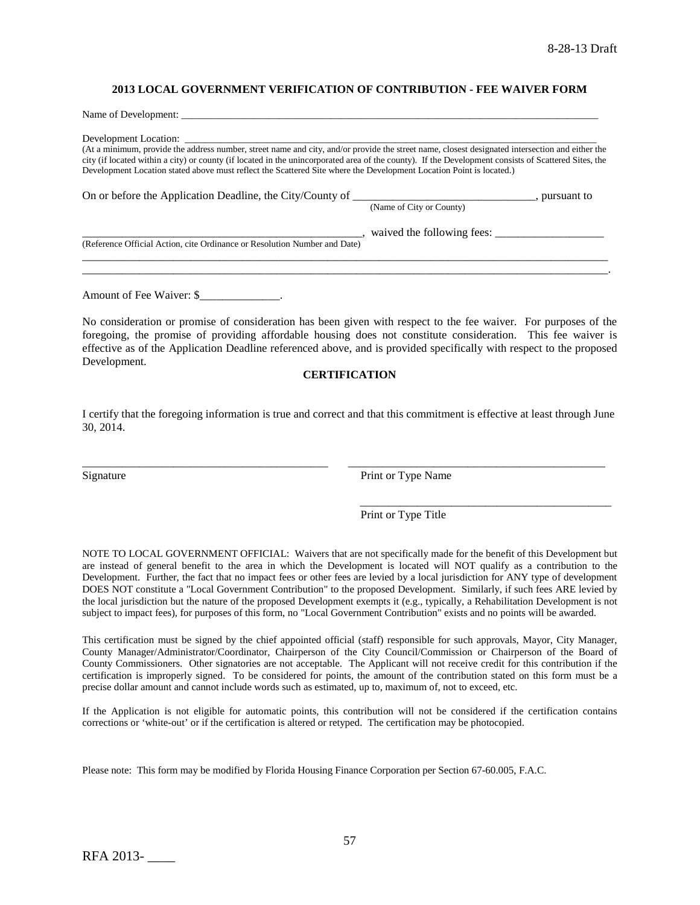#### **2013 LOCAL GOVERNMENT VERIFICATION OF CONTRIBUTION - FEE WAIVER FORM**

| Name of Development:                                                                                                                                                                                                                                                                                                                                                                                                           |                              |
|--------------------------------------------------------------------------------------------------------------------------------------------------------------------------------------------------------------------------------------------------------------------------------------------------------------------------------------------------------------------------------------------------------------------------------|------------------------------|
| (At a minimum, provide the address number, street name and city, and/or provide the street name, closest designated intersection and either the<br>city (if located within a city) or county (if located in the unincorporated area of the county). If the Development consists of Scattered Sites, the<br>Development Location stated above must reflect the Scattered Site where the Development Location Point is located.) |                              |
|                                                                                                                                                                                                                                                                                                                                                                                                                                | (Name of City or County)     |
| (Reference Official Action, cite Ordinance or Resolution Number and Date)                                                                                                                                                                                                                                                                                                                                                      | , waived the following fees: |
|                                                                                                                                                                                                                                                                                                                                                                                                                                |                              |

Amount of Fee Waiver: \$

No consideration or promise of consideration has been given with respect to the fee waiver. For purposes of the foregoing, the promise of providing affordable housing does not constitute consideration. This fee waiver is effective as of the Application Deadline referenced above, and is provided specifically with respect to the proposed Development.

#### **CERTIFICATION**

I certify that the foregoing information is true and correct and that this commitment is effective at least through June 30, 2014.

\_\_\_\_\_\_\_\_\_\_\_\_\_\_\_\_\_\_\_\_\_\_\_\_\_\_\_\_\_\_\_\_\_\_\_\_\_\_\_\_\_\_\_ \_\_\_\_\_\_\_\_\_\_\_\_\_\_\_\_\_\_\_\_\_\_\_\_\_\_\_\_\_\_\_\_\_\_\_\_\_\_\_\_\_\_\_\_\_

Signature Print or Type Name

Print or Type Title

\_\_\_\_\_\_\_\_\_\_\_\_\_\_\_\_\_\_\_\_\_\_\_\_\_\_\_\_\_\_\_\_\_\_\_\_\_\_\_\_\_\_\_\_

NOTE TO LOCAL GOVERNMENT OFFICIAL: Waivers that are not specifically made for the benefit of this Development but are instead of general benefit to the area in which the Development is located will NOT qualify as a contribution to the Development. Further, the fact that no impact fees or other fees are levied by a local jurisdiction for ANY type of development DOES NOT constitute a "Local Government Contribution" to the proposed Development. Similarly, if such fees ARE levied by the local jurisdiction but the nature of the proposed Development exempts it (e.g., typically, a Rehabilitation Development is not subject to impact fees), for purposes of this form, no "Local Government Contribution" exists and no points will be awarded.

This certification must be signed by the chief appointed official (staff) responsible for such approvals, Mayor, City Manager, County Manager/Administrator/Coordinator, Chairperson of the City Council/Commission or Chairperson of the Board of County Commissioners. Other signatories are not acceptable. The Applicant will not receive credit for this contribution if the certification is improperly signed. To be considered for points, the amount of the contribution stated on this form must be a precise dollar amount and cannot include words such as estimated, up to, maximum of, not to exceed, etc.

If the Application is not eligible for automatic points, this contribution will not be considered if the certification contains corrections or 'white-out' or if the certification is altered or retyped. The certification may be photocopied.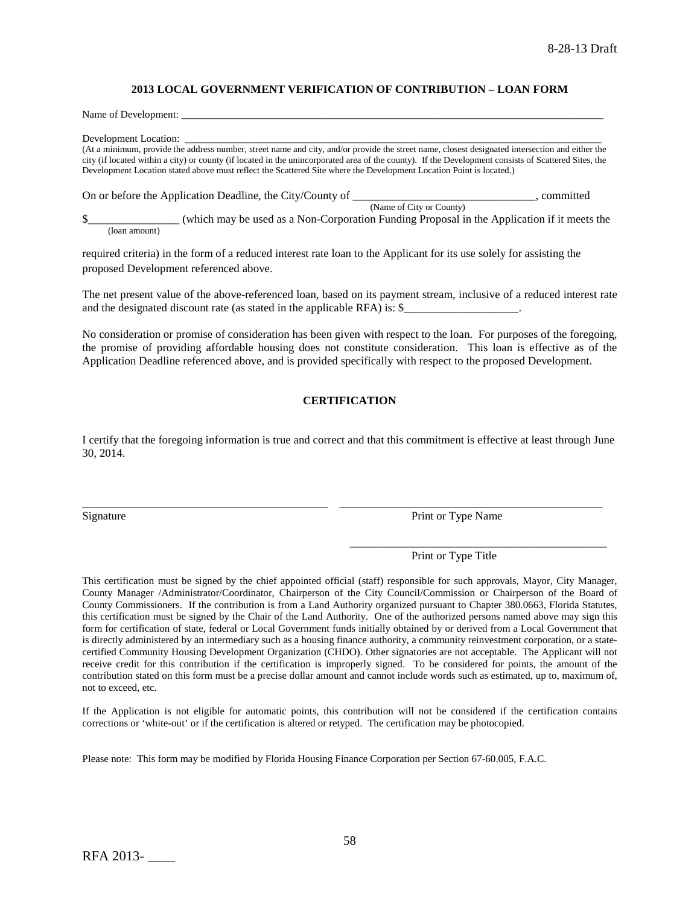#### **2013 LOCAL GOVERNMENT VERIFICATION OF CONTRIBUTION – LOAN FORM**

Name of Development:

Development Location:

(At a minimum, provide the address number, street name and city, and/or provide the street name, closest designated intersection and either the city (if located within a city) or county (if located in the unincorporated area of the county). If the Development consists of Scattered Sites, the Development Location stated above must reflect the Scattered Site where the Development Location Point is located.)

On or before the Application Deadline, the City/County of \_\_\_\_\_\_\_\_\_\_\_\_\_\_\_\_\_\_\_\_\_\_, committed (Name of City or County) \$\_\_\_\_\_\_\_\_\_\_\_\_\_\_\_\_ (which may be used as a Non-Corporation Funding Proposal in the Application if it meets the

(loan amount)

required criteria) in the form of a reduced interest rate loan to the Applicant for its use solely for assisting the proposed Development referenced above.

The net present value of the above-referenced loan, based on its payment stream, inclusive of a reduced interest rate and the designated discount rate (as stated in the applicable RFA) is: \$\_\_\_\_\_\_\_\_\_\_\_\_\_\_\_\_\_\_\_\_.

No consideration or promise of consideration has been given with respect to the loan. For purposes of the foregoing, the promise of providing affordable housing does not constitute consideration. This loan is effective as of the Application Deadline referenced above, and is provided specifically with respect to the proposed Development.

### **CERTIFICATION**

I certify that the foregoing information is true and correct and that this commitment is effective at least through June 30, 2014.

\_\_\_\_\_\_\_\_\_\_\_\_\_\_\_\_\_\_\_\_\_\_\_\_\_\_\_\_\_\_\_\_\_\_\_\_\_\_\_\_\_\_\_ \_\_\_\_\_\_\_\_\_\_\_\_\_\_\_\_\_\_\_\_\_\_\_\_\_\_\_\_\_\_\_\_\_\_\_\_\_\_\_\_\_\_\_\_\_\_

Signature Print or Type Name

Print or Type Title

\_\_\_\_\_\_\_\_\_\_\_\_\_\_\_\_\_\_\_\_\_\_\_\_\_\_\_\_\_\_\_\_\_\_\_\_\_\_\_\_\_\_\_\_\_

This certification must be signed by the chief appointed official (staff) responsible for such approvals, Mayor, City Manager, County Manager /Administrator/Coordinator, Chairperson of the City Council/Commission or Chairperson of the Board of County Commissioners. If the contribution is from a Land Authority organized pursuant to Chapter 380.0663, Florida Statutes, this certification must be signed by the Chair of the Land Authority. One of the authorized persons named above may sign this form for certification of state, federal or Local Government funds initially obtained by or derived from a Local Government that is directly administered by an intermediary such as a housing finance authority, a community reinvestment corporation, or a statecertified Community Housing Development Organization (CHDO). Other signatories are not acceptable. The Applicant will not receive credit for this contribution if the certification is improperly signed. To be considered for points, the amount of the contribution stated on this form must be a precise dollar amount and cannot include words such as estimated, up to, maximum of, not to exceed, etc.

If the Application is not eligible for automatic points, this contribution will not be considered if the certification contains corrections or 'white-out' or if the certification is altered or retyped. The certification may be photocopied.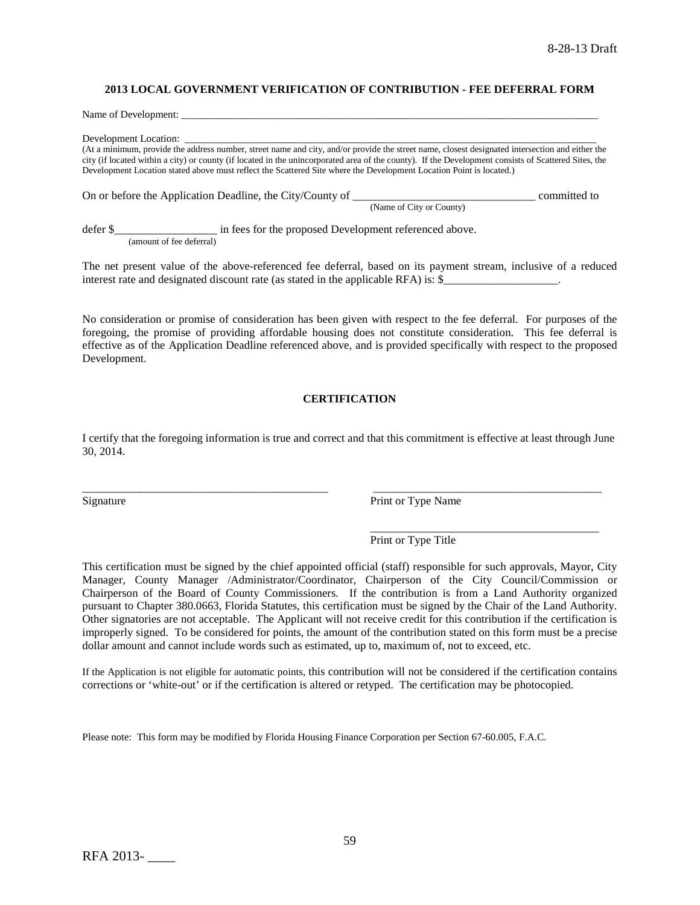### **2013 LOCAL GOVERNMENT VERIFICATION OF CONTRIBUTION - FEE DEFERRAL FORM**

Name of Development:

Development Location:

(At a minimum, provide the address number, street name and city, and/or provide the street name, closest designated intersection and either the city (if located within a city) or county (if located in the unincorporated area of the county). If the Development consists of Scattered Sites, the Development Location stated above must reflect the Scattered Site where the Development Location Point is located.)

On or before the Application Deadline, the City/County of \_\_\_\_\_\_\_\_\_\_\_\_\_\_\_\_\_\_\_\_\_\_\_\_\_\_\_\_\_\_\_\_ committed to (Name of City or County)

defer \$\_\_\_\_\_\_\_\_\_\_\_\_\_\_\_\_\_\_\_\_\_\_\_ in fees for the proposed Development referenced above. (amount of fee deferral)

The net present value of the above-referenced fee deferral, based on its payment stream, inclusive of a reduced interest rate and designated discount rate (as stated in the applicable RFA) is: \$

No consideration or promise of consideration has been given with respect to the fee deferral. For purposes of the foregoing, the promise of providing affordable housing does not constitute consideration. This fee deferral is effective as of the Application Deadline referenced above, and is provided specifically with respect to the proposed Development.

### **CERTIFICATION**

I certify that the foregoing information is true and correct and that this commitment is effective at least through June 30, 2014.

\_\_\_\_\_\_\_\_\_\_\_\_\_\_\_\_\_\_\_\_\_\_\_\_\_\_\_\_\_\_\_\_\_\_\_\_\_\_\_\_\_\_\_ \_\_\_\_\_\_\_\_\_\_\_\_\_\_\_\_\_\_\_\_\_\_\_\_\_\_\_\_\_\_\_\_\_\_\_\_\_\_\_\_

Signature Print or Type Name

\_\_\_\_\_\_\_\_\_\_\_\_\_\_\_\_\_\_\_\_\_\_\_\_\_\_\_\_\_\_\_\_\_\_\_\_\_\_\_\_ Print or Type Title

This certification must be signed by the chief appointed official (staff) responsible for such approvals, Mayor, City Manager, County Manager /Administrator/Coordinator, Chairperson of the City Council/Commission or Chairperson of the Board of County Commissioners. If the contribution is from a Land Authority organized pursuant to Chapter 380.0663, Florida Statutes, this certification must be signed by the Chair of the Land Authority. Other signatories are not acceptable. The Applicant will not receive credit for this contribution if the certification is improperly signed. To be considered for points, the amount of the contribution stated on this form must be a precise dollar amount and cannot include words such as estimated, up to, maximum of, not to exceed, etc.

If the Application is not eligible for automatic points, this contribution will not be considered if the certification contains corrections or 'white-out' or if the certification is altered or retyped. The certification may be photocopied.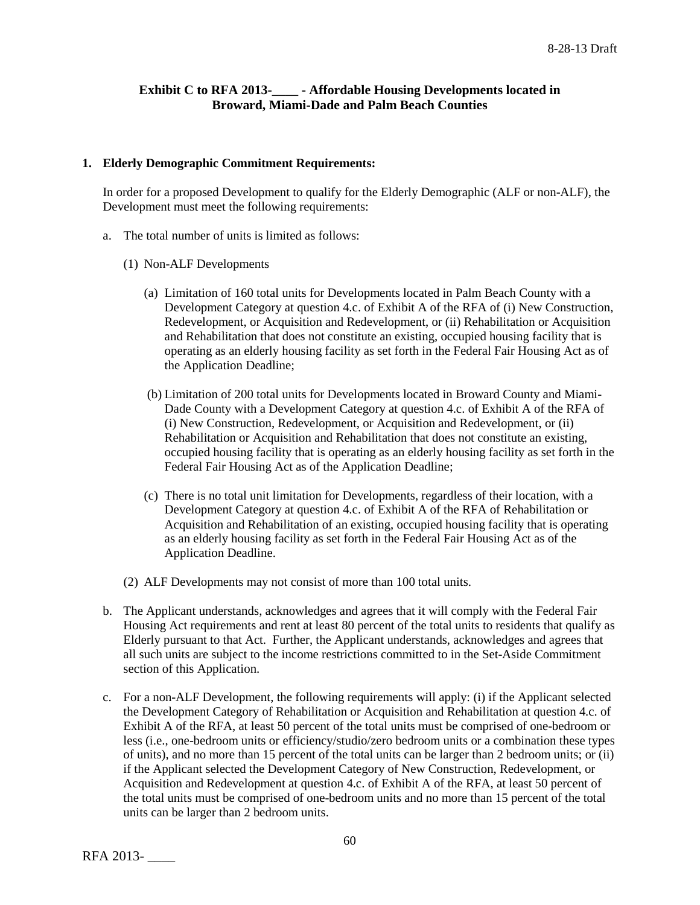# **Exhibit C to RFA 2013-\_\_\_\_ - Affordable Housing Developments located in Broward, Miami-Dade and Palm Beach Counties**

## **1. Elderly Demographic Commitment Requirements:**

In order for a proposed Development to qualify for the Elderly Demographic (ALF or non-ALF), the Development must meet the following requirements:

- a. The total number of units is limited as follows:
	- (1) Non-ALF Developments
		- (a) Limitation of 160 total units for Developments located in Palm Beach County with a Development Category at question 4.c. of Exhibit A of the RFA of (i) New Construction, Redevelopment, or Acquisition and Redevelopment, or (ii) Rehabilitation or Acquisition and Rehabilitation that does not constitute an existing, occupied housing facility that is operating as an elderly housing facility as set forth in the Federal Fair Housing Act as of the Application Deadline;
		- (b) Limitation of 200 total units for Developments located in Broward County and Miami-Dade County with a Development Category at question 4.c. of Exhibit A of the RFA of (i) New Construction, Redevelopment, or Acquisition and Redevelopment, or (ii) Rehabilitation or Acquisition and Rehabilitation that does not constitute an existing, occupied housing facility that is operating as an elderly housing facility as set forth in the Federal Fair Housing Act as of the Application Deadline;
		- (c) There is no total unit limitation for Developments, regardless of their location, with a Development Category at question 4.c. of Exhibit A of the RFA of Rehabilitation or Acquisition and Rehabilitation of an existing, occupied housing facility that is operating as an elderly housing facility as set forth in the Federal Fair Housing Act as of the Application Deadline.
	- (2) ALF Developments may not consist of more than 100 total units.
- b. The Applicant understands, acknowledges and agrees that it will comply with the Federal Fair Housing Act requirements and rent at least 80 percent of the total units to residents that qualify as Elderly pursuant to that Act. Further, the Applicant understands, acknowledges and agrees that all such units are subject to the income restrictions committed to in the Set-Aside Commitment section of this Application.
- c. For a non-ALF Development, the following requirements will apply: (i) if the Applicant selected the Development Category of Rehabilitation or Acquisition and Rehabilitation at question 4.c. of Exhibit A of the RFA, at least 50 percent of the total units must be comprised of one-bedroom or less (i.e., one-bedroom units or efficiency/studio/zero bedroom units or a combination these types of units), and no more than 15 percent of the total units can be larger than 2 bedroom units; or (ii) if the Applicant selected the Development Category of New Construction, Redevelopment, or Acquisition and Redevelopment at question 4.c. of Exhibit A of the RFA, at least 50 percent of the total units must be comprised of one-bedroom units and no more than 15 percent of the total units can be larger than 2 bedroom units.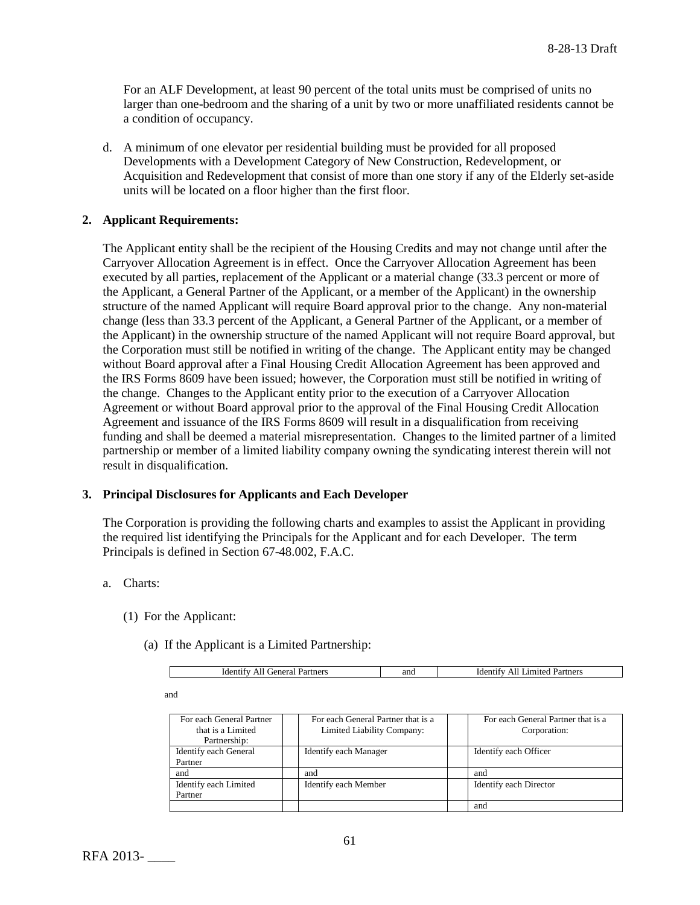For an ALF Development, at least 90 percent of the total units must be comprised of units no larger than one-bedroom and the sharing of a unit by two or more unaffiliated residents cannot be a condition of occupancy.

d. A minimum of one elevator per residential building must be provided for all proposed Developments with a Development Category of New Construction, Redevelopment, or Acquisition and Redevelopment that consist of more than one story if any of the Elderly set-aside units will be located on a floor higher than the first floor.

## **2. Applicant Requirements:**

The Applicant entity shall be the recipient of the Housing Credits and may not change until after the Carryover Allocation Agreement is in effect. Once the Carryover Allocation Agreement has been executed by all parties, replacement of the Applicant or a material change (33.3 percent or more of the Applicant, a General Partner of the Applicant, or a member of the Applicant) in the ownership structure of the named Applicant will require Board approval prior to the change. Any non-material change (less than 33.3 percent of the Applicant, a General Partner of the Applicant, or a member of the Applicant) in the ownership structure of the named Applicant will not require Board approval, but the Corporation must still be notified in writing of the change. The Applicant entity may be changed without Board approval after a Final Housing Credit Allocation Agreement has been approved and the IRS Forms 8609 have been issued; however, the Corporation must still be notified in writing of the change. Changes to the Applicant entity prior to the execution of a Carryover Allocation Agreement or without Board approval prior to the approval of the Final Housing Credit Allocation Agreement and issuance of the IRS Forms 8609 will result in a disqualification from receiving funding and shall be deemed a material misrepresentation. Changes to the limited partner of a limited partnership or member of a limited liability company owning the syndicating interest therein will not result in disqualification.

### **3. Principal Disclosures for Applicants and Each Developer**

The Corporation is providing the following charts and examples to assist the Applicant in providing the required list identifying the Principals for the Applicant and for each Developer. The term Principals is defined in Section 67-48.002, F.A.C.

### a. Charts:

- (1) For the Applicant:
	- (a) If the Applicant is a Limited Partnership:

|  | $\sim$ $\sim$ $\sim$<br>0.480<br>ldo<br>тене<br>UICL.<br>L CL.<br>$\sim$<br>``<br>. | anc | tners<br>uder<br>AP |
|--|-------------------------------------------------------------------------------------|-----|---------------------|
|--|-------------------------------------------------------------------------------------|-----|---------------------|

and

| For each General Partner | For each General Partner that is a | For each General Partner that is a |
|--------------------------|------------------------------------|------------------------------------|
| that is a Limited        | Limited Liability Company:         | Corporation:                       |
| Partnership:             |                                    |                                    |
| Identify each General    | Identify each Manager              | Identify each Officer              |
| Partner                  |                                    |                                    |
| and                      | and                                | and                                |
| Identify each Limited    | Identify each Member               | Identify each Director             |
| Partner                  |                                    |                                    |
|                          |                                    | and                                |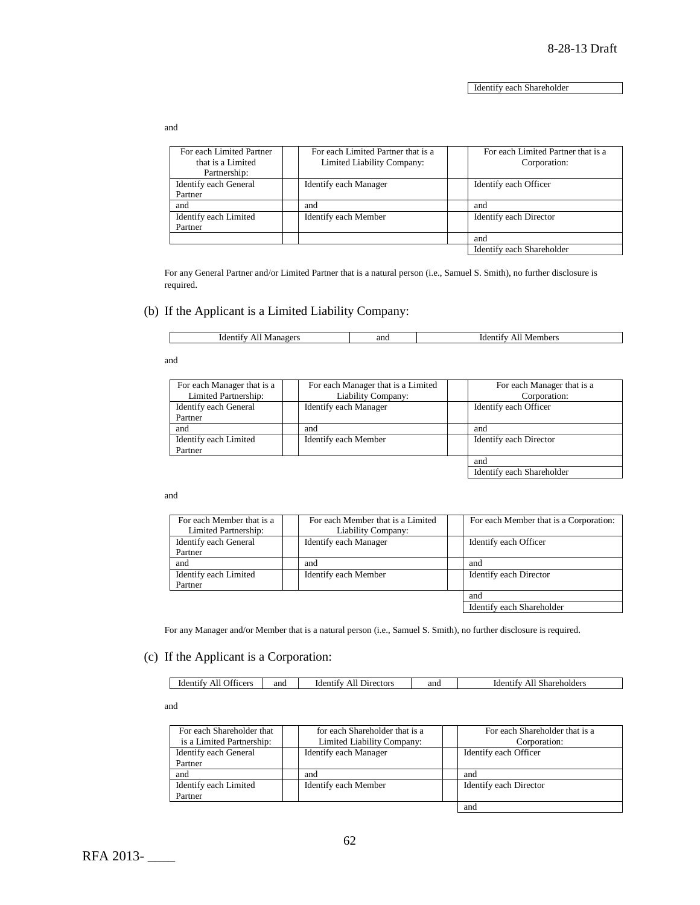Identify each Shareholder

and

| For each Limited Partner<br>that is a Limited<br>Partnership: | For each Limited Partner that is a<br>Limited Liability Company: | For each Limited Partner that is a<br>Corporation: |
|---------------------------------------------------------------|------------------------------------------------------------------|----------------------------------------------------|
| Identify each General                                         | Identify each Manager                                            | Identify each Officer                              |
| Partner                                                       |                                                                  |                                                    |
| and                                                           | and                                                              | and                                                |
| Identify each Limited                                         | Identify each Member                                             | Identify each Director                             |
| Partner                                                       |                                                                  |                                                    |
|                                                               |                                                                  | and                                                |
|                                                               |                                                                  | Identify each Shareholder                          |

For any General Partner and/or Limited Partner that is a natural person (i.e., Samuel S. Smith), no further disclosure is required.

### (b) If the Applicant is a Limited Liability Company:

|  | ıder<br>.09 <sup>o</sup><br>$-11$<br>w | and | $AAP^{\prime}$<br><b>N</b> e |
|--|----------------------------------------|-----|------------------------------|
|--|----------------------------------------|-----|------------------------------|

and

| For each Manager that is a | For each Manager that is a Limited | For each Manager that is a |
|----------------------------|------------------------------------|----------------------------|
| Limited Partnership:       | Liability Company:                 | Corporation:               |
| Identify each General      | Identify each Manager              | Identify each Officer      |
| Partner                    |                                    |                            |
| and                        | and                                | and                        |
| Identify each Limited      | Identify each Member               | Identify each Director     |
| Partner                    |                                    |                            |
|                            |                                    | and                        |

Identify each Shareholder

and

| For each Member that is a<br>Limited Partnership: | For each Member that is a Limited<br>Liability Company: | For each Member that is a Corporation: |
|---------------------------------------------------|---------------------------------------------------------|----------------------------------------|
| Identify each General<br>Partner                  | Identify each Manager                                   | Identify each Officer                  |
| and                                               | and                                                     | and                                    |
| Identify each Limited<br>Partner                  | Identify each Member                                    | Identify each Director                 |
|                                                   |                                                         | and                                    |
|                                                   |                                                         | Identify each Shareholder              |

For any Manager and/or Member that is a natural person (i.e., Samuel S. Smith), no further disclosure is required.

### (c) If the Applicant is a Corporation:

| . | <b>Jiticers</b><br><sub>1</sub> der<br>911 | and | Directors<br>identity.<br>ΑH | and | iden*<br>`hareholders<br>וואוור<br>- 11 |
|---|--------------------------------------------|-----|------------------------------|-----|-----------------------------------------|

and

|                              | For each Shareholder that is a |
|------------------------------|--------------------------------|
| Limited Liability Company:   | Corporation:                   |
| <b>Identify each Manager</b> | Identify each Officer          |
|                              |                                |
| and                          | and                            |
| Identify each Member         | Identify each Director         |
|                              |                                |
|                              | and                            |
|                              | for each Shareholder that is a |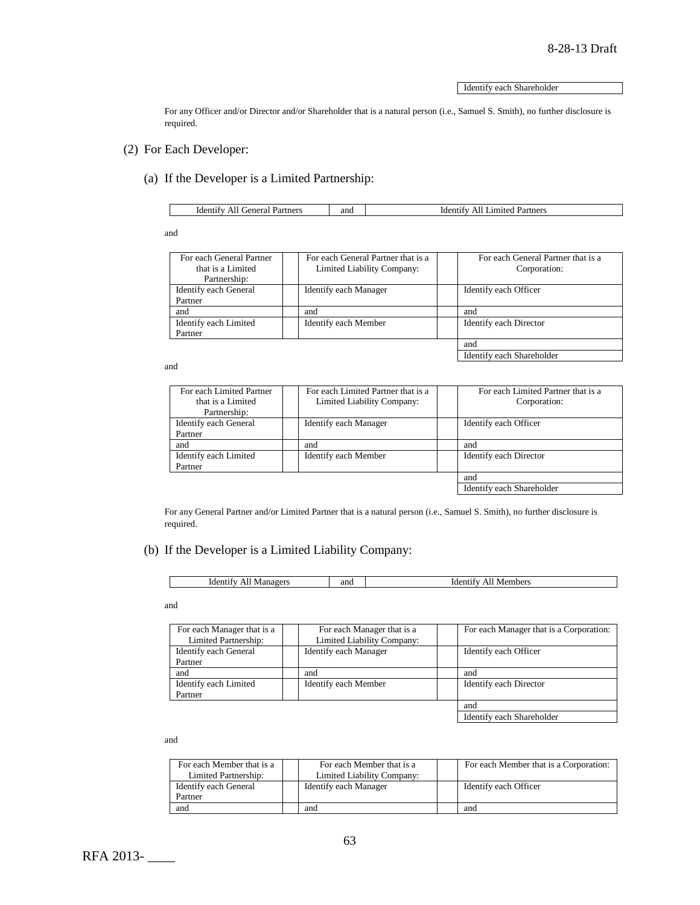Identify each Shareholder

For any Officer and/or Director and/or Shareholder that is a natural person (i.e., Samuel S. Smith), no further disclosure is required.

- (2) For Each Developer:
	- (a) If the Developer is a Limited Partnership:

| ienera<br>Identify<br>Partners<br>AII<br>ла | and | Partners<br>1 <sup>1</sup><br>.der<br>'teo<br>,,, |
|---------------------------------------------|-----|---------------------------------------------------|

and

| For each General Partner     | For each General Partner that is a | For each General Partner that is a |
|------------------------------|------------------------------------|------------------------------------|
| that is a Limited            | Limited Liability Company:         | Corporation:                       |
| Partnership:                 |                                    |                                    |
| <b>Identify each General</b> | Identify each Manager              | Identify each Officer              |
| Partner                      |                                    |                                    |
| and                          | and                                | and                                |
| Identify each Limited        | Identify each Member               | Identify each Director             |
| Partner                      |                                    |                                    |
|                              |                                    | and                                |
|                              |                                    | Identify each Shareholder          |

and

| For each Limited Partner | For each Limited Partner that is a | For each Limited Partner that is a |
|--------------------------|------------------------------------|------------------------------------|
| that is a Limited        | Limited Liability Company:         | Corporation:                       |
| Partnership:             |                                    |                                    |
| Identify each General    | Identify each Manager              | Identify each Officer              |
| Partner                  |                                    |                                    |
| and                      | and                                | and                                |
| Identify each Limited    | Identify each Member               | Identify each Director             |
| Partner                  |                                    |                                    |
|                          |                                    | and                                |
|                          |                                    | Identify each Shareholder          |

For any General Partner and/or Limited Partner that is a natural person (i.e., Samuel S. Smith), no further disclosure is required.

### (b) If the Developer is a Limited Liability Company:

| Ident <sup>-</sup><br>0.10 <sup>pc</sup><br>t1t v<br>ľМ | and | :mbers<br>Met |
|---------------------------------------------------------|-----|---------------|
|                                                         |     |               |

and

| For each Manager that is a<br>Limited Partnership: | For each Manager that is a<br>Limited Liability Company: | For each Manager that is a Corporation: |
|----------------------------------------------------|----------------------------------------------------------|-----------------------------------------|
| Identify each General                              | Identify each Manager                                    | Identify each Officer                   |
| Partner                                            |                                                          |                                         |
| and                                                | and                                                      | and                                     |
| Identify each Limited                              | Identify each Member                                     | Identify each Director                  |
| Partner                                            |                                                          |                                         |
|                                                    |                                                          | and                                     |
|                                                    |                                                          | Identify each Shareholder               |

and

| For each Member that is a<br>Limited Partnership: | For each Member that is a<br>Limited Liability Company: | For each Member that is a Corporation: |
|---------------------------------------------------|---------------------------------------------------------|----------------------------------------|
| Identify each General                             | Identify each Manager                                   | Identify each Officer                  |
| Partner                                           |                                                         |                                        |
| and                                               | and                                                     | and                                    |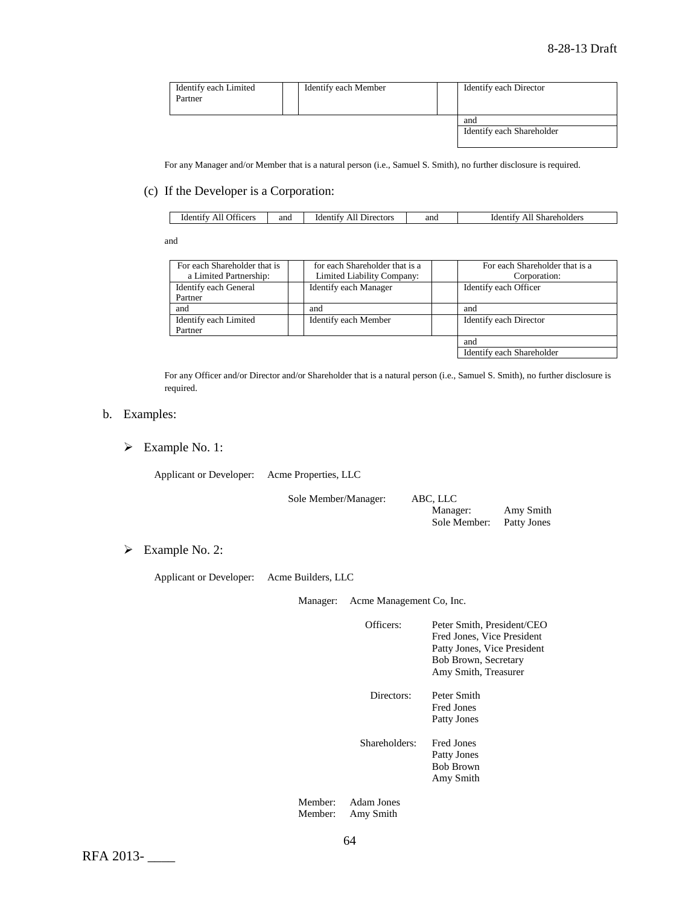| Identify each Limited<br>Partner | Identify each Member | Identify each Director    |
|----------------------------------|----------------------|---------------------------|
|                                  |                      | and                       |
|                                  |                      | Identify each Shareholder |
|                                  |                      |                           |

For any Manager and/or Member that is a natural person (i.e., Samuel S. Smith), no further disclosure is required.

#### (c) If the Developer is a Corporation:

| Officers<br>1denti<br>AIL | and | Directors<br>-ident <sup>-</sup><br>AIL | and | hareholders<br>uden'<br>Ali<br>וזור |
|---------------------------|-----|-----------------------------------------|-----|-------------------------------------|
|---------------------------|-----|-----------------------------------------|-----|-------------------------------------|

and

| For each Shareholder that is | for each Shareholder that is a | For each Shareholder that is a |
|------------------------------|--------------------------------|--------------------------------|
| a Limited Partnership:       | Limited Liability Company:     | Corporation:                   |
| Identify each General        | <b>Identify each Manager</b>   | Identify each Officer          |
| Partner                      |                                |                                |
| and                          | and                            | and                            |
| Identify each Limited        | Identify each Member           | Identify each Director         |
| Partner                      |                                |                                |
|                              |                                | and                            |
|                              |                                | Identify each Shareholder      |

For any Officer and/or Director and/or Shareholder that is a natural person (i.e., Samuel S. Smith), no further disclosure is required.

### b. Examples:

Example No. 1:

Applicant or Developer: Acme Properties, LLC

Sole Member/Manager: ABC, LLC

Manager: Amy Smith<br>Sole Member: Patty Jones Sole Member:

Example No. 2:

Applicant or Developer: Acme Builders, LLC

Manager: Acme Management Co, Inc.

Officers: Peter Smith, President/CEO Fred Jones, Vice President Patty Jones, Vice President Bob Brown, Secretary Amy Smith, Treasurer

Directors: Peter Smith Fred Jones Patty Jones

Shareholders: Fred Jones Patty Jones Bob Brown Amy Smith

Member: Adam Jones Member: Amy Smith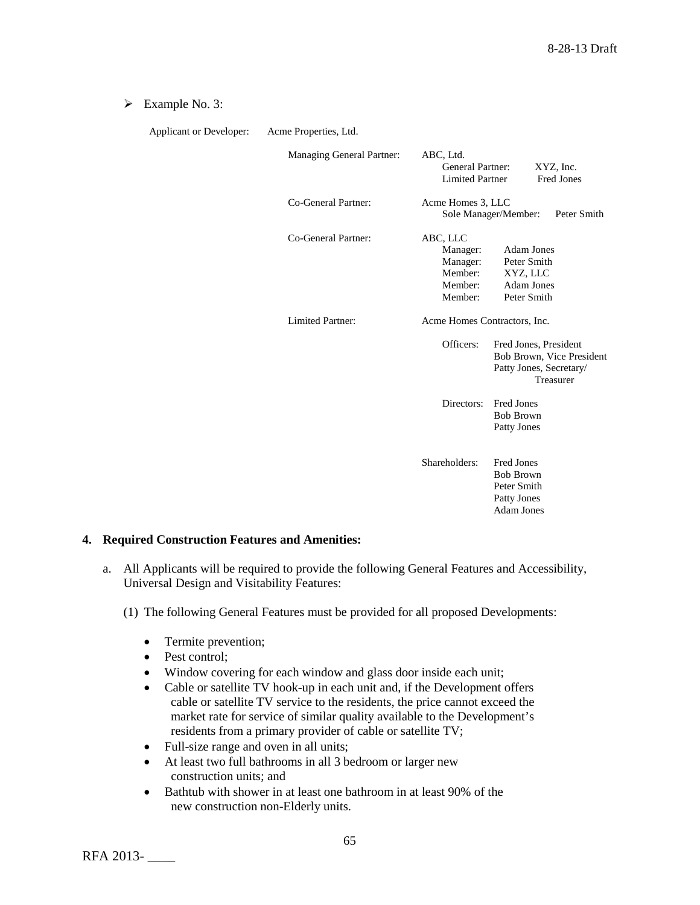### Example No. 3:

| Applicant or Developer: | Acme Properties, Ltd.     |                                                                                                                                                       |  |  |  |
|-------------------------|---------------------------|-------------------------------------------------------------------------------------------------------------------------------------------------------|--|--|--|
|                         | Managing General Partner: | ABC, Ltd.<br><b>General Partner:</b><br>XYZ, Inc.<br><b>Limited Partner</b><br><b>Fred Jones</b>                                                      |  |  |  |
|                         | Co-General Partner:       | Acme Homes 3, LLC<br>Sole Manager/Member:<br>Peter Smith                                                                                              |  |  |  |
|                         | Co-General Partner:       | ABC, LLC<br><b>Adam Jones</b><br>Manager:<br>Peter Smith<br>Manager:<br>Member:<br>XYZ, LLC<br><b>Adam Jones</b><br>Member:<br>Peter Smith<br>Member: |  |  |  |
|                         | Limited Partner:          | Acme Homes Contractors, Inc.                                                                                                                          |  |  |  |
|                         |                           | Officers:<br>Fred Jones, President<br>Bob Brown, Vice President<br>Patty Jones, Secretary/<br>Treasurer                                               |  |  |  |
|                         |                           | Directors:<br><b>Fred Jones</b><br><b>Bob Brown</b><br>Patty Jones                                                                                    |  |  |  |
|                         |                           | Shareholders:<br><b>Fred Jones</b><br><b>Bob Brown</b><br>Peter Smith<br>Patty Jones<br><b>Adam Jones</b>                                             |  |  |  |

# **4. Required Construction Features and Amenities:**

- a. All Applicants will be required to provide the following General Features and Accessibility, Universal Design and Visitability Features:
	- (1) The following General Features must be provided for all proposed Developments:
		- Termite prevention;
		- Pest control:
		- Window covering for each window and glass door inside each unit;
		- Cable or satellite TV hook-up in each unit and, if the Development offers cable or satellite TV service to the residents, the price cannot exceed the market rate for service of similar quality available to the Development's residents from a primary provider of cable or satellite TV;
		- Full-size range and oven in all units;
		- At least two full bathrooms in all 3 bedroom or larger new construction units; and
		- Bathtub with shower in at least one bathroom in at least 90% of the new construction non-Elderly units.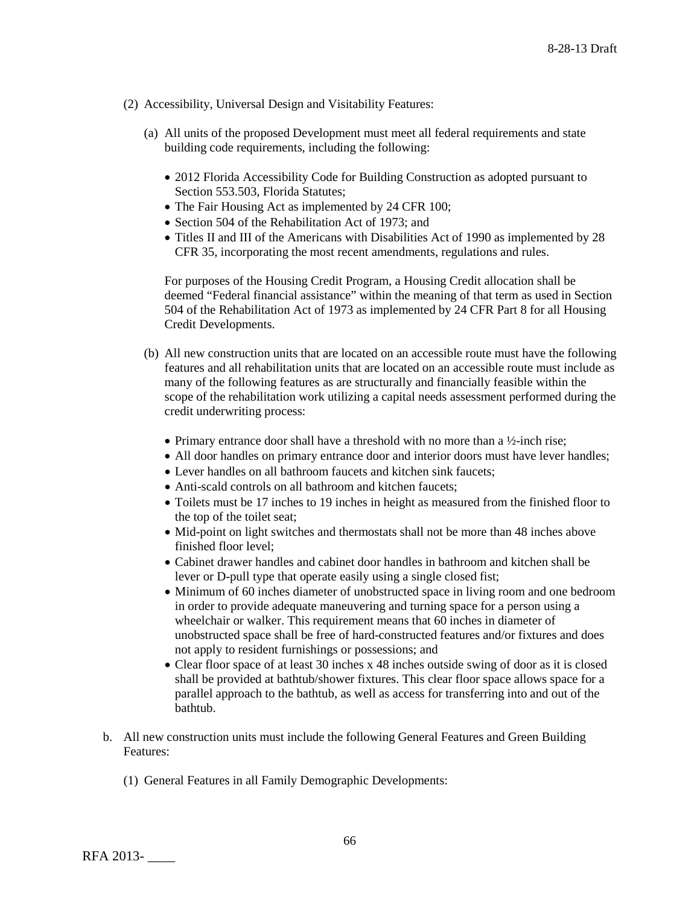- (2) Accessibility, Universal Design and Visitability Features:
	- (a) All units of the proposed Development must meet all federal requirements and state building code requirements, including the following:
		- 2012 Florida Accessibility Code for Building Construction as adopted pursuant to Section 553.503, Florida Statutes;
		- The Fair Housing Act as implemented by 24 CFR 100;
		- Section 504 of the Rehabilitation Act of 1973; and
		- Titles II and III of the Americans with Disabilities Act of 1990 as implemented by 28 CFR 35, incorporating the most recent amendments, regulations and rules.

For purposes of the Housing Credit Program, a Housing Credit allocation shall be deemed "Federal financial assistance" within the meaning of that term as used in Section 504 of the Rehabilitation Act of 1973 as implemented by 24 CFR Part 8 for all Housing Credit Developments.

- (b) All new construction units that are located on an accessible route must have the following features and all rehabilitation units that are located on an accessible route must include as many of the following features as are structurally and financially feasible within the scope of the rehabilitation work utilizing a capital needs assessment performed during the credit underwriting process:
	- Primary entrance door shall have a threshold with no more than a  $\frac{1}{2}$ -inch rise;
	- All door handles on primary entrance door and interior doors must have lever handles;
	- Lever handles on all bathroom faucets and kitchen sink faucets;
	- Anti-scald controls on all bathroom and kitchen faucets:
	- Toilets must be 17 inches to 19 inches in height as measured from the finished floor to the top of the toilet seat;
	- Mid-point on light switches and thermostats shall not be more than 48 inches above finished floor level;
	- Cabinet drawer handles and cabinet door handles in bathroom and kitchen shall be lever or D-pull type that operate easily using a single closed fist;
	- Minimum of 60 inches diameter of unobstructed space in living room and one bedroom in order to provide adequate maneuvering and turning space for a person using a wheelchair or walker. This requirement means that 60 inches in diameter of unobstructed space shall be free of hard-constructed features and/or fixtures and does not apply to resident furnishings or possessions; and
	- Clear floor space of at least 30 inches x 48 inches outside swing of door as it is closed shall be provided at bathtub/shower fixtures. This clear floor space allows space for a parallel approach to the bathtub, as well as access for transferring into and out of the bathtub.
- b. All new construction units must include the following General Features and Green Building Features:
	- (1) General Features in all Family Demographic Developments: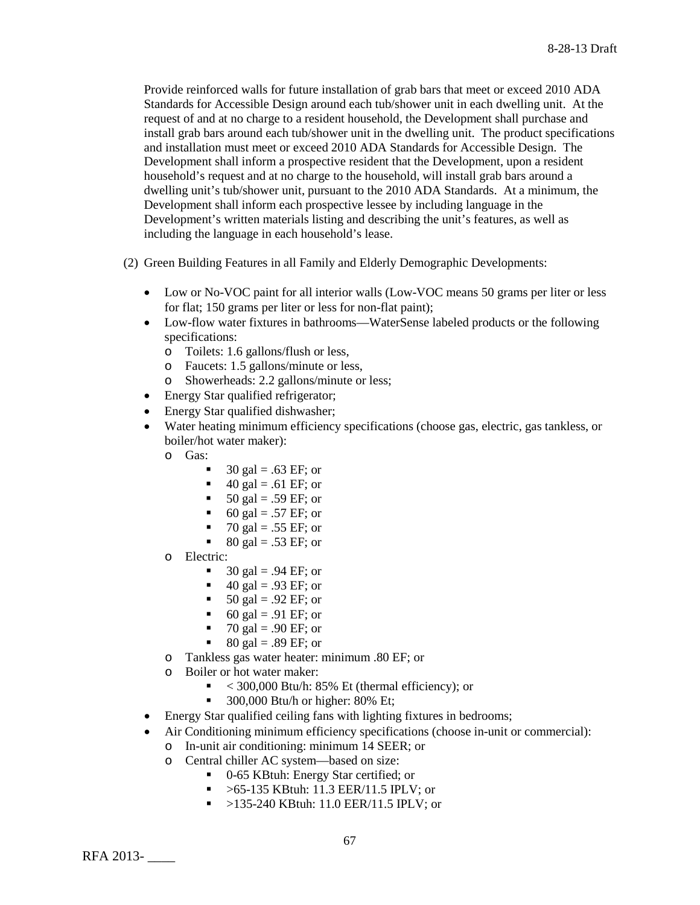Provide reinforced walls for future installation of grab bars that meet or exceed 2010 ADA Standards for Accessible Design around each tub/shower unit in each dwelling unit. At the request of and at no charge to a resident household, the Development shall purchase and install grab bars around each tub/shower unit in the dwelling unit. The product specifications and installation must meet or exceed 2010 ADA Standards for Accessible Design. The Development shall inform a prospective resident that the Development, upon a resident household's request and at no charge to the household, will install grab bars around a dwelling unit's tub/shower unit, pursuant to the 2010 ADA Standards. At a minimum, the Development shall inform each prospective lessee by including language in the Development's written materials listing and describing the unit's features, as well as including the language in each household's lease.

(2) Green Building Features in all Family and Elderly Demographic Developments:

- Low or No-VOC paint for all interior walls (Low-VOC means 50 grams per liter or less for flat; 150 grams per liter or less for non-flat paint);
- Low-flow water fixtures in bathrooms—WaterSense labeled products or the following specifications:
	- o Toilets: 1.6 gallons/flush or less,
	- o Faucets: 1.5 gallons/minute or less,
	- o Showerheads: 2.2 gallons/minute or less;
- Energy Star qualified refrigerator;
- Energy Star qualified dishwasher;
- Water heating minimum efficiency specifications (choose gas, electric, gas tankless, or boiler/hot water maker):
	- o Gas:
		- 30 gal =  $.63 \text{ EF}$ ; or
		- $\blacksquare$  40 gal = .61 EF; or
		- $\blacksquare$  50 gal = .59 EF; or
		- 60 gal = .57 EF; or
		- $\blacksquare$  70 gal = .55 EF; or
		- $80 \text{ gal} = .53 \text{ EF}$ ; or
	- o Electric:
		- $\blacksquare$  30 gal = .94 EF; or
		- $\blacksquare$  40 gal = .93 EF; or
		- $\blacksquare$  50 gal = .92 EF; or
		- 60 gal = .91 EF; or
		- $\blacksquare$  70 gal = .90 EF; or
		- $80 \text{ gal} = .89 \text{ EF}$ ; or
	- o Tankless gas water heater: minimum .80 EF; or
	- Boiler or hot water maker:
		- $\sim$  300,000 Btu/h: 85% Et (thermal efficiency); or
		- $\blacksquare$  300,000 Btu/h or higher: 80% Et;
- Energy Star qualified ceiling fans with lighting fixtures in bedrooms;
- Air Conditioning minimum efficiency specifications (choose in-unit or commercial):
	- o In-unit air conditioning: minimum 14 SEER; or
	- o Central chiller AC system—based on size:
		- 0-65 KBtuh: Energy Star certified; or
		- $\blacktriangleright$  >65-135 KBtuh: 11.3 EER/11.5 IPLV; or
		- >135-240 KBtuh: 11.0 EER/11.5 IPLV; or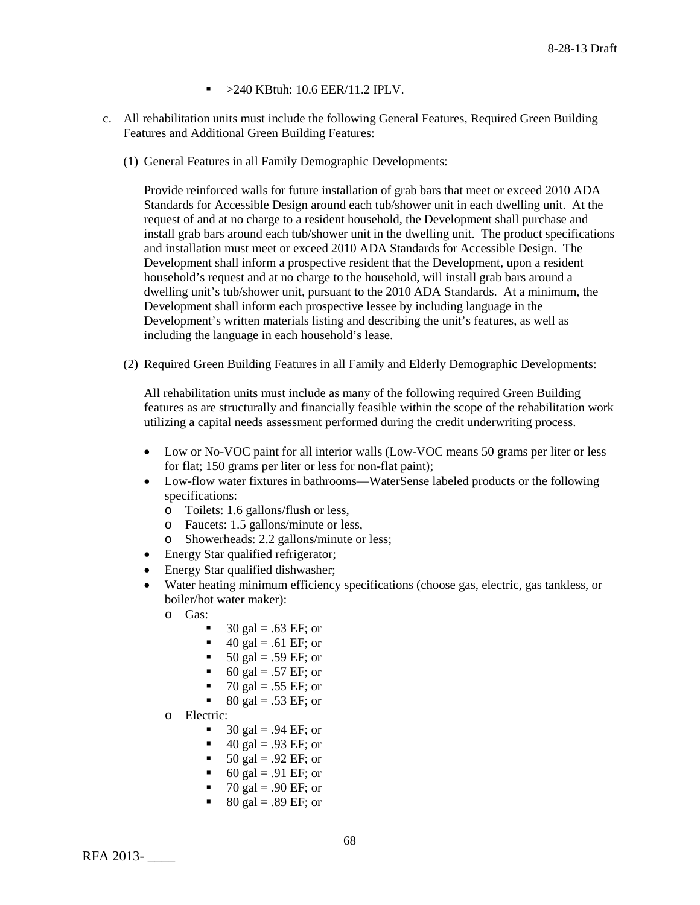- $\blacktriangleright$  >240 KBtuh: 10.6 EER/11.2 IPLV.
- c. All rehabilitation units must include the following General Features, Required Green Building Features and Additional Green Building Features:
	- (1) General Features in all Family Demographic Developments:

Provide reinforced walls for future installation of grab bars that meet or exceed 2010 ADA Standards for Accessible Design around each tub/shower unit in each dwelling unit. At the request of and at no charge to a resident household, the Development shall purchase and install grab bars around each tub/shower unit in the dwelling unit. The product specifications and installation must meet or exceed 2010 ADA Standards for Accessible Design. The Development shall inform a prospective resident that the Development, upon a resident household's request and at no charge to the household, will install grab bars around a dwelling unit's tub/shower unit, pursuant to the 2010 ADA Standards. At a minimum, the Development shall inform each prospective lessee by including language in the Development's written materials listing and describing the unit's features, as well as including the language in each household's lease.

(2) Required Green Building Features in all Family and Elderly Demographic Developments:

All rehabilitation units must include as many of the following required Green Building features as are structurally and financially feasible within the scope of the rehabilitation work utilizing a capital needs assessment performed during the credit underwriting process.

- Low or No-VOC paint for all interior walls (Low-VOC means 50 grams per liter or less for flat; 150 grams per liter or less for non-flat paint);
- Low-flow water fixtures in bathrooms—WaterSense labeled products or the following specifications:
	- o Toilets: 1.6 gallons/flush or less,<br>
	o Faucets: 1.5 gallons/minute or les
	- o Faucets: 1.5 gallons/minute or less,<br>
	o Showerheads: 2.2 gallons/minute or
	- Showerheads: 2.2 gallons/minute or less;
- Energy Star qualified refrigerator;
- Energy Star qualified dishwasher;
- Water heating minimum efficiency specifications (choose gas, electric, gas tankless, or boiler/hot water maker):
	- o Gas:
		- 30 gal =  $.63 \text{ EF}$ ; or
		- 40 gal = .61 EF; or
		- $\blacksquare$  50 gal = .59 EF; or
		- 60 gal = .57 EF; or
		- 70 gal = .55 EF; or
		- 80 gal = .53 EF; or
	- o Electric:
		- $\blacksquare$  30 gal = .94 EF; or
		- $\blacksquare$  40 gal = .93 EF; or
		- $\blacksquare$  50 gal = .92 EF; or
		- 60 gal = .91 EF; or
		- $\blacksquare$  70 gal = .90 EF; or
		- $\bullet$  80 gal = .89 EF; or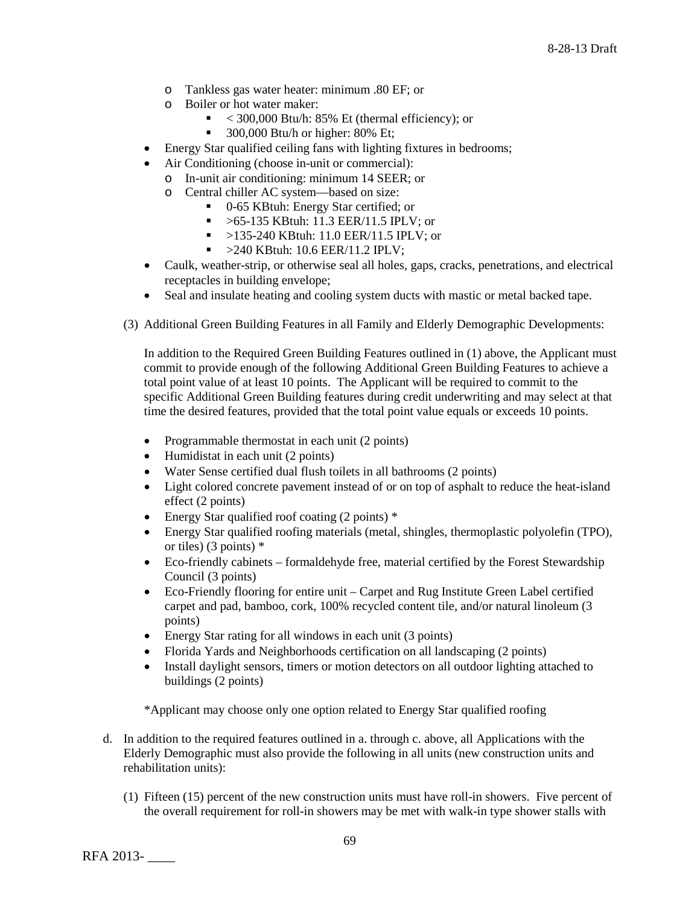- o Tankless gas water heater: minimum .80 EF; or
- o Boiler or hot water maker:
	- $\sim$  300,000 Btu/h: 85% Et (thermal efficiency); or
	- $\blacksquare$  300,000 Btu/h or higher: 80% Et;
- Energy Star qualified ceiling fans with lighting fixtures in bedrooms;
- Air Conditioning (choose in-unit or commercial):
	- o In-unit air conditioning: minimum 14 SEER; or
	- o Central chiller AC system—based on size:
		- 0-65 KBtuh: Energy Star certified; or
		- $\blacktriangleright$  >65-135 KBtuh: 11.3 EER/11.5 IPLV; or
		- $\blacktriangleright$  >135-240 KBtuh: 11.0 EER/11.5 IPLV; or
		- $\sim$  >240 KBtuh: 10.6 EER/11.2 IPLV;
- Caulk, weather-strip, or otherwise seal all holes, gaps, cracks, penetrations, and electrical receptacles in building envelope;
- Seal and insulate heating and cooling system ducts with mastic or metal backed tape.
- (3) Additional Green Building Features in all Family and Elderly Demographic Developments:

In addition to the Required Green Building Features outlined in (1) above, the Applicant must commit to provide enough of the following Additional Green Building Features to achieve a total point value of at least 10 points. The Applicant will be required to commit to the specific Additional Green Building features during credit underwriting and may select at that time the desired features, provided that the total point value equals or exceeds 10 points.

- Programmable thermostat in each unit (2 points)
- Humidistat in each unit (2 points)
- Water Sense certified dual flush toilets in all bathrooms (2 points)
- Light colored concrete pavement instead of or on top of asphalt to reduce the heat-island effect (2 points)
- Energy Star qualified roof coating (2 points)  $*$
- Energy Star qualified roofing materials (metal, shingles, thermoplastic polyolefin (TPO), or tiles) (3 points) \*
- Eco-friendly cabinets formaldehyde free, material certified by the Forest Stewardship Council (3 points)
- Eco-Friendly flooring for entire unit Carpet and Rug Institute Green Label certified carpet and pad, bamboo, cork, 100% recycled content tile, and/or natural linoleum (3 points)
- Energy Star rating for all windows in each unit (3 points)
- Florida Yards and Neighborhoods certification on all landscaping (2 points)
- Install daylight sensors, timers or motion detectors on all outdoor lighting attached to buildings (2 points)

\*Applicant may choose only one option related to Energy Star qualified roofing

- d. In addition to the required features outlined in a. through c. above, all Applications with the Elderly Demographic must also provide the following in all units (new construction units and rehabilitation units):
	- (1) Fifteen (15) percent of the new construction units must have roll-in showers. Five percent of the overall requirement for roll-in showers may be met with walk-in type shower stalls with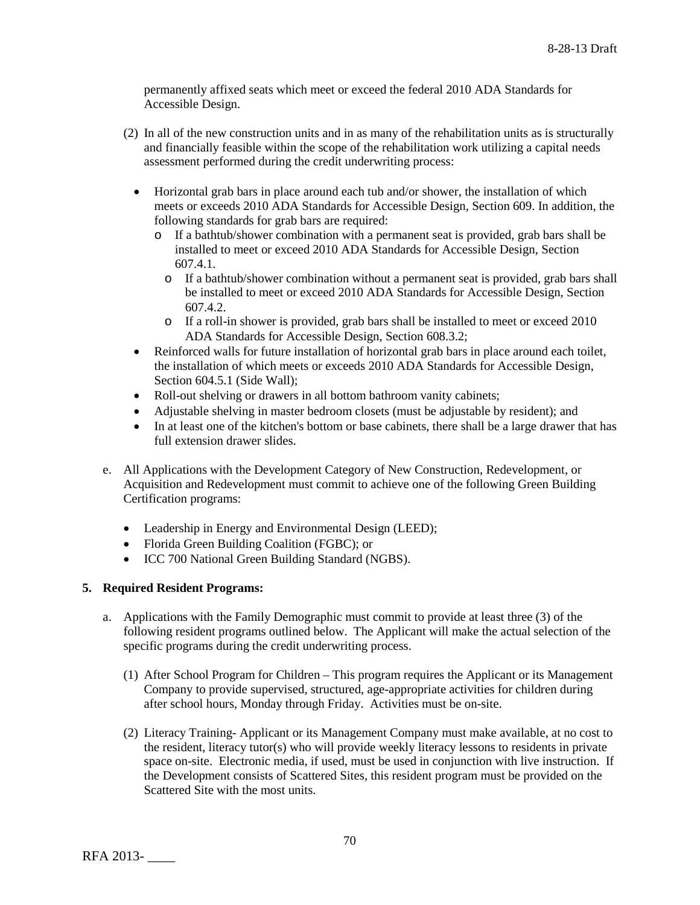permanently affixed seats which meet or exceed the federal 2010 ADA Standards for Accessible Design.

- (2) In all of the new construction units and in as many of the rehabilitation units as is structurally and financially feasible within the scope of the rehabilitation work utilizing a capital needs assessment performed during the credit underwriting process:
	- Horizontal grab bars in place around each tub and/or shower, the installation of which meets or exceeds 2010 ADA Standards for Accessible Design, Section 609. In addition, the following standards for grab bars are required:
		- o If a bathtub/shower combination with a permanent seat is provided, grab bars shall be installed to meet or exceed 2010 ADA Standards for Accessible Design, Section 607.4.1.
			- o If a bathtub/shower combination without a permanent seat is provided, grab bars shall be installed to meet or exceed 2010 ADA Standards for Accessible Design, Section 607.4.2.
			- o If a roll-in shower is provided, grab bars shall be installed to meet or exceed 2010 ADA Standards for Accessible Design, Section 608.3.2;
	- Reinforced walls for future installation of horizontal grab bars in place around each toilet, the installation of which meets or exceeds 2010 ADA Standards for Accessible Design, Section 604.5.1 (Side Wall);
	- Roll-out shelving or drawers in all bottom bathroom vanity cabinets;
	- Adjustable shelving in master bedroom closets (must be adjustable by resident); and
	- In at least one of the kitchen's bottom or base cabinets, there shall be a large drawer that has full extension drawer slides.
- e. All Applications with the Development Category of New Construction, Redevelopment, or Acquisition and Redevelopment must commit to achieve one of the following Green Building Certification programs:
	- Leadership in Energy and Environmental Design (LEED);
	- Florida Green Building Coalition (FGBC); or
	- ICC 700 National Green Building Standard (NGBS).

# **5. Required Resident Programs:**

- a. Applications with the Family Demographic must commit to provide at least three (3) of the following resident programs outlined below. The Applicant will make the actual selection of the specific programs during the credit underwriting process.
	- (1) After School Program for Children This program requires the Applicant or its Management Company to provide supervised, structured, age-appropriate activities for children during after school hours, Monday through Friday. Activities must be on-site.
	- (2) Literacy Training- Applicant or its Management Company must make available, at no cost to the resident, literacy tutor(s) who will provide weekly literacy lessons to residents in private space on-site. Electronic media, if used, must be used in conjunction with live instruction. If the Development consists of Scattered Sites, this resident program must be provided on the Scattered Site with the most units.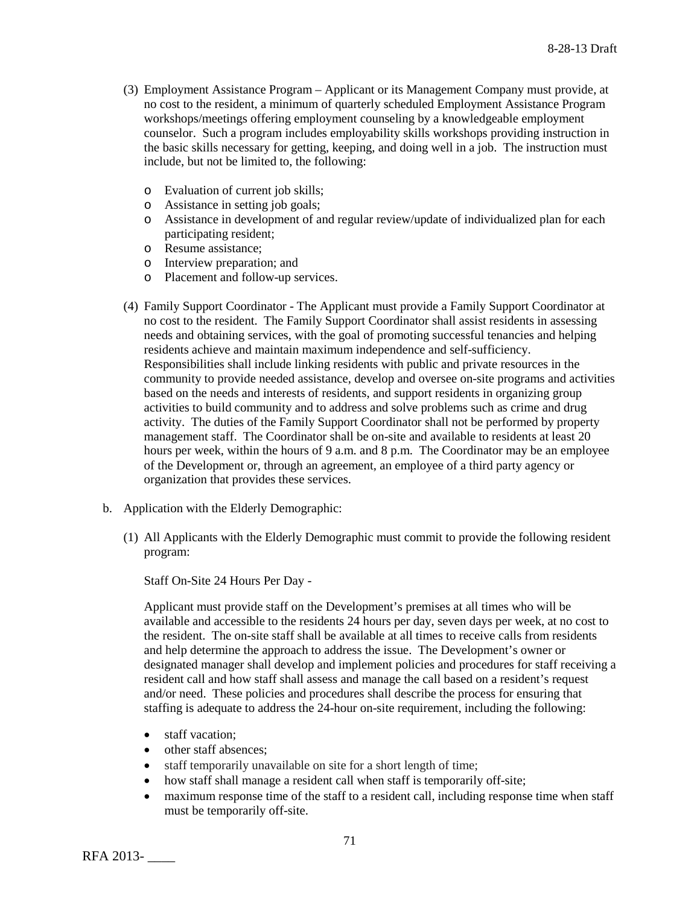- (3) Employment Assistance Program Applicant or its Management Company must provide, at no cost to the resident, a minimum of quarterly scheduled Employment Assistance Program workshops/meetings offering employment counseling by a knowledgeable employment counselor. Such a program includes employability skills workshops providing instruction in the basic skills necessary for getting, keeping, and doing well in a job. The instruction must include, but not be limited to, the following:
	- o Evaluation of current job skills;
	- o Assistance in setting job goals;
	- o Assistance in development of and regular review/update of individualized plan for each participating resident;
	- o Resume assistance;
	- o Interview preparation; and
	- o Placement and follow-up services.
- (4) Family Support Coordinator The Applicant must provide a Family Support Coordinator at no cost to the resident. The Family Support Coordinator shall assist residents in assessing needs and obtaining services, with the goal of promoting successful tenancies and helping residents achieve and maintain maximum independence and self-sufficiency. Responsibilities shall include linking residents with public and private resources in the community to provide needed assistance, develop and oversee on-site programs and activities based on the needs and interests of residents, and support residents in organizing group activities to build community and to address and solve problems such as crime and drug activity. The duties of the Family Support Coordinator shall not be performed by property management staff. The Coordinator shall be on-site and available to residents at least 20 hours per week, within the hours of 9 a.m. and 8 p.m. The Coordinator may be an employee of the Development or, through an agreement, an employee of a third party agency or organization that provides these services.
- b. Application with the Elderly Demographic:
	- (1) All Applicants with the Elderly Demographic must commit to provide the following resident program:

Staff On-Site 24 Hours Per Day -

Applicant must provide staff on the Development's premises at all times who will be available and accessible to the residents 24 hours per day, seven days per week, at no cost to the resident. The on-site staff shall be available at all times to receive calls from residents and help determine the approach to address the issue. The Development's owner or designated manager shall develop and implement policies and procedures for staff receiving a resident call and how staff shall assess and manage the call based on a resident's request and/or need. These policies and procedures shall describe the process for ensuring that staffing is adequate to address the 24-hour on-site requirement, including the following:

- staff vacation;
- other staff absences:
- staff temporarily unavailable on site for a short length of time;
- how staff shall manage a resident call when staff is temporarily off-site;
- maximum response time of the staff to a resident call, including response time when staff must be temporarily off-site.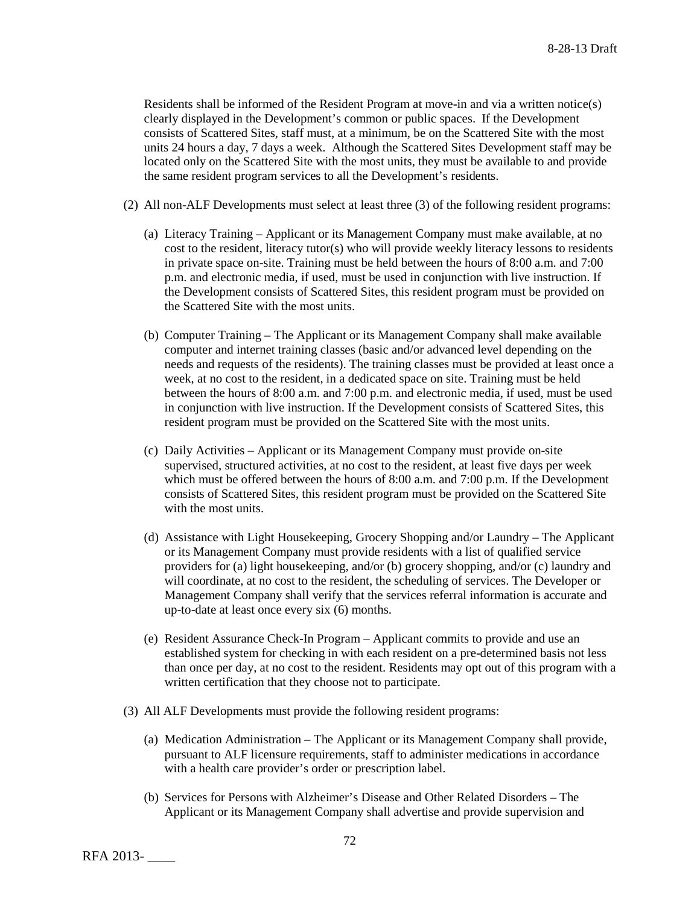Residents shall be informed of the Resident Program at move-in and via a written notice(s) clearly displayed in the Development's common or public spaces. If the Development consists of Scattered Sites, staff must, at a minimum, be on the Scattered Site with the most units 24 hours a day, 7 days a week. Although the Scattered Sites Development staff may be located only on the Scattered Site with the most units, they must be available to and provide the same resident program services to all the Development's residents.

- (2) All non-ALF Developments must select at least three (3) of the following resident programs:
	- (a) Literacy Training Applicant or its Management Company must make available, at no cost to the resident, literacy tutor(s) who will provide weekly literacy lessons to residents in private space on-site. Training must be held between the hours of 8:00 a.m. and 7:00 p.m. and electronic media, if used, must be used in conjunction with live instruction. If the Development consists of Scattered Sites, this resident program must be provided on the Scattered Site with the most units.
	- (b) Computer Training The Applicant or its Management Company shall make available computer and internet training classes (basic and/or advanced level depending on the needs and requests of the residents). The training classes must be provided at least once a week, at no cost to the resident, in a dedicated space on site. Training must be held between the hours of 8:00 a.m. and 7:00 p.m. and electronic media, if used, must be used in conjunction with live instruction. If the Development consists of Scattered Sites, this resident program must be provided on the Scattered Site with the most units.
	- (c) Daily Activities Applicant or its Management Company must provide on-site supervised, structured activities, at no cost to the resident, at least five days per week which must be offered between the hours of 8:00 a.m. and 7:00 p.m. If the Development consists of Scattered Sites, this resident program must be provided on the Scattered Site with the most units.
	- (d) Assistance with Light Housekeeping, Grocery Shopping and/or Laundry The Applicant or its Management Company must provide residents with a list of qualified service providers for (a) light housekeeping, and/or (b) grocery shopping, and/or (c) laundry and will coordinate, at no cost to the resident, the scheduling of services. The Developer or Management Company shall verify that the services referral information is accurate and up-to-date at least once every six (6) months.
	- (e) Resident Assurance Check-In Program Applicant commits to provide and use an established system for checking in with each resident on a pre-determined basis not less than once per day, at no cost to the resident. Residents may opt out of this program with a written certification that they choose not to participate.
- (3) All ALF Developments must provide the following resident programs:
	- (a) Medication Administration The Applicant or its Management Company shall provide, pursuant to ALF licensure requirements, staff to administer medications in accordance with a health care provider's order or prescription label.
	- (b) Services for Persons with Alzheimer's Disease and Other Related Disorders The Applicant or its Management Company shall advertise and provide supervision and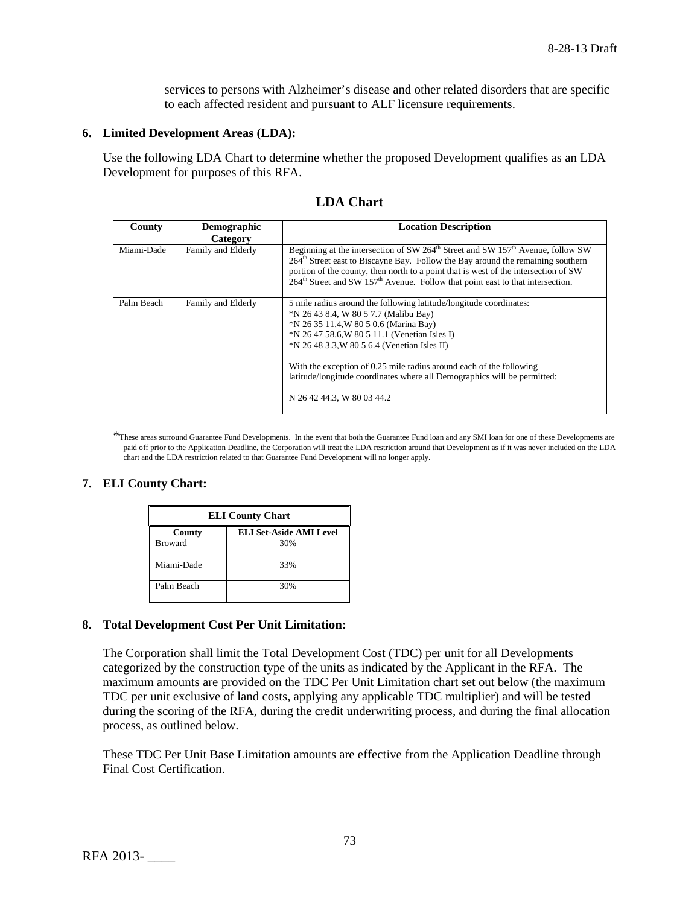services to persons with Alzheimer's disease and other related disorders that are specific to each affected resident and pursuant to ALF licensure requirements.

## **6. Limited Development Areas (LDA):**

Use the following LDA Chart to determine whether the proposed Development qualifies as an LDA Development for purposes of this RFA.

| County     | <b>Demographic</b><br>Category | <b>Location Description</b>                                                                                                                                                                                                                                                                                                                                                                                                             |  |  |  |
|------------|--------------------------------|-----------------------------------------------------------------------------------------------------------------------------------------------------------------------------------------------------------------------------------------------------------------------------------------------------------------------------------------------------------------------------------------------------------------------------------------|--|--|--|
| Miami-Dade | Family and Elderly             | Beginning at the intersection of SW $264th$ Street and SW $157th$ Avenue, follow SW<br>$264th$ Street east to Biscayne Bay. Follow the Bay around the remaining southern<br>portion of the county, then north to a point that is west of the intersection of SW<br>$264^{\text{th}}$ Street and SW 157 <sup>th</sup> Avenue. Follow that point east to that intersection.                                                               |  |  |  |
| Palm Beach | Family and Elderly             | 5 mile radius around the following latitude/longitude coordinates:<br>*N 26 43 8.4, W 80 5 7.7 (Malibu Bay)<br>*N 26 35 11.4, W 80 5 0.6 (Marina Bay)<br>*N 26 47 58.6, W 80 5 11.1 (Venetian Isles I)<br>*N 26 48 3.3, W 80 5 6.4 (Venetian Isles II)<br>With the exception of 0.25 mile radius around each of the following<br>latitude/longitude coordinates where all Demographics will be permitted:<br>N 26 42 44.3, W 80 03 44.2 |  |  |  |

\*These areas surround Guarantee Fund Developments. In the event that both the Guarantee Fund loan and any SMI loan for one of these Developments are paid off prior to the Application Deadline, the Corporation will treat the LDA restriction around that Development as if it was never included on the LDA chart and the LDA restriction related to that Guarantee Fund Development will no longer apply.

### **7. ELI County Chart:**

| <b>ELI County Chart</b> |                                |  |  |  |  |  |
|-------------------------|--------------------------------|--|--|--|--|--|
| County                  | <b>ELI Set-Aside AMI Level</b> |  |  |  |  |  |
| <b>Broward</b>          | 30%                            |  |  |  |  |  |
| Miami-Dade              | 33%                            |  |  |  |  |  |
| Palm Beach              | 30%                            |  |  |  |  |  |

### **8. Total Development Cost Per Unit Limitation:**

The Corporation shall limit the Total Development Cost (TDC) per unit for all Developments categorized by the construction type of the units as indicated by the Applicant in the RFA. The maximum amounts are provided on the TDC Per Unit Limitation chart set out below (the maximum TDC per unit exclusive of land costs, applying any applicable TDC multiplier) and will be tested during the scoring of the RFA, during the credit underwriting process, and during the final allocation process, as outlined below.

These TDC Per Unit Base Limitation amounts are effective from the Application Deadline through Final Cost Certification.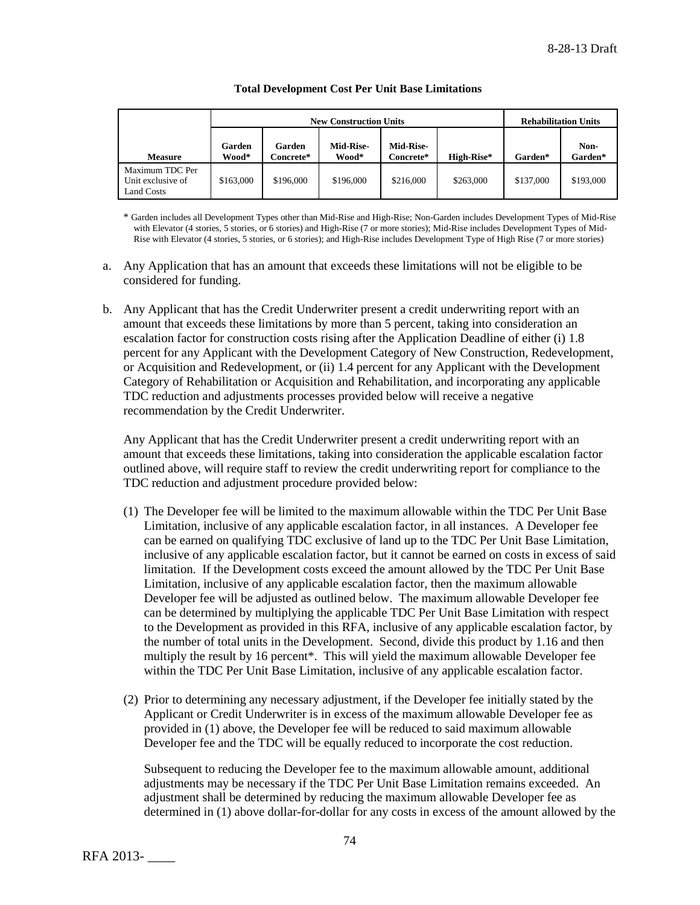|                                                    |                 | <b>New Construction Units</b> | <b>Rehabilitation Units</b> |                               |            |           |                 |
|----------------------------------------------------|-----------------|-------------------------------|-----------------------------|-------------------------------|------------|-----------|-----------------|
| <b>Measure</b>                                     | Garden<br>Wood* | Garden<br>Concrete*           | <b>Mid-Rise-</b><br>Wood*   | <b>Mid-Rise-</b><br>Concrete* | High-Rise* | Garden*   | Non-<br>Garden* |
| Maximum TDC Per<br>Unit exclusive of<br>Land Costs | \$163,000       | \$196,000                     | \$196,000                   | \$216,000                     | \$263,000  | \$137,000 | \$193,000       |

#### **Total Development Cost Per Unit Base Limitations**

\* Garden includes all Development Types other than Mid-Rise and High-Rise; Non-Garden includes Development Types of Mid-Rise with Elevator (4 stories, 5 stories, or 6 stories) and High-Rise (7 or more stories); Mid-Rise includes Development Types of Mid-Rise with Elevator (4 stories, 5 stories, or 6 stories); and High-Rise includes Development Type of High Rise (7 or more stories)

- a. Any Application that has an amount that exceeds these limitations will not be eligible to be considered for funding.
- b. Any Applicant that has the Credit Underwriter present a credit underwriting report with an amount that exceeds these limitations by more than 5 percent, taking into consideration an escalation factor for construction costs rising after the Application Deadline of either (i) 1.8 percent for any Applicant with the Development Category of New Construction, Redevelopment, or Acquisition and Redevelopment, or (ii) 1.4 percent for any Applicant with the Development Category of Rehabilitation or Acquisition and Rehabilitation, and incorporating any applicable TDC reduction and adjustments processes provided below will receive a negative recommendation by the Credit Underwriter.

Any Applicant that has the Credit Underwriter present a credit underwriting report with an amount that exceeds these limitations, taking into consideration the applicable escalation factor outlined above, will require staff to review the credit underwriting report for compliance to the TDC reduction and adjustment procedure provided below:

- (1) The Developer fee will be limited to the maximum allowable within the TDC Per Unit Base Limitation, inclusive of any applicable escalation factor, in all instances. A Developer fee can be earned on qualifying TDC exclusive of land up to the TDC Per Unit Base Limitation, inclusive of any applicable escalation factor, but it cannot be earned on costs in excess of said limitation. If the Development costs exceed the amount allowed by the TDC Per Unit Base Limitation, inclusive of any applicable escalation factor, then the maximum allowable Developer fee will be adjusted as outlined below. The maximum allowable Developer fee can be determined by multiplying the applicable TDC Per Unit Base Limitation with respect to the Development as provided in this RFA, inclusive of any applicable escalation factor, by the number of total units in the Development. Second, divide this product by 1.16 and then multiply the result by 16 percent\*. This will yield the maximum allowable Developer fee within the TDC Per Unit Base Limitation, inclusive of any applicable escalation factor.
- (2) Prior to determining any necessary adjustment, if the Developer fee initially stated by the Applicant or Credit Underwriter is in excess of the maximum allowable Developer fee as provided in (1) above, the Developer fee will be reduced to said maximum allowable Developer fee and the TDC will be equally reduced to incorporate the cost reduction.

Subsequent to reducing the Developer fee to the maximum allowable amount, additional adjustments may be necessary if the TDC Per Unit Base Limitation remains exceeded. An adjustment shall be determined by reducing the maximum allowable Developer fee as determined in (1) above dollar-for-dollar for any costs in excess of the amount allowed by the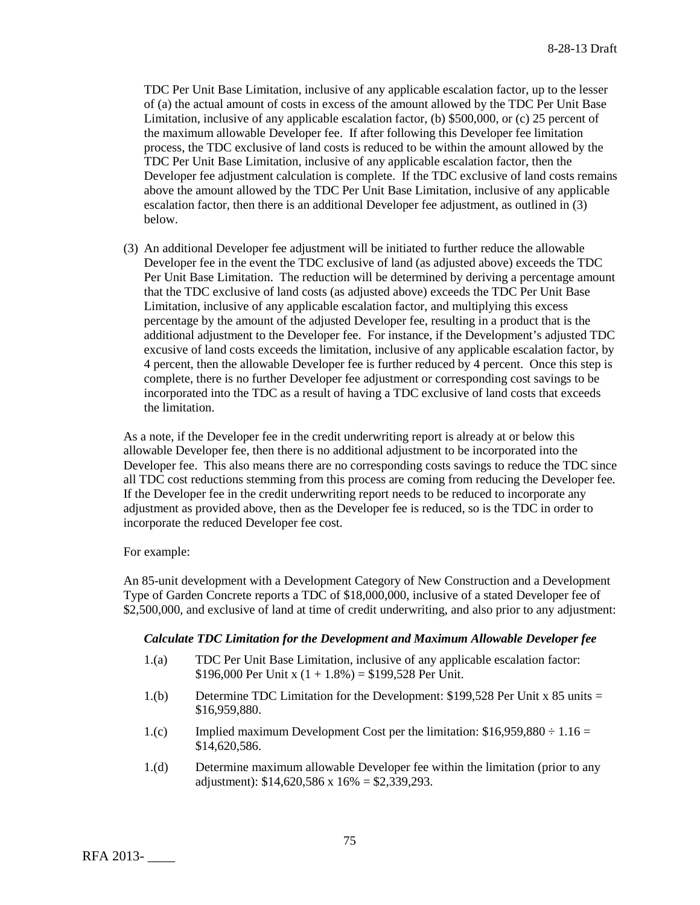TDC Per Unit Base Limitation, inclusive of any applicable escalation factor, up to the lesser of (a) the actual amount of costs in excess of the amount allowed by the TDC Per Unit Base Limitation, inclusive of any applicable escalation factor, (b) \$500,000, or (c) 25 percent of the maximum allowable Developer fee. If after following this Developer fee limitation process, the TDC exclusive of land costs is reduced to be within the amount allowed by the TDC Per Unit Base Limitation, inclusive of any applicable escalation factor, then the Developer fee adjustment calculation is complete. If the TDC exclusive of land costs remains above the amount allowed by the TDC Per Unit Base Limitation, inclusive of any applicable escalation factor, then there is an additional Developer fee adjustment, as outlined in (3) below.

(3) An additional Developer fee adjustment will be initiated to further reduce the allowable Developer fee in the event the TDC exclusive of land (as adjusted above) exceeds the TDC Per Unit Base Limitation. The reduction will be determined by deriving a percentage amount that the TDC exclusive of land costs (as adjusted above) exceeds the TDC Per Unit Base Limitation, inclusive of any applicable escalation factor, and multiplying this excess percentage by the amount of the adjusted Developer fee, resulting in a product that is the additional adjustment to the Developer fee. For instance, if the Development's adjusted TDC excusive of land costs exceeds the limitation, inclusive of any applicable escalation factor, by 4 percent, then the allowable Developer fee is further reduced by 4 percent. Once this step is complete, there is no further Developer fee adjustment or corresponding cost savings to be incorporated into the TDC as a result of having a TDC exclusive of land costs that exceeds the limitation.

As a note, if the Developer fee in the credit underwriting report is already at or below this allowable Developer fee, then there is no additional adjustment to be incorporated into the Developer fee. This also means there are no corresponding costs savings to reduce the TDC since all TDC cost reductions stemming from this process are coming from reducing the Developer fee. If the Developer fee in the credit underwriting report needs to be reduced to incorporate any adjustment as provided above, then as the Developer fee is reduced, so is the TDC in order to incorporate the reduced Developer fee cost.

For example:

An 85-unit development with a Development Category of New Construction and a Development Type of Garden Concrete reports a TDC of \$18,000,000, inclusive of a stated Developer fee of \$2,500,000, and exclusive of land at time of credit underwriting, and also prior to any adjustment:

### *Calculate TDC Limitation for the Development and Maximum Allowable Developer fee*

- 1.(a) TDC Per Unit Base Limitation, inclusive of any applicable escalation factor: \$196,000 Per Unit x  $(1 + 1.8\%) = $199,528$  Per Unit.
- 1.(b) Determine TDC Limitation for the Development: \$199,528 Per Unit x 85 units = \$16,959,880.
- 1.(c) Implied maximum Development Cost per the limitation:  $$16,959,880 \div 1.16 =$ \$14,620,586.
- 1.(d) Determine maximum allowable Developer fee within the limitation (prior to any adjustment):  $$14,620,586 \times 16\% = $2,339,293$ .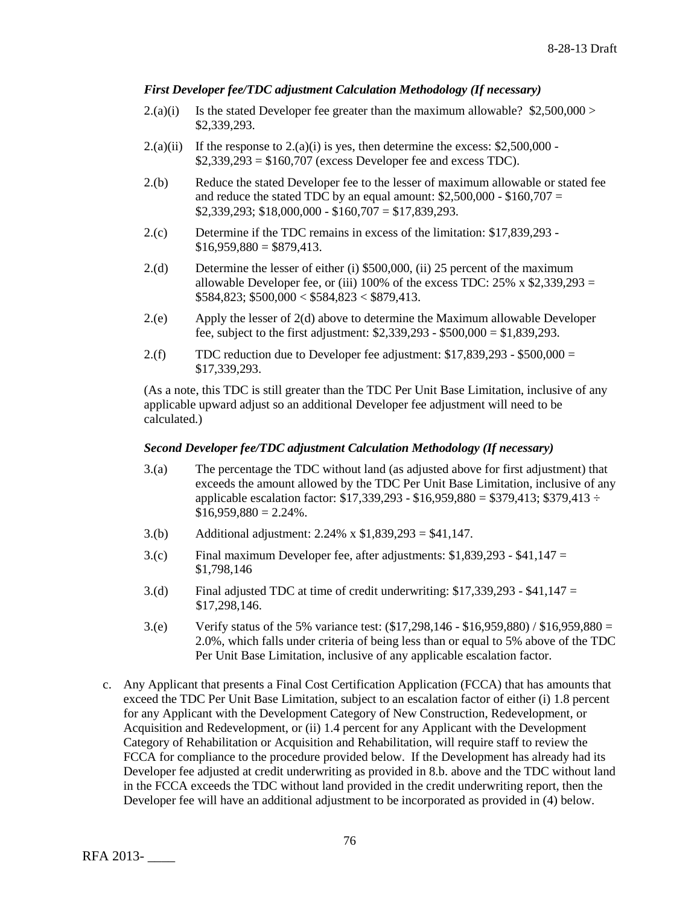## *First Developer fee/TDC adjustment Calculation Methodology (If necessary)*

- 2.(a)(i) Is the stated Developer fee greater than the maximum allowable?  $$2,500,000>$ \$2,339,293.
- $2.(a)(ii)$  If the response to  $2.(a)(i)$  is yes, then determine the excess: \$2,500,000 - $$2,339,293 = $160,707$  (excess Developer fee and excess TDC).
- 2.(b) Reduce the stated Developer fee to the lesser of maximum allowable or stated fee and reduce the stated TDC by an equal amount:  $$2,500,000 - $160,707 =$  $$2,339,293$ ;  $$18,000,000 - $160,707 = $17,839,293$ .
- 2.(c) Determine if the TDC remains in excess of the limitation: \$17,839,293  $$16,959,880 = $879,413$ .
- 2.(d) Determine the lesser of either (i) \$500,000, (ii) 25 percent of the maximum allowable Developer fee, or (iii) 100% of the excess TDC:  $25\%$  x \$2,339,293 =  $$584,823$ ;  $$500,000 < $584,823 < $879,413$ .
- 2.(e) Apply the lesser of 2(d) above to determine the Maximum allowable Developer fee, subject to the first adjustment: \$2,339,293 - \$500,000 = \$1,839,293.
- 2.(f) TDC reduction due to Developer fee adjustment:  $$17,839,293 $500,000 =$ \$17,339,293.

(As a note, this TDC is still greater than the TDC Per Unit Base Limitation, inclusive of any applicable upward adjust so an additional Developer fee adjustment will need to be calculated.)

## *Second Developer fee/TDC adjustment Calculation Methodology (If necessary)*

- 3.(a) The percentage the TDC without land (as adjusted above for first adjustment) that exceeds the amount allowed by the TDC Per Unit Base Limitation, inclusive of any applicable escalation factor:  $$17,339,293 - $16,959,880 = $379,413$ ; \$379,413 ÷  $$16,959,880 = 2.24\%$ .
- 3.(b) Additional adjustment: 2.24% x \$1,839,293 = \$41,147.
- 3.(c) Final maximum Developer fee, after adjustments:  $$1,839,293 $41,147 =$ \$1,798,146
- 3.(d) Final adjusted TDC at time of credit underwriting:  $$17,339,293 $41,147 =$ \$17,298,146.
- 3.(e) Verify status of the 5% variance test: (\$17,298,146 \$16,959,880) / \$16,959,880 = 2.0%, which falls under criteria of being less than or equal to 5% above of the TDC Per Unit Base Limitation, inclusive of any applicable escalation factor.
- c. Any Applicant that presents a Final Cost Certification Application (FCCA) that has amounts that exceed the TDC Per Unit Base Limitation, subject to an escalation factor of either (i) 1.8 percent for any Applicant with the Development Category of New Construction, Redevelopment, or Acquisition and Redevelopment, or (ii) 1.4 percent for any Applicant with the Development Category of Rehabilitation or Acquisition and Rehabilitation, will require staff to review the FCCA for compliance to the procedure provided below. If the Development has already had its Developer fee adjusted at credit underwriting as provided in 8.b. above and the TDC without land in the FCCA exceeds the TDC without land provided in the credit underwriting report, then the Developer fee will have an additional adjustment to be incorporated as provided in (4) below.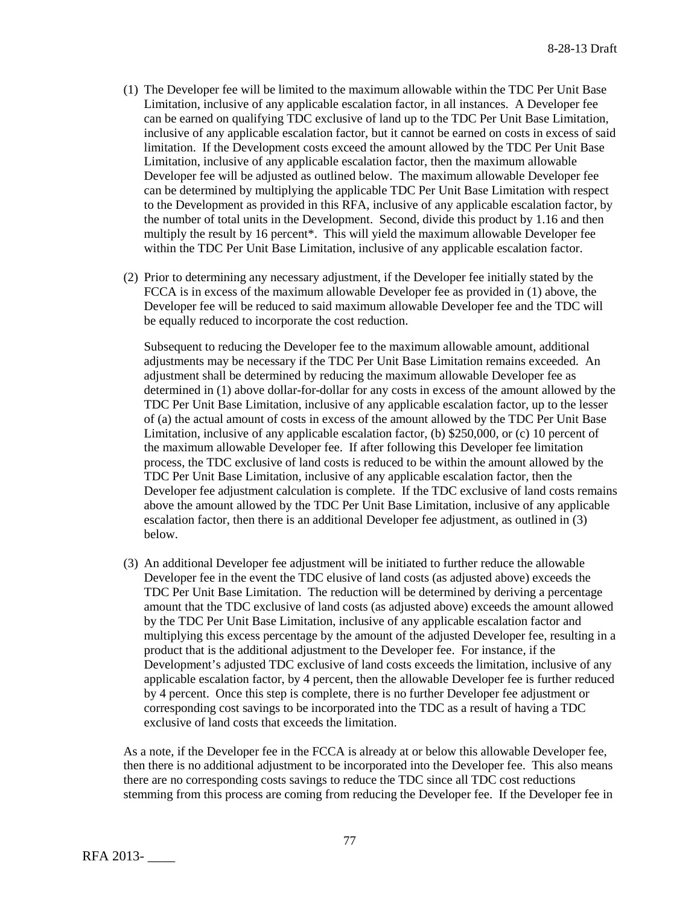- (1) The Developer fee will be limited to the maximum allowable within the TDC Per Unit Base Limitation, inclusive of any applicable escalation factor, in all instances. A Developer fee can be earned on qualifying TDC exclusive of land up to the TDC Per Unit Base Limitation, inclusive of any applicable escalation factor, but it cannot be earned on costs in excess of said limitation. If the Development costs exceed the amount allowed by the TDC Per Unit Base Limitation, inclusive of any applicable escalation factor, then the maximum allowable Developer fee will be adjusted as outlined below. The maximum allowable Developer fee can be determined by multiplying the applicable TDC Per Unit Base Limitation with respect to the Development as provided in this RFA, inclusive of any applicable escalation factor, by the number of total units in the Development. Second, divide this product by 1.16 and then multiply the result by 16 percent\*. This will yield the maximum allowable Developer fee within the TDC Per Unit Base Limitation, inclusive of any applicable escalation factor.
- (2) Prior to determining any necessary adjustment, if the Developer fee initially stated by the FCCA is in excess of the maximum allowable Developer fee as provided in (1) above, the Developer fee will be reduced to said maximum allowable Developer fee and the TDC will be equally reduced to incorporate the cost reduction.

Subsequent to reducing the Developer fee to the maximum allowable amount, additional adjustments may be necessary if the TDC Per Unit Base Limitation remains exceeded. An adjustment shall be determined by reducing the maximum allowable Developer fee as determined in (1) above dollar-for-dollar for any costs in excess of the amount allowed by the TDC Per Unit Base Limitation, inclusive of any applicable escalation factor, up to the lesser of (a) the actual amount of costs in excess of the amount allowed by the TDC Per Unit Base Limitation, inclusive of any applicable escalation factor, (b) \$250,000, or (c) 10 percent of the maximum allowable Developer fee. If after following this Developer fee limitation process, the TDC exclusive of land costs is reduced to be within the amount allowed by the TDC Per Unit Base Limitation, inclusive of any applicable escalation factor, then the Developer fee adjustment calculation is complete. If the TDC exclusive of land costs remains above the amount allowed by the TDC Per Unit Base Limitation, inclusive of any applicable escalation factor, then there is an additional Developer fee adjustment, as outlined in (3) below.

(3) An additional Developer fee adjustment will be initiated to further reduce the allowable Developer fee in the event the TDC elusive of land costs (as adjusted above) exceeds the TDC Per Unit Base Limitation. The reduction will be determined by deriving a percentage amount that the TDC exclusive of land costs (as adjusted above) exceeds the amount allowed by the TDC Per Unit Base Limitation, inclusive of any applicable escalation factor and multiplying this excess percentage by the amount of the adjusted Developer fee, resulting in a product that is the additional adjustment to the Developer fee. For instance, if the Development's adjusted TDC exclusive of land costs exceeds the limitation, inclusive of any applicable escalation factor, by 4 percent, then the allowable Developer fee is further reduced by 4 percent. Once this step is complete, there is no further Developer fee adjustment or corresponding cost savings to be incorporated into the TDC as a result of having a TDC exclusive of land costs that exceeds the limitation.

As a note, if the Developer fee in the FCCA is already at or below this allowable Developer fee, then there is no additional adjustment to be incorporated into the Developer fee. This also means there are no corresponding costs savings to reduce the TDC since all TDC cost reductions stemming from this process are coming from reducing the Developer fee. If the Developer fee in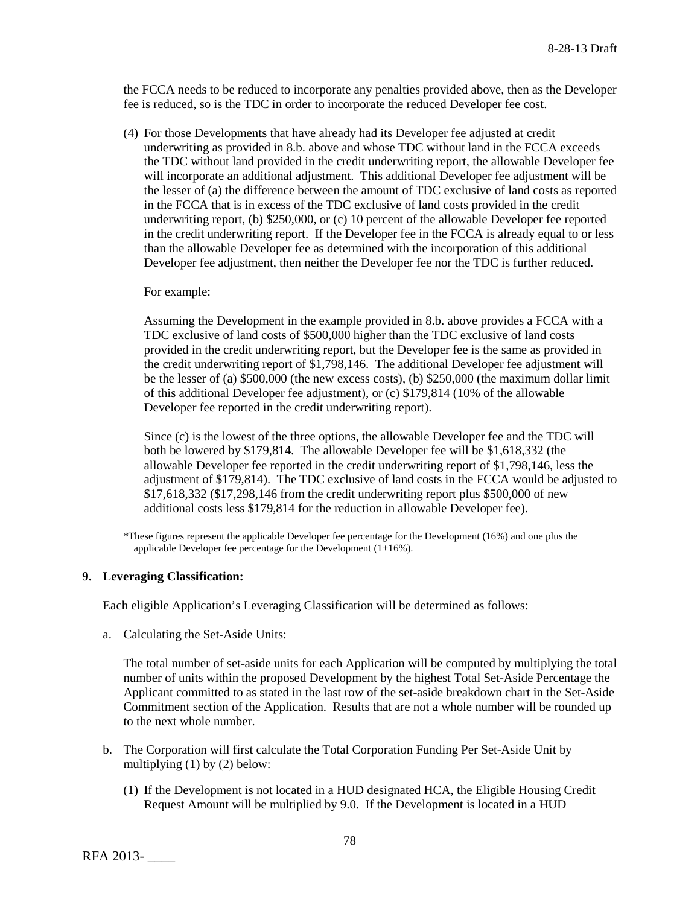the FCCA needs to be reduced to incorporate any penalties provided above, then as the Developer fee is reduced, so is the TDC in order to incorporate the reduced Developer fee cost.

(4) For those Developments that have already had its Developer fee adjusted at credit underwriting as provided in 8.b. above and whose TDC without land in the FCCA exceeds the TDC without land provided in the credit underwriting report, the allowable Developer fee will incorporate an additional adjustment. This additional Developer fee adjustment will be the lesser of (a) the difference between the amount of TDC exclusive of land costs as reported in the FCCA that is in excess of the TDC exclusive of land costs provided in the credit underwriting report, (b) \$250,000, or (c) 10 percent of the allowable Developer fee reported in the credit underwriting report. If the Developer fee in the FCCA is already equal to or less than the allowable Developer fee as determined with the incorporation of this additional Developer fee adjustment, then neither the Developer fee nor the TDC is further reduced.

### For example:

Assuming the Development in the example provided in 8.b. above provides a FCCA with a TDC exclusive of land costs of \$500,000 higher than the TDC exclusive of land costs provided in the credit underwriting report, but the Developer fee is the same as provided in the credit underwriting report of \$1,798,146. The additional Developer fee adjustment will be the lesser of (a) \$500,000 (the new excess costs), (b) \$250,000 (the maximum dollar limit of this additional Developer fee adjustment), or (c) \$179,814 (10% of the allowable Developer fee reported in the credit underwriting report).

Since (c) is the lowest of the three options, the allowable Developer fee and the TDC will both be lowered by \$179,814. The allowable Developer fee will be \$1,618,332 (the allowable Developer fee reported in the credit underwriting report of \$1,798,146, less the adjustment of \$179,814). The TDC exclusive of land costs in the FCCA would be adjusted to \$17,618,332 (\$17,298,146 from the credit underwriting report plus \$500,000 of new additional costs less \$179,814 for the reduction in allowable Developer fee).

\*These figures represent the applicable Developer fee percentage for the Development (16%) and one plus the applicable Developer fee percentage for the Development (1+16%).

### **9. Leveraging Classification:**

Each eligible Application's Leveraging Classification will be determined as follows:

a. Calculating the Set-Aside Units:

The total number of set-aside units for each Application will be computed by multiplying the total number of units within the proposed Development by the highest Total Set-Aside Percentage the Applicant committed to as stated in the last row of the set-aside breakdown chart in the Set-Aside Commitment section of the Application. Results that are not a whole number will be rounded up to the next whole number.

- b. The Corporation will first calculate the Total Corporation Funding Per Set-Aside Unit by multiplying (1) by (2) below:
	- (1) If the Development is not located in a HUD designated HCA, the Eligible Housing Credit Request Amount will be multiplied by 9.0. If the Development is located in a HUD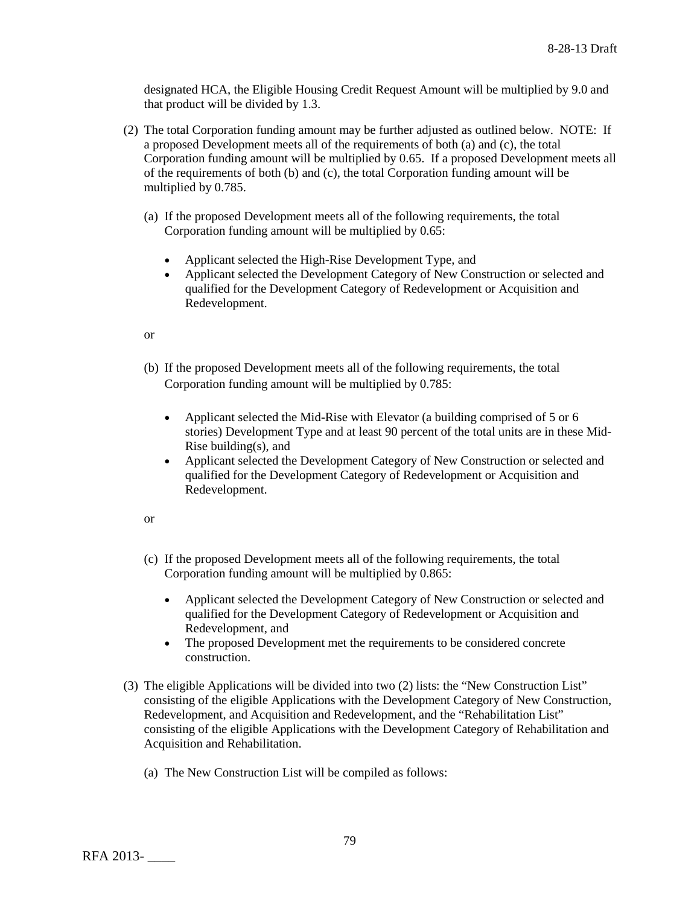designated HCA, the Eligible Housing Credit Request Amount will be multiplied by 9.0 and that product will be divided by 1.3.

- (2) The total Corporation funding amount may be further adjusted as outlined below. NOTE: If a proposed Development meets all of the requirements of both (a) and (c), the total Corporation funding amount will be multiplied by 0.65. If a proposed Development meets all of the requirements of both (b) and (c), the total Corporation funding amount will be multiplied by 0.785.
	- (a) If the proposed Development meets all of the following requirements, the total Corporation funding amount will be multiplied by 0.65:
		- Applicant selected the High-Rise Development Type, and
		- Applicant selected the Development Category of New Construction or selected and qualified for the Development Category of Redevelopment or Acquisition and Redevelopment.

```
or
```
- (b) If the proposed Development meets all of the following requirements, the total Corporation funding amount will be multiplied by 0.785:
	- Applicant selected the Mid-Rise with Elevator (a building comprised of 5 or 6 stories) Development Type and at least 90 percent of the total units are in these Mid-Rise building(s), and
	- Applicant selected the Development Category of New Construction or selected and qualified for the Development Category of Redevelopment or Acquisition and Redevelopment.

```
or
```
- (c) If the proposed Development meets all of the following requirements, the total Corporation funding amount will be multiplied by 0.865:
	- Applicant selected the Development Category of New Construction or selected and qualified for the Development Category of Redevelopment or Acquisition and Redevelopment, and
	- The proposed Development met the requirements to be considered concrete construction.
- (3) The eligible Applications will be divided into two (2) lists: the "New Construction List" consisting of the eligible Applications with the Development Category of New Construction, Redevelopment, and Acquisition and Redevelopment, and the "Rehabilitation List" consisting of the eligible Applications with the Development Category of Rehabilitation and Acquisition and Rehabilitation.
	- (a) The New Construction List will be compiled as follows: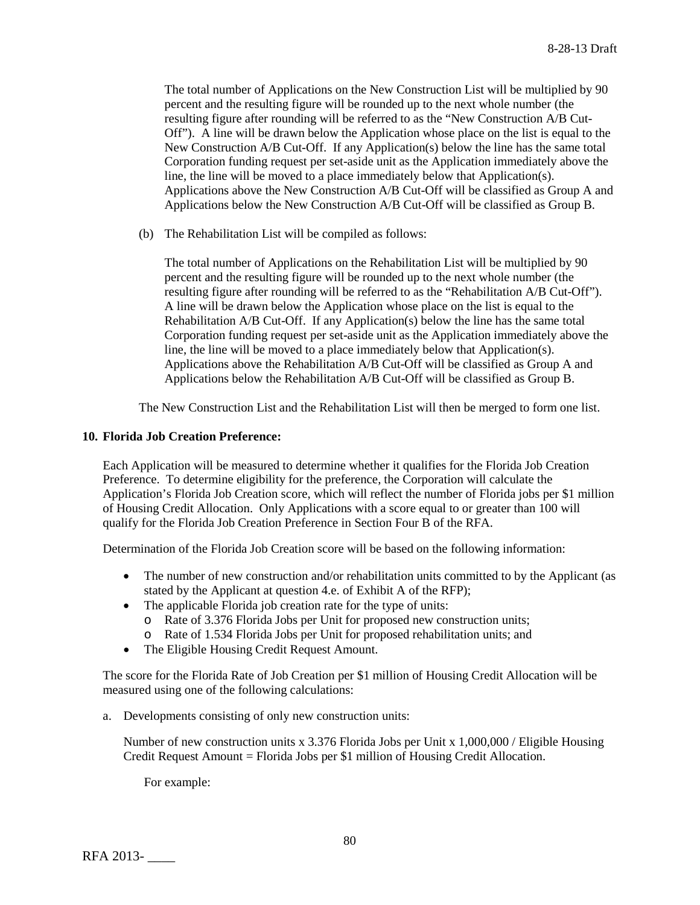The total number of Applications on the New Construction List will be multiplied by 90 percent and the resulting figure will be rounded up to the next whole number (the resulting figure after rounding will be referred to as the "New Construction A/B Cut-Off"). A line will be drawn below the Application whose place on the list is equal to the New Construction A/B Cut-Off. If any Application(s) below the line has the same total Corporation funding request per set-aside unit as the Application immediately above the line, the line will be moved to a place immediately below that Application(s). Applications above the New Construction A/B Cut-Off will be classified as Group A and Applications below the New Construction A/B Cut-Off will be classified as Group B.

(b) The Rehabilitation List will be compiled as follows:

The total number of Applications on the Rehabilitation List will be multiplied by 90 percent and the resulting figure will be rounded up to the next whole number (the resulting figure after rounding will be referred to as the "Rehabilitation A/B Cut-Off"). A line will be drawn below the Application whose place on the list is equal to the Rehabilitation A/B Cut-Off. If any Application(s) below the line has the same total Corporation funding request per set-aside unit as the Application immediately above the line, the line will be moved to a place immediately below that Application(s). Applications above the Rehabilitation A/B Cut-Off will be classified as Group A and Applications below the Rehabilitation A/B Cut-Off will be classified as Group B.

The New Construction List and the Rehabilitation List will then be merged to form one list.

### **10. Florida Job Creation Preference:**

Each Application will be measured to determine whether it qualifies for the Florida Job Creation Preference. To determine eligibility for the preference, the Corporation will calculate the Application's Florida Job Creation score, which will reflect the number of Florida jobs per \$1 million of Housing Credit Allocation. Only Applications with a score equal to or greater than 100 will qualify for the Florida Job Creation Preference in Section Four B of the RFA.

Determination of the Florida Job Creation score will be based on the following information:

- The number of new construction and/or rehabilitation units committed to by the Applicant (as stated by the Applicant at question 4.e. of Exhibit A of the RFP);
- The applicable Florida job creation rate for the type of units:
	- o Rate of 3.376 Florida Jobs per Unit for proposed new construction units;
	- o Rate of 1.534 Florida Jobs per Unit for proposed rehabilitation units; and
- The Eligible Housing Credit Request Amount.

The score for the Florida Rate of Job Creation per \$1 million of Housing Credit Allocation will be measured using one of the following calculations:

a. Developments consisting of only new construction units:

Number of new construction units x 3.376 Florida Jobs per Unit x 1,000,000 / Eligible Housing Credit Request Amount = Florida Jobs per \$1 million of Housing Credit Allocation.

For example: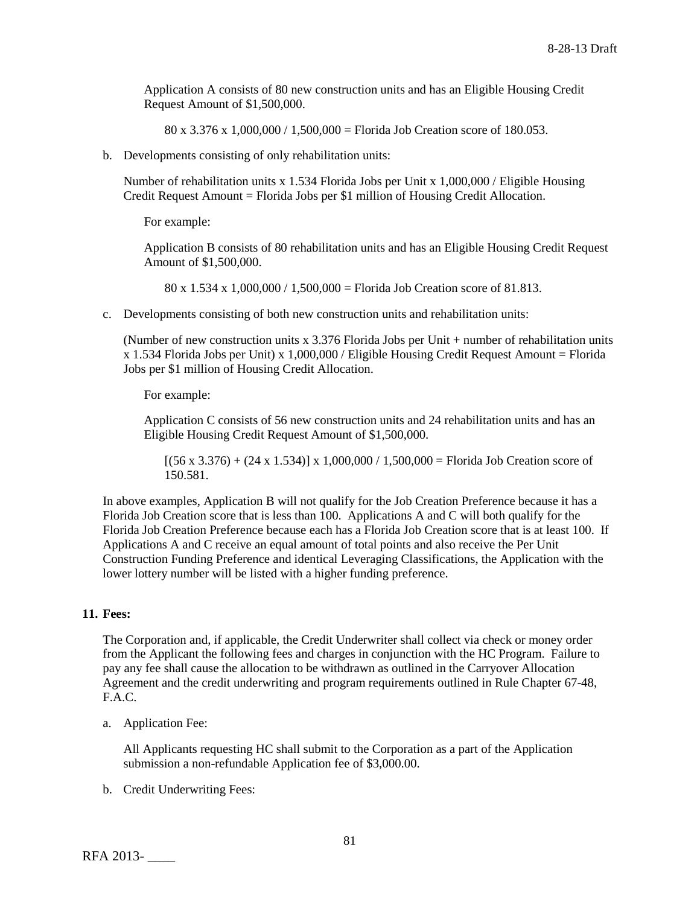Application A consists of 80 new construction units and has an Eligible Housing Credit Request Amount of \$1,500,000.

80 x 3.376 x 1,000,000 / 1,500,000 = Florida Job Creation score of 180.053.

b. Developments consisting of only rehabilitation units:

Number of rehabilitation units x 1.534 Florida Jobs per Unit x 1,000,000 / Eligible Housing Credit Request Amount = Florida Jobs per \$1 million of Housing Credit Allocation.

For example:

Application B consists of 80 rehabilitation units and has an Eligible Housing Credit Request Amount of \$1,500,000.

80 x 1.534 x 1,000,000 / 1,500,000 = Florida Job Creation score of 81.813.

c. Developments consisting of both new construction units and rehabilitation units:

(Number of new construction units x 3.376 Florida Jobs per Unit + number of rehabilitation units  $x$  1.534 Florida Jobs per Unit) x 1,000,000 / Eligible Housing Credit Request Amount = Florida Jobs per \$1 million of Housing Credit Allocation.

For example:

Application C consists of 56 new construction units and 24 rehabilitation units and has an Eligible Housing Credit Request Amount of \$1,500,000.

 $[(56 \times 3.376) + (24 \times 1.534)] \times 1,000,000 / 1,500,000 =$  Florida Job Creation score of 150.581.

In above examples, Application B will not qualify for the Job Creation Preference because it has a Florida Job Creation score that is less than 100. Applications A and C will both qualify for the Florida Job Creation Preference because each has a Florida Job Creation score that is at least 100. If Applications A and C receive an equal amount of total points and also receive the Per Unit Construction Funding Preference and identical Leveraging Classifications, the Application with the lower lottery number will be listed with a higher funding preference.

### **11. Fees:**

The Corporation and, if applicable, the Credit Underwriter shall collect via check or money order from the Applicant the following fees and charges in conjunction with the HC Program. Failure to pay any fee shall cause the allocation to be withdrawn as outlined in the Carryover Allocation Agreement and the credit underwriting and program requirements outlined in Rule Chapter 67-48, F.A.C.

a. Application Fee:

All Applicants requesting HC shall submit to the Corporation as a part of the Application submission a non-refundable Application fee of \$3,000.00.

b. Credit Underwriting Fees: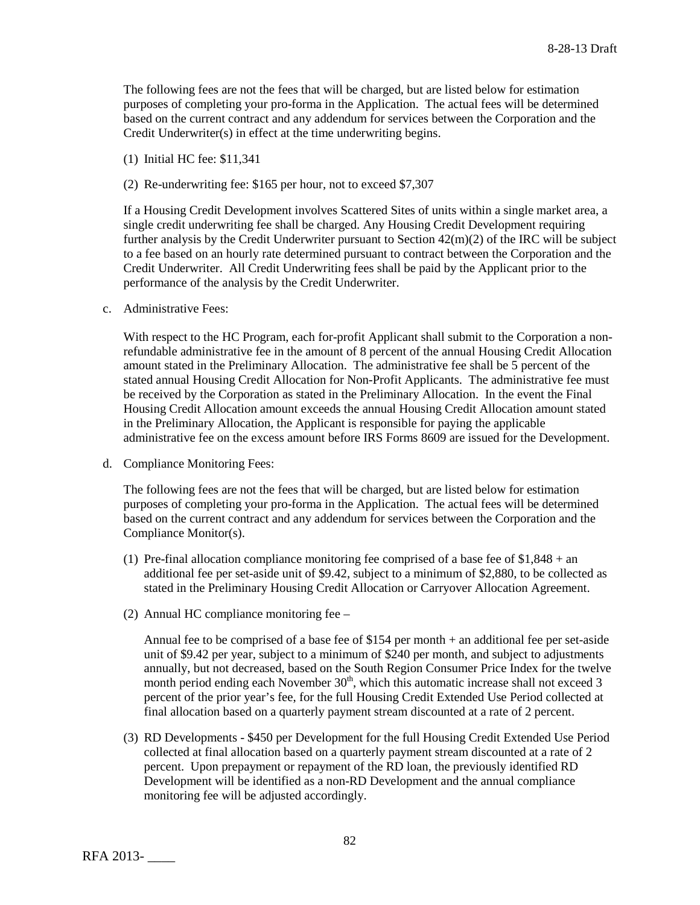The following fees are not the fees that will be charged, but are listed below for estimation purposes of completing your pro-forma in the Application. The actual fees will be determined based on the current contract and any addendum for services between the Corporation and the Credit Underwriter(s) in effect at the time underwriting begins.

- (1) Initial HC fee: \$11,341
- (2) Re-underwriting fee: \$165 per hour, not to exceed \$7,307

If a Housing Credit Development involves Scattered Sites of units within a single market area, a single credit underwriting fee shall be charged. Any Housing Credit Development requiring further analysis by the Credit Underwriter pursuant to Section 42(m)(2) of the IRC will be subject to a fee based on an hourly rate determined pursuant to contract between the Corporation and the Credit Underwriter. All Credit Underwriting fees shall be paid by the Applicant prior to the performance of the analysis by the Credit Underwriter.

c. Administrative Fees:

With respect to the HC Program, each for-profit Applicant shall submit to the Corporation a nonrefundable administrative fee in the amount of 8 percent of the annual Housing Credit Allocation amount stated in the Preliminary Allocation. The administrative fee shall be 5 percent of the stated annual Housing Credit Allocation for Non-Profit Applicants. The administrative fee must be received by the Corporation as stated in the Preliminary Allocation. In the event the Final Housing Credit Allocation amount exceeds the annual Housing Credit Allocation amount stated in the Preliminary Allocation, the Applicant is responsible for paying the applicable administrative fee on the excess amount before IRS Forms 8609 are issued for the Development.

d. Compliance Monitoring Fees:

The following fees are not the fees that will be charged, but are listed below for estimation purposes of completing your pro-forma in the Application. The actual fees will be determined based on the current contract and any addendum for services between the Corporation and the Compliance Monitor(s).

- (1) Pre-final allocation compliance monitoring fee comprised of a base fee of  $$1,848 + an$ additional fee per set-aside unit of \$9.42, subject to a minimum of \$2,880, to be collected as stated in the Preliminary Housing Credit Allocation or Carryover Allocation Agreement.
- (2) Annual HC compliance monitoring fee –

Annual fee to be comprised of a base fee of \$154 per month + an additional fee per set-aside unit of \$9.42 per year, subject to a minimum of \$240 per month, and subject to adjustments annually, but not decreased, based on the South Region Consumer Price Index for the twelve month period ending each November  $30<sup>th</sup>$ , which this automatic increase shall not exceed 3 percent of the prior year's fee, for the full Housing Credit Extended Use Period collected at final allocation based on a quarterly payment stream discounted at a rate of 2 percent.

(3) RD Developments - \$450 per Development for the full Housing Credit Extended Use Period collected at final allocation based on a quarterly payment stream discounted at a rate of 2 percent. Upon prepayment or repayment of the RD loan, the previously identified RD Development will be identified as a non-RD Development and the annual compliance monitoring fee will be adjusted accordingly.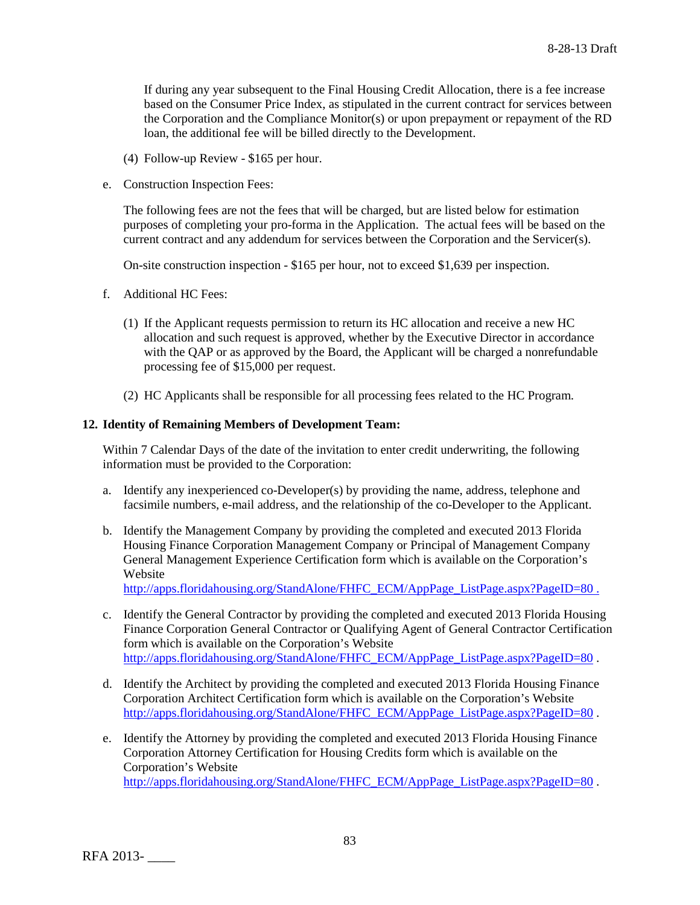If during any year subsequent to the Final Housing Credit Allocation, there is a fee increase based on the Consumer Price Index, as stipulated in the current contract for services between the Corporation and the Compliance Monitor(s) or upon prepayment or repayment of the RD loan, the additional fee will be billed directly to the Development.

- (4) Follow-up Review \$165 per hour.
- e. Construction Inspection Fees:

The following fees are not the fees that will be charged, but are listed below for estimation purposes of completing your pro-forma in the Application. The actual fees will be based on the current contract and any addendum for services between the Corporation and the Servicer(s).

On-site construction inspection - \$165 per hour, not to exceed \$1,639 per inspection.

- f. Additional HC Fees:
	- (1) If the Applicant requests permission to return its HC allocation and receive a new HC allocation and such request is approved, whether by the Executive Director in accordance with the QAP or as approved by the Board, the Applicant will be charged a nonrefundable processing fee of \$15,000 per request.
	- (2) HC Applicants shall be responsible for all processing fees related to the HC Program.

## **12. Identity of Remaining Members of Development Team:**

Within 7 Calendar Days of the date of the invitation to enter credit underwriting, the following information must be provided to the Corporation:

- a. Identify any inexperienced co-Developer(s) by providing the name, address, telephone and facsimile numbers, e-mail address, and the relationship of the co-Developer to the Applicant.
- b. Identify the Management Company by providing the completed and executed 2013 Florida Housing Finance Corporation Management Company or Principal of Management Company General Management Experience Certification form which is available on the Corporation's Website

[http://apps.floridahousing.org/StandAlone/FHFC\\_ECM/AppPage\\_ListPage.aspx?PageID=80 .](http://apps.floridahousing.org/StandAlone/FHFC_ECM/AppPage_ListPage.aspx?PageID=80%20.)

- c. Identify the General Contractor by providing the completed and executed 2013 Florida Housing Finance Corporation General Contractor or Qualifying Agent of General Contractor Certification form which is available on the Corporation's Website [http://apps.floridahousing.org/StandAlone/FHFC\\_ECM/AppPage\\_ListPage.aspx?PageID=80](http://apps.floridahousing.org/StandAlone/FHFC_ECM/AppPage_ListPage.aspx?PageID=80) .
- d. Identify the Architect by providing the completed and executed 2013 Florida Housing Finance Corporation Architect Certification form which is available on the Corporation's Website [http://apps.floridahousing.org/StandAlone/FHFC\\_ECM/AppPage\\_ListPage.aspx?PageID=80](http://apps.floridahousing.org/StandAlone/FHFC_ECM/AppPage_ListPage.aspx?PageID=80).
- e. Identify the Attorney by providing the completed and executed 2013 Florida Housing Finance Corporation Attorney Certification for Housing Credits form which is available on the Corporation's Website [http://apps.floridahousing.org/StandAlone/FHFC\\_ECM/AppPage\\_ListPage.aspx?PageID=80](http://apps.floridahousing.org/StandAlone/FHFC_ECM/AppPage_ListPage.aspx?PageID=80) .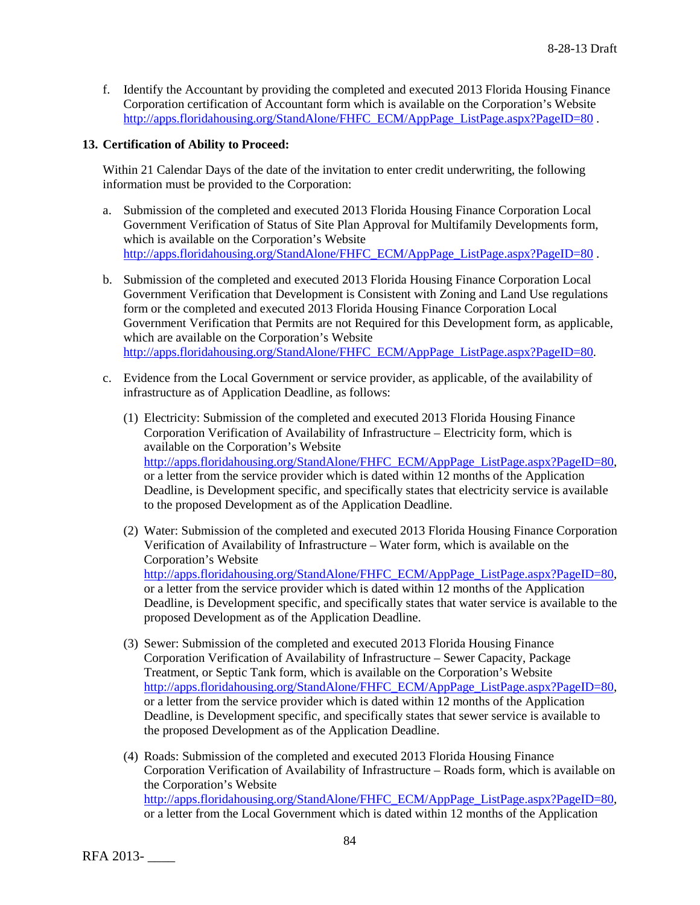f. Identify the Accountant by providing the completed and executed 2013 Florida Housing Finance Corporation certification of Accountant form which is available on the Corporation's Website [http://apps.floridahousing.org/StandAlone/FHFC\\_ECM/AppPage\\_ListPage.aspx?PageID=80](http://apps.floridahousing.org/StandAlone/FHFC_ECM/AppPage_ListPage.aspx?PageID=80).

# **13. Certification of Ability to Proceed:**

Within 21 Calendar Days of the date of the invitation to enter credit underwriting, the following information must be provided to the Corporation:

- a. Submission of the completed and executed 2013 Florida Housing Finance Corporation Local Government Verification of Status of Site Plan Approval for Multifamily Developments form, which is available on the Corporation's Website [http://apps.floridahousing.org/StandAlone/FHFC\\_ECM/AppPage\\_ListPage.aspx?PageID=80](http://apps.floridahousing.org/StandAlone/FHFC_ECM/AppPage_ListPage.aspx?PageID=80).
- b. Submission of the completed and executed 2013 Florida Housing Finance Corporation Local Government Verification that Development is Consistent with Zoning and Land Use regulations form or the completed and executed 2013 Florida Housing Finance Corporation Local Government Verification that Permits are not Required for this Development form, as applicable, which are available on the Corporation's Website [http://apps.floridahousing.org/StandAlone/FHFC\\_ECM/AppPage\\_ListPage.aspx?PageID=80.](http://apps.floridahousing.org/StandAlone/FHFC_ECM/AppPage_ListPage.aspx?PageID=80)
- c. Evidence from the Local Government or service provider, as applicable, of the availability of infrastructure as of Application Deadline, as follows:
	- (1) Electricity: Submission of the completed and executed 2013 Florida Housing Finance Corporation Verification of Availability of Infrastructure – Electricity form, which is available on the Corporation's Website [http://apps.floridahousing.org/StandAlone/FHFC\\_ECM/AppPage\\_ListPage.aspx?PageID=80,](http://apps.floridahousing.org/StandAlone/FHFC_ECM/AppPage_ListPage.aspx?PageID=80) or a letter from the service provider which is dated within 12 months of the Application Deadline, is Development specific, and specifically states that electricity service is available to the proposed Development as of the Application Deadline.
	- (2) Water: Submission of the completed and executed 2013 Florida Housing Finance Corporation Verification of Availability of Infrastructure – Water form, which is available on the Corporation's Website [http://apps.floridahousing.org/StandAlone/FHFC\\_ECM/AppPage\\_ListPage.aspx?PageID=80,](http://apps.floridahousing.org/StandAlone/FHFC_ECM/AppPage_ListPage.aspx?PageID=80) or a letter from the service provider which is dated within 12 months of the Application Deadline, is Development specific, and specifically states that water service is available to the proposed Development as of the Application Deadline.
	- (3) Sewer: Submission of the completed and executed 2013 Florida Housing Finance Corporation Verification of Availability of Infrastructure – Sewer Capacity, Package Treatment, or Septic Tank form, which is available on the Corporation's Website [http://apps.floridahousing.org/StandAlone/FHFC\\_ECM/AppPage\\_ListPage.aspx?PageID=80,](http://apps.floridahousing.org/StandAlone/FHFC_ECM/AppPage_ListPage.aspx?PageID=80) or a letter from the service provider which is dated within 12 months of the Application Deadline, is Development specific, and specifically states that sewer service is available to the proposed Development as of the Application Deadline.
	- (4) Roads: Submission of the completed and executed 2013 Florida Housing Finance Corporation Verification of Availability of Infrastructure – Roads form, which is available on the Corporation's Website [http://apps.floridahousing.org/StandAlone/FHFC\\_ECM/AppPage\\_ListPage.aspx?PageID=80,](http://apps.floridahousing.org/StandAlone/FHFC_ECM/AppPage_ListPage.aspx?PageID=80) or a letter from the Local Government which is dated within 12 months of the Application